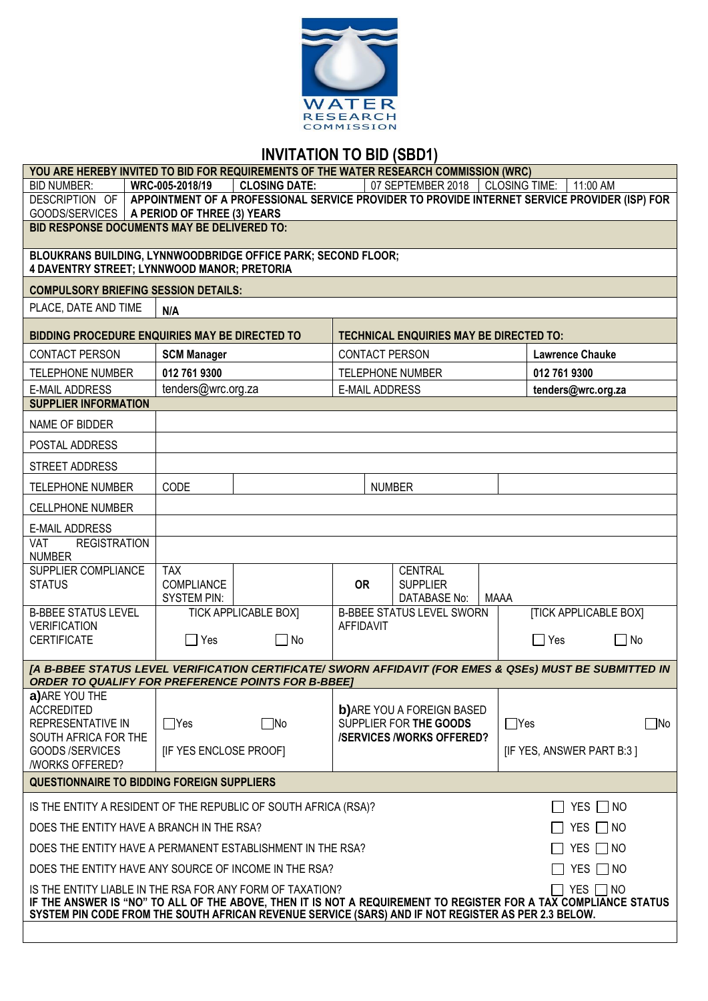

# **INVITATION TO BID (SBD1)**

| YOU ARE HEREBY INVITED TO BID FOR REQUIREMENTS OF THE WATER RESEARCH COMMISSION (WRC)                                                                                                                                                                                                                                  |                        |                             |                         |                                                  |             |                              |           |
|------------------------------------------------------------------------------------------------------------------------------------------------------------------------------------------------------------------------------------------------------------------------------------------------------------------------|------------------------|-----------------------------|-------------------------|--------------------------------------------------|-------------|------------------------------|-----------|
| <b>BID NUMBER:</b><br><b>CLOSING DATE:</b><br>WRC-005-2018/19<br>07 SEPTEMBER 2018<br><b>CLOSING TIME:</b><br>11:00 AM                                                                                                                                                                                                 |                        |                             |                         |                                                  |             |                              |           |
| APPOINTMENT OF A PROFESSIONAL SERVICE PROVIDER TO PROVIDE INTERNET SERVICE PROVIDER (ISP) FOR<br>DESCRIPTION OF<br>GOODS/SERVICES   A PERIOD OF THREE (3) YEARS                                                                                                                                                        |                        |                             |                         |                                                  |             |                              |           |
| <b>BID RESPONSE DOCUMENTS MAY BE DELIVERED TO:</b>                                                                                                                                                                                                                                                                     |                        |                             |                         |                                                  |             |                              |           |
|                                                                                                                                                                                                                                                                                                                        |                        |                             |                         |                                                  |             |                              |           |
| BLOUKRANS BUILDING, LYNNWOODBRIDGE OFFICE PARK; SECOND FLOOR;                                                                                                                                                                                                                                                          |                        |                             |                         |                                                  |             |                              |           |
| 4 DAVENTRY STREET; LYNNWOOD MANOR; PRETORIA                                                                                                                                                                                                                                                                            |                        |                             |                         |                                                  |             |                              |           |
| <b>COMPULSORY BRIEFING SESSION DETAILS:</b>                                                                                                                                                                                                                                                                            |                        |                             |                         |                                                  |             |                              |           |
| PLACE, DATE AND TIME                                                                                                                                                                                                                                                                                                   | N/A                    |                             |                         |                                                  |             |                              |           |
| <b>BIDDING PROCEDURE ENQUIRIES MAY BE DIRECTED TO</b>                                                                                                                                                                                                                                                                  |                        |                             |                         | <b>TECHNICAL ENQUIRIES MAY BE DIRECTED TO:</b>   |             |                              |           |
| <b>CONTACT PERSON</b>                                                                                                                                                                                                                                                                                                  | <b>SCM Manager</b>     |                             | CONTACT PERSON          |                                                  |             | <b>Lawrence Chauke</b>       |           |
| <b>TELEPHONE NUMBER</b>                                                                                                                                                                                                                                                                                                | 012 761 9300           |                             | <b>TELEPHONE NUMBER</b> |                                                  |             | 012 761 9300                 |           |
| <b>E-MAIL ADDRESS</b>                                                                                                                                                                                                                                                                                                  | tenders@wrc.org.za     |                             | <b>E-MAIL ADDRESS</b>   |                                                  |             | tenders@wrc.org.za           |           |
| <b>SUPPLIER INFORMATION</b>                                                                                                                                                                                                                                                                                            |                        |                             |                         |                                                  |             |                              |           |
| NAME OF BIDDER                                                                                                                                                                                                                                                                                                         |                        |                             |                         |                                                  |             |                              |           |
| POSTAL ADDRESS                                                                                                                                                                                                                                                                                                         |                        |                             |                         |                                                  |             |                              |           |
| <b>STREET ADDRESS</b>                                                                                                                                                                                                                                                                                                  |                        |                             |                         |                                                  |             |                              |           |
| <b>TELEPHONE NUMBER</b>                                                                                                                                                                                                                                                                                                | CODE                   |                             | <b>NUMBER</b>           |                                                  |             |                              |           |
| <b>CELLPHONE NUMBER</b>                                                                                                                                                                                                                                                                                                |                        |                             |                         |                                                  |             |                              |           |
| <b>E-MAIL ADDRESS</b>                                                                                                                                                                                                                                                                                                  |                        |                             |                         |                                                  |             |                              |           |
| VAT<br><b>REGISTRATION</b><br><b>NUMBER</b>                                                                                                                                                                                                                                                                            |                        |                             |                         |                                                  |             |                              |           |
| SUPPLIER COMPLIANCE                                                                                                                                                                                                                                                                                                    | <b>TAX</b>             |                             |                         | <b>CENTRAL</b>                                   |             |                              |           |
| <b>STATUS</b>                                                                                                                                                                                                                                                                                                          | <b>COMPLIANCE</b>      |                             | <b>OR</b>               | <b>SUPPLIER</b>                                  |             |                              |           |
| <b>B-BBEE STATUS LEVEL</b>                                                                                                                                                                                                                                                                                             | <b>SYSTEM PIN:</b>     | <b>TICK APPLICABLE BOX]</b> |                         | DATABASE No:<br><b>B-BBEE STATUS LEVEL SWORN</b> | <b>MAAA</b> | <b>[TICK APPLICABLE BOX]</b> |           |
| <b>VERIFICATION</b>                                                                                                                                                                                                                                                                                                    |                        |                             | <b>AFFIDAVIT</b>        |                                                  |             |                              |           |
| <b>CERTIFICATE</b>                                                                                                                                                                                                                                                                                                     | $\Box$ Yes             | П<br>No                     |                         |                                                  |             | $\Box$ Yes                   | $\Box$ No |
| [A B-BBEE STATUS LEVEL VERIFICATION CERTIFICATE/ SWORN AFFIDAVIT (FOR EMES & QSEs) MUST BE SUBMITTED IN                                                                                                                                                                                                                |                        |                             |                         |                                                  |             |                              |           |
| <b>ORDER TO QUALIFY FOR PREFERENCE POINTS FOR B-BBEET</b>                                                                                                                                                                                                                                                              |                        |                             |                         |                                                  |             |                              |           |
| a) ARE YOU THE<br><b>ACCREDITED</b>                                                                                                                                                                                                                                                                                    |                        |                             |                         | <b>b)</b> ARE YOU A FOREIGN BASED                |             |                              |           |
| REPRESENTATIVE IN                                                                                                                                                                                                                                                                                                      | $\Box$ Yes             | $\Box$ No                   |                         | SUPPLIER FOR THE GOODS                           | $\Box$ Yes  |                              | $\Box$ No |
| SOUTH AFRICA FOR THE                                                                                                                                                                                                                                                                                                   |                        |                             |                         | <b>/SERVICES/WORKS OFFERED?</b>                  |             |                              |           |
| GOODS / SERVICES<br>/WORKS OFFERED?                                                                                                                                                                                                                                                                                    | [IF YES ENCLOSE PROOF] |                             |                         |                                                  |             | [IF YES, ANSWER PART B:3]    |           |
| <b>QUESTIONNAIRE TO BIDDING FOREIGN SUPPLIERS</b>                                                                                                                                                                                                                                                                      |                        |                             |                         |                                                  |             |                              |           |
| IS THE ENTITY A RESIDENT OF THE REPUBLIC OF SOUTH AFRICA (RSA)?<br>YES $\Box$ NO                                                                                                                                                                                                                                       |                        |                             |                         |                                                  |             |                              |           |
| DOES THE ENTITY HAVE A BRANCH IN THE RSA?<br>YES $\Box$ NO                                                                                                                                                                                                                                                             |                        |                             |                         |                                                  |             |                              |           |
| DOES THE ENTITY HAVE A PERMANENT ESTABLISHMENT IN THE RSA?<br>YES $\Box$ NO                                                                                                                                                                                                                                            |                        |                             |                         |                                                  |             |                              |           |
| YES $\Box$ NO<br>DOES THE ENTITY HAVE ANY SOURCE OF INCOME IN THE RSA?                                                                                                                                                                                                                                                 |                        |                             |                         |                                                  |             |                              |           |
| YES $\Box$ NO<br>IS THE ENTITY LIABLE IN THE RSA FOR ANY FORM OF TAXATION?<br>$\blacksquare$<br>IF THE ANSWER IS "NO" TO ALL OF THE ABOVE, THEN IT IS NOT A REQUIREMENT TO REGISTER FOR A TAX COMPLIANCE STATUS<br>SYSTEM PIN CODE FROM THE SOUTH AFRICAN REVENUE SERVICE (SARS) AND IF NOT REGISTER AS PER 2.3 BELOW. |                        |                             |                         |                                                  |             |                              |           |
|                                                                                                                                                                                                                                                                                                                        |                        |                             |                         |                                                  |             |                              |           |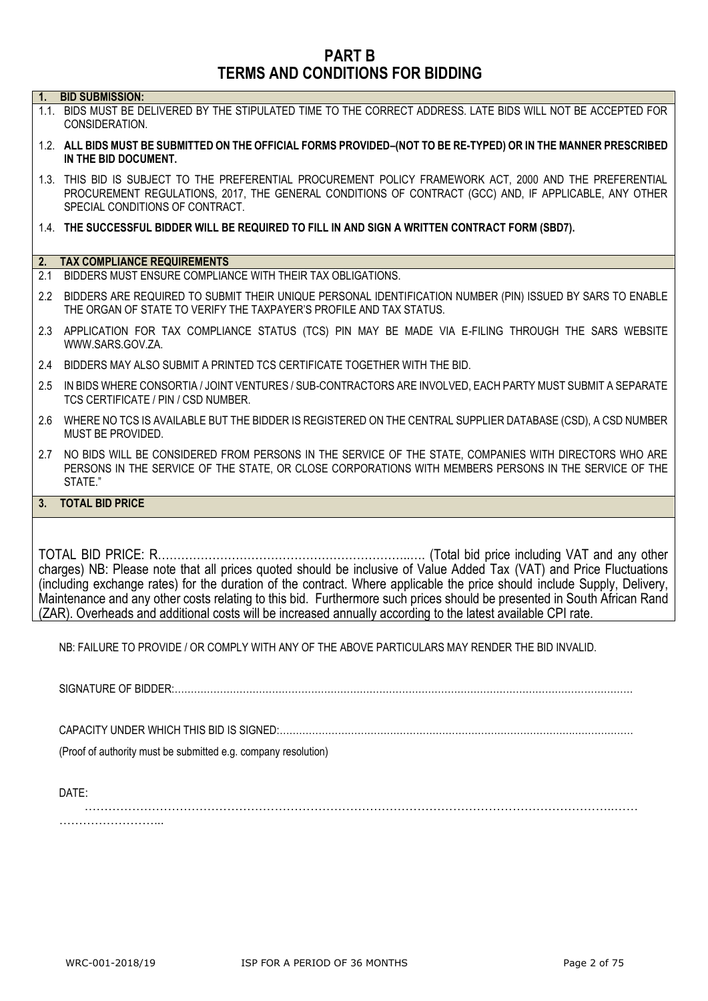# **PART B TERMS AND CONDITIONS FOR BIDDING**

| 1.  | <b>BID SUBMISSION:</b>                                                                                                                                                                                                                               |
|-----|------------------------------------------------------------------------------------------------------------------------------------------------------------------------------------------------------------------------------------------------------|
|     | 1.1. BIDS MUST BE DELIVERED BY THE STIPULATED TIME TO THE CORRECT ADDRESS. LATE BIDS WILL NOT BE ACCEPTED FOR<br>CONSIDERATION.                                                                                                                      |
|     | 1.2. ALL BIDS MUST BE SUBMITTED ON THE OFFICIAL FORMS PROVIDED-(NOT TO BE RE-TYPED) OR IN THE MANNER PRESCRIBED<br>IN THE BID DOCUMENT.                                                                                                              |
|     | 1.3. THIS BID IS SUBJECT TO THE PREFERENTIAL PROCUREMENT POLICY FRAMEWORK ACT, 2000 AND THE PREFERENTIAL<br>PROCUREMENT REGULATIONS, 2017, THE GENERAL CONDITIONS OF CONTRACT (GCC) AND, IF APPLICABLE, ANY OTHER<br>SPECIAL CONDITIONS OF CONTRACT. |
|     | 1.4. THE SUCCESSFUL BIDDER WILL BE REQUIRED TO FILL IN AND SIGN A WRITTEN CONTRACT FORM (SBD7).                                                                                                                                                      |
|     | 2. TAX COMPLIANCE REQUIREMENTS                                                                                                                                                                                                                       |
| 2.1 | BIDDERS MUST ENSURE COMPLIANCE WITH THEIR TAX OBLIGATIONS.                                                                                                                                                                                           |
|     |                                                                                                                                                                                                                                                      |
|     | 2.2 BIDDERS ARE REQUIRED TO SUBMIT THEIR UNIQUE PERSONAL IDENTIFICATION NUMBER (PIN) ISSUED BY SARS TO ENABLE<br>THE ORGAN OF STATE TO VERIFY THE TAXPAYER'S PROFILE AND TAX STATUS.                                                                 |
|     | 2.3 APPLICATION FOR TAX COMPLIANCE STATUS (TCS) PIN MAY BE MADE VIA E-FILING THROUGH THE SARS WEBSITE<br>WWW.SARS.GOV.ZA.                                                                                                                            |
|     | 2.4 BIDDERS MAY ALSO SUBMIT A PRINTED TCS CERTIFICATE TOGETHER WITH THE BID.                                                                                                                                                                         |
| 2.5 | IN BIDS WHERE CONSORTIA / JOINT VENTURES / SUB-CONTRACTORS ARE INVOLVED, EACH PARTY MUST SUBMIT A SEPARATE<br>TCS CERTIFICATE / PIN / CSD NUMBER.                                                                                                    |
|     | 2.6 WHERE NO TCS IS AVAILABLE BUT THE BIDDER IS REGISTERED ON THE CENTRAL SUPPLIER DATABASE (CSD), A CSD NUMBER<br>MUST BE PROVIDED.                                                                                                                 |
|     | 2.7 NO BIDS WILL BE CONSIDERED FROM PERSONS IN THE SERVICE OF THE STATE, COMPANIES WITH DIRECTORS WHO ARE<br>PERSONS IN THE SERVICE OF THE STATE, OR CLOSE CORPORATIONS WITH MEMBERS PERSONS IN THE SERVICE OF THE<br>STATE."                        |
|     | 3. TOTAL BID PRICE                                                                                                                                                                                                                                   |
|     |                                                                                                                                                                                                                                                      |

charges) NB: Please note that all prices quoted should be inclusive of Value Added Tax (VAT) and Price Fluctuations (including exchange rates) for the duration of the contract. Where applicable the price should include Supply, Delivery, Maintenance and any other costs relating to this bid. Furthermore such prices should be presented in South African Rand (ZAR). Overheads and additional costs will be increased annually according to the latest available CPI rate.

NB: FAILURE TO PROVIDE / OR COMPLY WITH ANY OF THE ABOVE PARTICULARS MAY RENDER THE BID INVALID.

SIGNATURE OF BIDDER:……………………………………………………………………………………………………………………………

CAPACITY UNDER WHICH THIS BID IS SIGNED:……………………………………………………………………………….………………

(Proof of authority must be submitted e.g. company resolution)

DATE:

……………………………………………………………………………………………………………………..…… ………………………………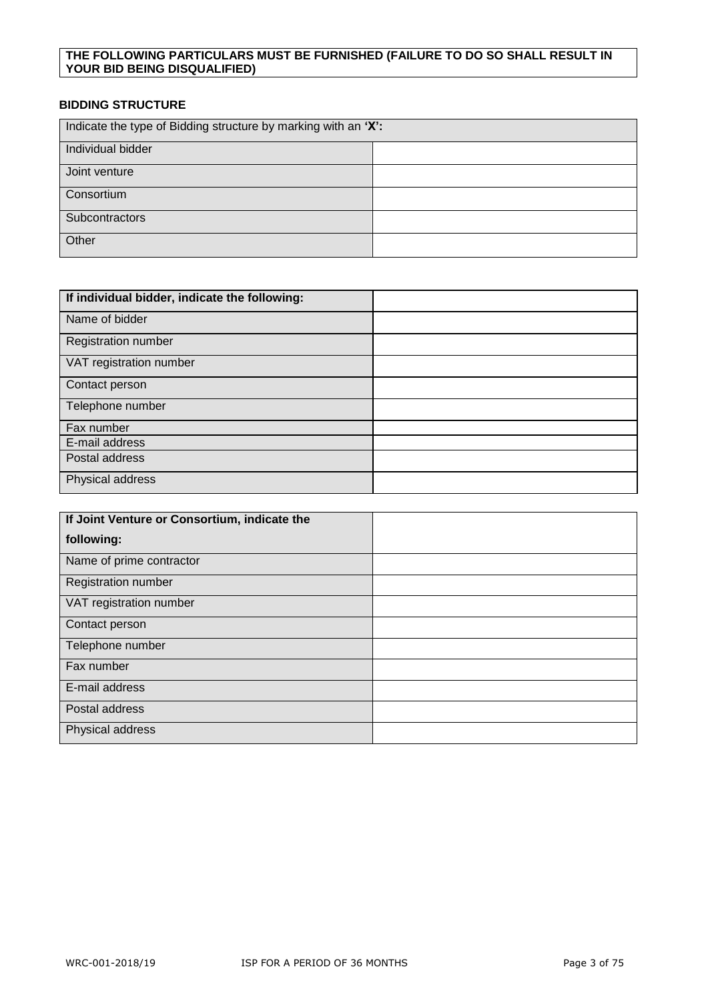#### **THE FOLLOWING PARTICULARS MUST BE FURNISHED (FAILURE TO DO SO SHALL RESULT IN YOUR BID BEING DISQUALIFIED)**

#### **BIDDING STRUCTURE**

| Indicate the type of Bidding structure by marking with an 'X': |  |  |
|----------------------------------------------------------------|--|--|
| Individual bidder                                              |  |  |
| Joint venture                                                  |  |  |
| Consortium                                                     |  |  |
| Subcontractors                                                 |  |  |
| Other                                                          |  |  |

| If individual bidder, indicate the following: |  |
|-----------------------------------------------|--|
| Name of bidder                                |  |
| <b>Registration number</b>                    |  |
| VAT registration number                       |  |
| Contact person                                |  |
| Telephone number                              |  |
| Fax number                                    |  |
| E-mail address                                |  |
| Postal address                                |  |
| Physical address                              |  |

| If Joint Venture or Consortium, indicate the |  |
|----------------------------------------------|--|
| following:                                   |  |
| Name of prime contractor                     |  |
| <b>Registration number</b>                   |  |
| VAT registration number                      |  |
| Contact person                               |  |
| Telephone number                             |  |
| Fax number                                   |  |
| E-mail address                               |  |
| Postal address                               |  |
| Physical address                             |  |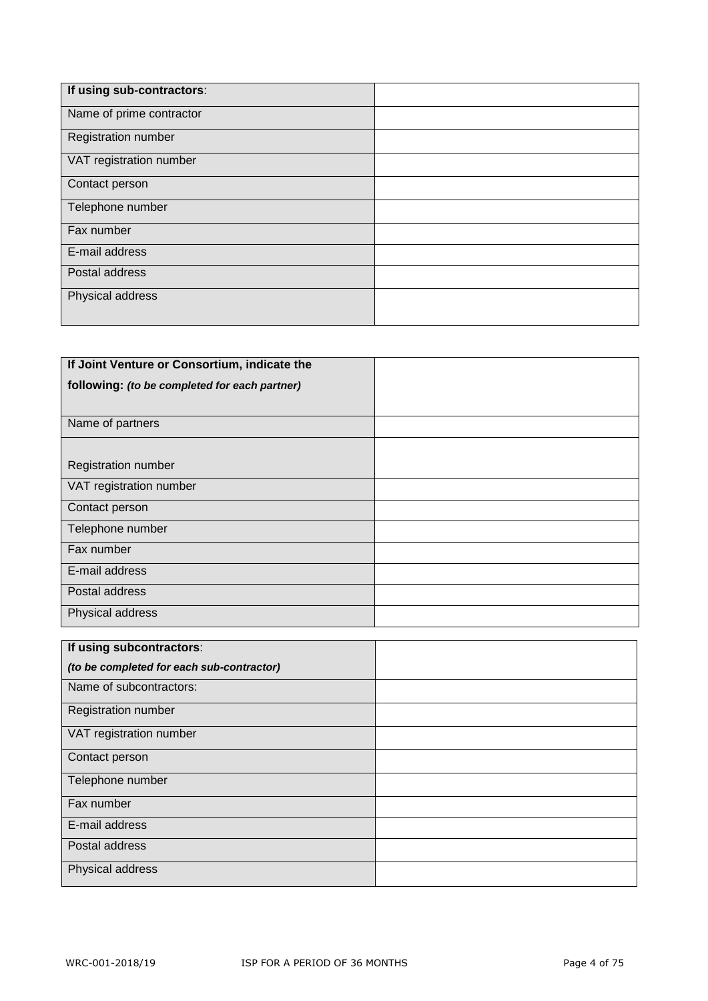| If using sub-contractors:  |  |
|----------------------------|--|
| Name of prime contractor   |  |
| <b>Registration number</b> |  |
| VAT registration number    |  |
| Contact person             |  |
| Telephone number           |  |
| Fax number                 |  |
| E-mail address             |  |
| Postal address             |  |
| Physical address           |  |
|                            |  |

| If Joint Venture or Consortium, indicate the  |  |
|-----------------------------------------------|--|
| following: (to be completed for each partner) |  |
|                                               |  |
| Name of partners                              |  |
|                                               |  |
| <b>Registration number</b>                    |  |
| VAT registration number                       |  |
| Contact person                                |  |
| Telephone number                              |  |
| Fax number                                    |  |
| E-mail address                                |  |
| Postal address                                |  |
| Physical address                              |  |

| If using subcontractors:                  |  |
|-------------------------------------------|--|
| (to be completed for each sub-contractor) |  |
| Name of subcontractors:                   |  |
| Registration number                       |  |
| VAT registration number                   |  |
| Contact person                            |  |
| Telephone number                          |  |
| Fax number                                |  |
| E-mail address                            |  |
| Postal address                            |  |
| Physical address                          |  |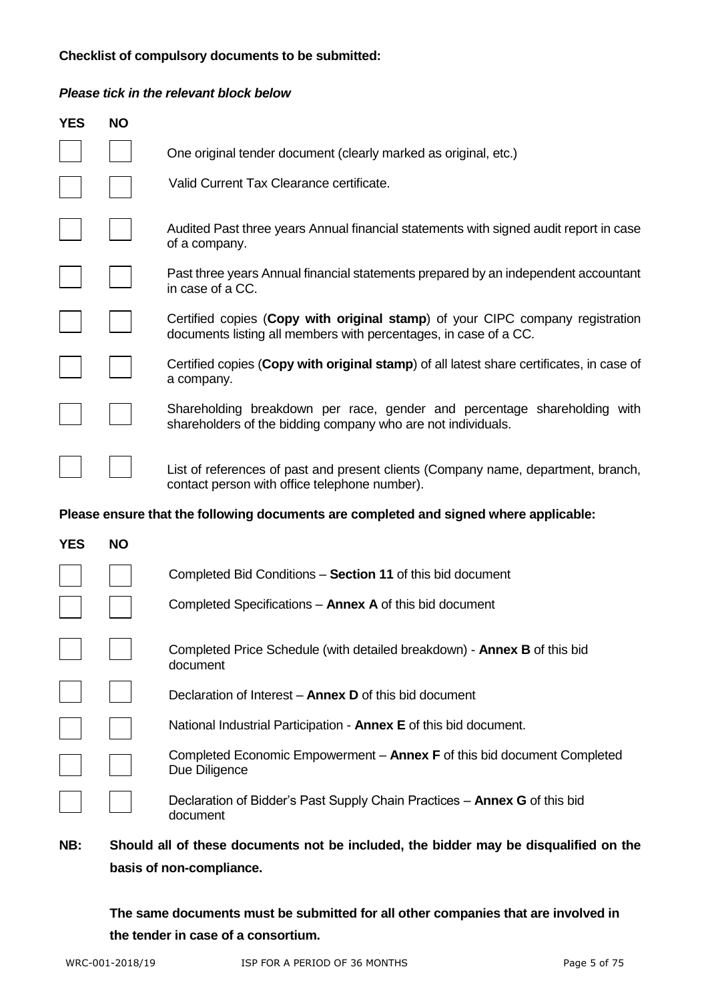### **Checklist of compulsory documents to be submitted:**

#### *Please tick in the relevant block below*

| <b>YES</b> | <b>NO</b> |                                                                                                                                                   |
|------------|-----------|---------------------------------------------------------------------------------------------------------------------------------------------------|
|            |           | One original tender document (clearly marked as original, etc.)                                                                                   |
|            |           | Valid Current Tax Clearance certificate.                                                                                                          |
|            |           | Audited Past three years Annual financial statements with signed audit report in case<br>of a company.                                            |
|            |           | Past three years Annual financial statements prepared by an independent accountant<br>in case of a CC.                                            |
|            |           | Certified copies (Copy with original stamp) of your CIPC company registration<br>documents listing all members with percentages, in case of a CC. |
|            |           | Certified copies (Copy with original stamp) of all latest share certificates, in case of<br>a company.                                            |
|            |           | Shareholding breakdown per race, gender and percentage shareholding with<br>shareholders of the bidding company who are not individuals.          |
|            |           | List of references of past and present clients (Company name, department, branch,<br>contact person with office telephone number).                |
|            |           | Please ensure that the following documents are completed and signed where applicable:                                                             |
| <b>YES</b> | <b>NO</b> |                                                                                                                                                   |
|            |           | Completed Bid Conditions - Section 11 of this bid document                                                                                        |
|            |           | Completed Specifications - Annex A of this bid document                                                                                           |
|            |           | Completed Price Schedule (with detailed breakdown) - Annex B of this bid<br>document                                                              |
|            |           | Declaration of Interest - Annex D of this bid document                                                                                            |
|            |           | National Industrial Participation - Annex E of this bid document.                                                                                 |
|            |           | Completed Economic Empowerment - Annex F of this bid document Completed<br>Due Diligence                                                          |
|            |           | Declaration of Bidder's Past Supply Chain Practices - Annex G of this bid<br>document                                                             |
| NB:        |           | Should all of these documents not be included, the bidder may be disqualified on the                                                              |

**basis of non-compliance.**

**The same documents must be submitted for all other companies that are involved in the tender in case of a consortium.**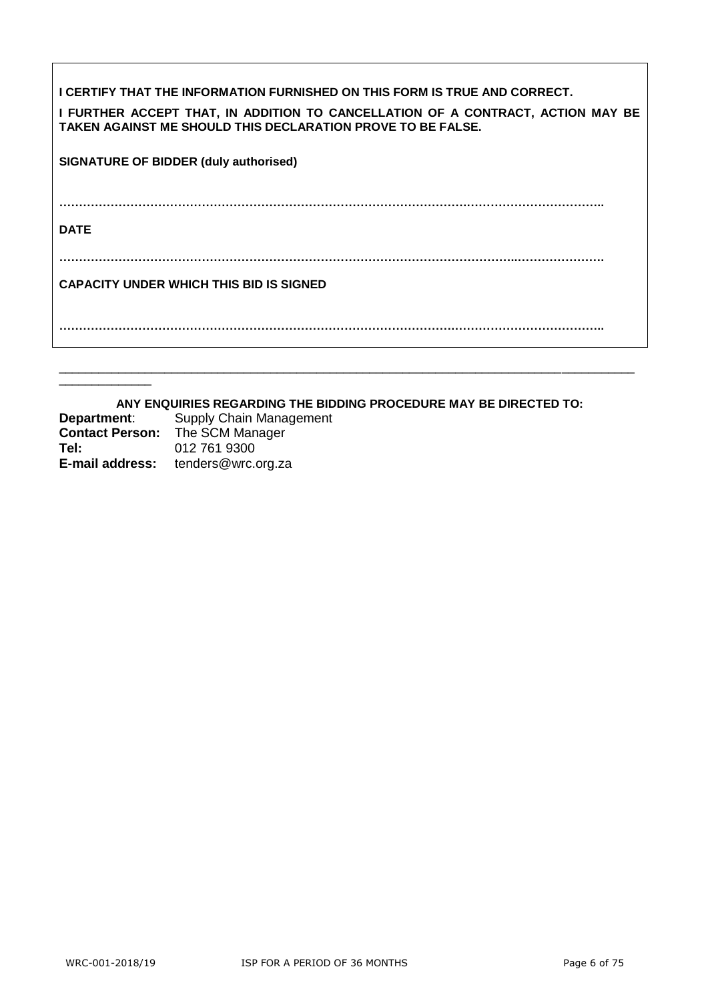| I CERTIFY THAT THE INFORMATION FURNISHED ON THIS FORM IS TRUE AND CORRECT.<br>I FURTHER ACCEPT THAT, IN ADDITION TO CANCELLATION OF A CONTRACT, ACTION MAY BE<br>TAKEN AGAINST ME SHOULD THIS DECLARATION PROVE TO BE FALSE. |
|------------------------------------------------------------------------------------------------------------------------------------------------------------------------------------------------------------------------------|
| <b>SIGNATURE OF BIDDER (duly authorised)</b>                                                                                                                                                                                 |
| <b>DATE</b>                                                                                                                                                                                                                  |
| <b>CAPACITY UNDER WHICH THIS BID IS SIGNED</b>                                                                                                                                                                               |
|                                                                                                                                                                                                                              |

**ANY ENQUIRIES REGARDING THE BIDDING PROCEDURE MAY BE DIRECTED TO: Department**: Supply Chain Management **Contact Person:** The SCM Manager **Tel:** 012 761 9300 **E-mail address:** tenders@wrc.org.za

 $\overline{\phantom{a}}$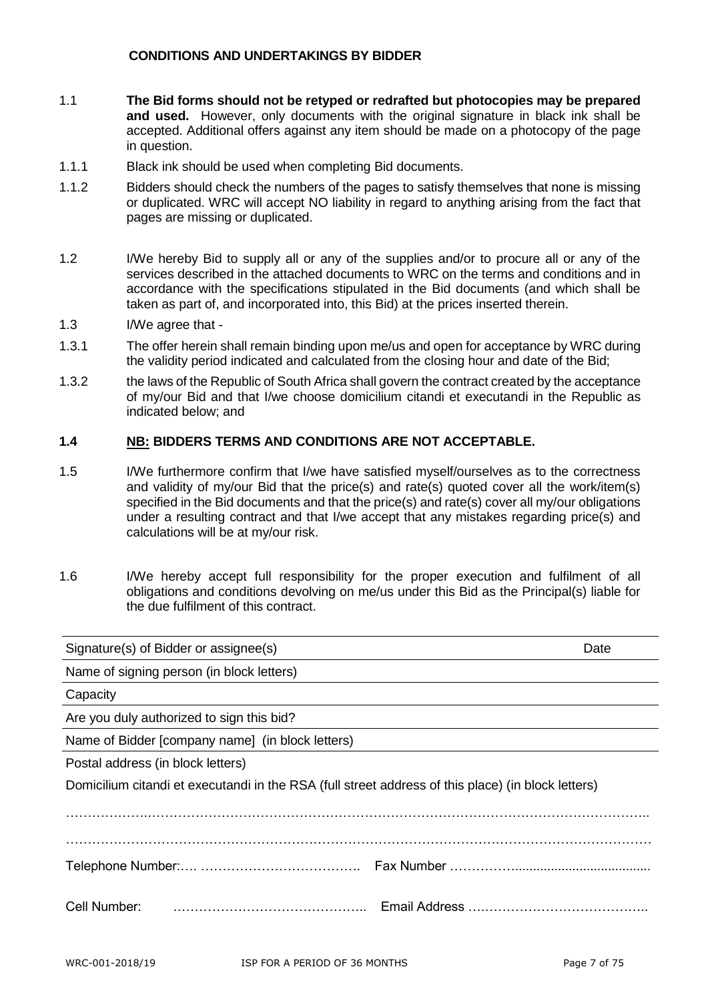#### **CONDITIONS AND UNDERTAKINGS BY BIDDER**

- 1.1 **The Bid forms should not be retyped or redrafted but photocopies may be prepared and used.** However, only documents with the original signature in black ink shall be accepted. Additional offers against any item should be made on a photocopy of the page in question.
- 1.1.1 Black ink should be used when completing Bid documents.
- 1.1.2 Bidders should check the numbers of the pages to satisfy themselves that none is missing or duplicated. WRC will accept NO liability in regard to anything arising from the fact that pages are missing or duplicated.
- 1.2 I/We hereby Bid to supply all or any of the supplies and/or to procure all or any of the services described in the attached documents to WRC on the terms and conditions and in accordance with the specifications stipulated in the Bid documents (and which shall be taken as part of, and incorporated into, this Bid) at the prices inserted therein.
- 1.3 I/We agree that -
- 1.3.1 The offer herein shall remain binding upon me/us and open for acceptance by WRC during the validity period indicated and calculated from the closing hour and date of the Bid;
- 1.3.2 the laws of the Republic of South Africa shall govern the contract created by the acceptance of my/our Bid and that I/we choose domicilium citandi et executandi in the Republic as indicated below; and

#### **1.4 NB: BIDDERS TERMS AND CONDITIONS ARE NOT ACCEPTABLE.**

- 1.5 I/We furthermore confirm that I/we have satisfied myself/ourselves as to the correctness and validity of my/our Bid that the price(s) and rate(s) quoted cover all the work/item(s) specified in the Bid documents and that the price(s) and rate(s) cover all my/our obligations under a resulting contract and that I/we accept that any mistakes regarding price(s) and calculations will be at my/our risk.
- 1.6 I/We hereby accept full responsibility for the proper execution and fulfilment of all obligations and conditions devolving on me/us under this Bid as the Principal(s) liable for the due fulfilment of this contract.

| Signature(s) of Bidder or assignee(s)<br>Date                                                      |  |  |  |  |
|----------------------------------------------------------------------------------------------------|--|--|--|--|
| Name of signing person (in block letters)                                                          |  |  |  |  |
| Capacity                                                                                           |  |  |  |  |
| Are you duly authorized to sign this bid?                                                          |  |  |  |  |
| Name of Bidder [company name] (in block letters)                                                   |  |  |  |  |
| Postal address (in block letters)                                                                  |  |  |  |  |
| Domicilium citandi et executandi in the RSA (full street address of this place) (in block letters) |  |  |  |  |
|                                                                                                    |  |  |  |  |
|                                                                                                    |  |  |  |  |
| Cell Number:                                                                                       |  |  |  |  |
|                                                                                                    |  |  |  |  |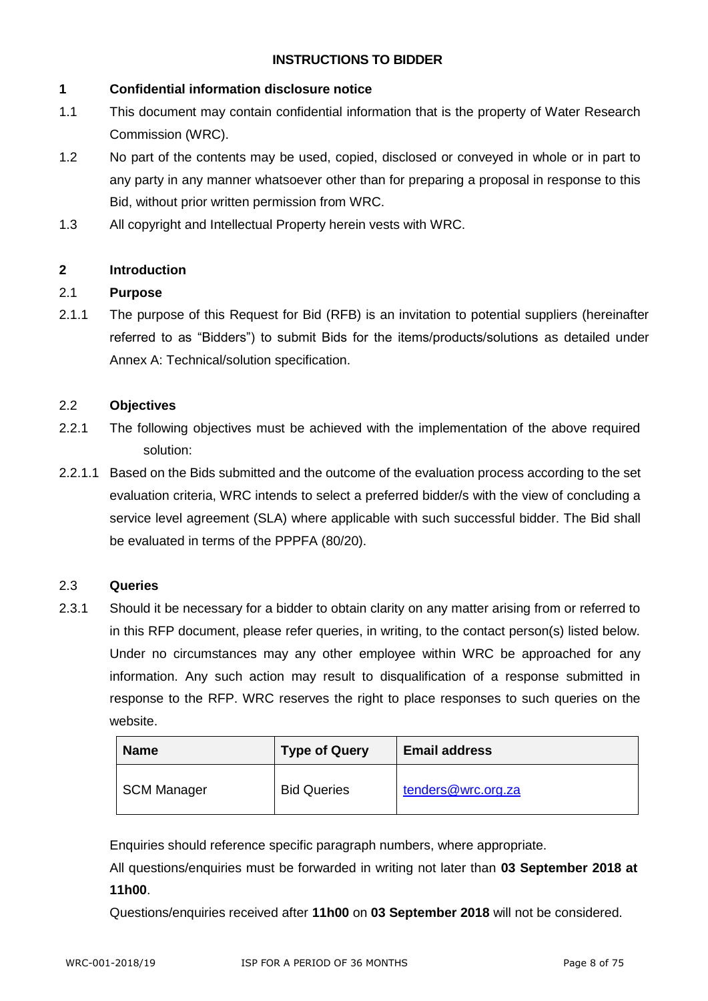#### **INSTRUCTIONS TO BIDDER**

#### **1 Confidential information disclosure notice**

- 1.1 This document may contain confidential information that is the property of Water Research Commission (WRC).
- 1.2 No part of the contents may be used, copied, disclosed or conveyed in whole or in part to any party in any manner whatsoever other than for preparing a proposal in response to this Bid, without prior written permission from WRC.
- 1.3 All copyright and Intellectual Property herein vests with WRC.

#### **2 Introduction**

#### 2.1 **Purpose**

2.1.1 The purpose of this Request for Bid (RFB) is an invitation to potential suppliers (hereinafter referred to as "Bidders") to submit Bids for the items/products/solutions as detailed under Annex A: Technical/solution specification.

#### 2.2 **Objectives**

- 2.2.1 The following objectives must be achieved with the implementation of the above required solution:
- 2.2.1.1 Based on the Bids submitted and the outcome of the evaluation process according to the set evaluation criteria, WRC intends to select a preferred bidder/s with the view of concluding a service level agreement (SLA) where applicable with such successful bidder. The Bid shall be evaluated in terms of the PPPFA (80/20).

#### 2.3 **Queries**

2.3.1 Should it be necessary for a bidder to obtain clarity on any matter arising from or referred to in this RFP document, please refer queries, in writing, to the contact person(s) listed below. Under no circumstances may any other employee within WRC be approached for any information. Any such action may result to disqualification of a response submitted in response to the RFP. WRC reserves the right to place responses to such queries on the website.

| <b>Name</b>        | <b>Type of Query</b> | <b>Email address</b> |
|--------------------|----------------------|----------------------|
| <b>SCM Manager</b> | <b>Bid Queries</b>   | tenders@wrc.org.za   |

Enquiries should reference specific paragraph numbers, where appropriate.

All questions/enquiries must be forwarded in writing not later than **03 September 2018 at 11h00**.

Questions/enquiries received after **11h00** on **03 September 2018** will not be considered.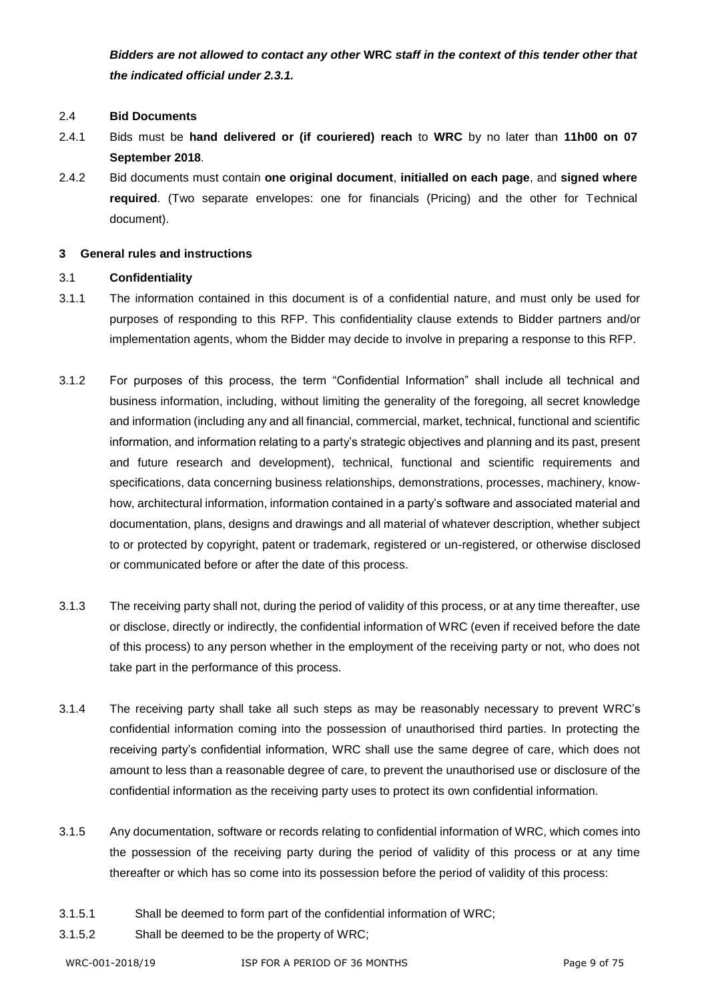*Bidders are not allowed to contact any other* **WRC** *staff in the context of this tender other that the indicated official under 2.3.1.*

#### 2.4 **Bid Documents**

- 2.4.1 Bids must be **hand delivered or (if couriered) reach** to **WRC** by no later than **11h00 on 07 September 2018**.
- 2.4.2 Bid documents must contain **one original document**, **initialled on each page**, and **signed where required**. (Two separate envelopes: one for financials (Pricing) and the other for Technical document).

#### **3 General rules and instructions**

#### 3.1 **Confidentiality**

- 3.1.1 The information contained in this document is of a confidential nature, and must only be used for purposes of responding to this RFP. This confidentiality clause extends to Bidder partners and/or implementation agents, whom the Bidder may decide to involve in preparing a response to this RFP.
- 3.1.2 For purposes of this process, the term "Confidential Information" shall include all technical and business information, including, without limiting the generality of the foregoing, all secret knowledge and information (including any and all financial, commercial, market, technical, functional and scientific information, and information relating to a party's strategic objectives and planning and its past, present and future research and development), technical, functional and scientific requirements and specifications, data concerning business relationships, demonstrations, processes, machinery, knowhow, architectural information, information contained in a party's software and associated material and documentation, plans, designs and drawings and all material of whatever description, whether subject to or protected by copyright, patent or trademark, registered or un-registered, or otherwise disclosed or communicated before or after the date of this process.
- 3.1.3 The receiving party shall not, during the period of validity of this process, or at any time thereafter, use or disclose, directly or indirectly, the confidential information of WRC (even if received before the date of this process) to any person whether in the employment of the receiving party or not, who does not take part in the performance of this process.
- 3.1.4 The receiving party shall take all such steps as may be reasonably necessary to prevent WRC's confidential information coming into the possession of unauthorised third parties. In protecting the receiving party's confidential information, WRC shall use the same degree of care, which does not amount to less than a reasonable degree of care, to prevent the unauthorised use or disclosure of the confidential information as the receiving party uses to protect its own confidential information.
- 3.1.5 Any documentation, software or records relating to confidential information of WRC, which comes into the possession of the receiving party during the period of validity of this process or at any time thereafter or which has so come into its possession before the period of validity of this process:
- 3.1.5.1 Shall be deemed to form part of the confidential information of WRC;
- 3.1.5.2 Shall be deemed to be the property of WRC;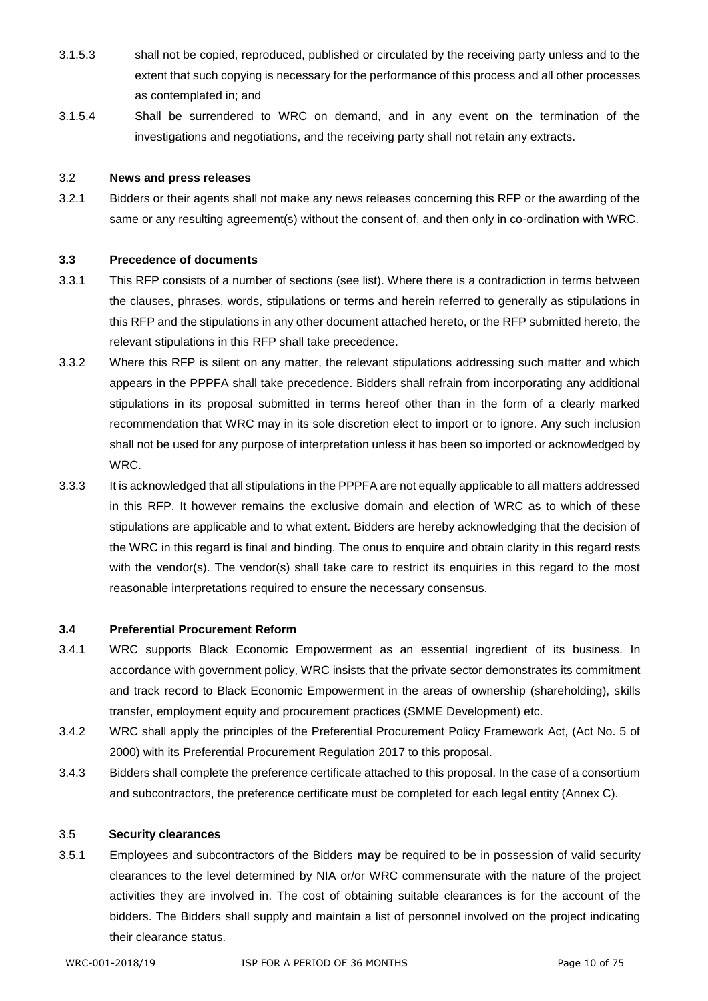- 3.1.5.3 shall not be copied, reproduced, published or circulated by the receiving party unless and to the extent that such copying is necessary for the performance of this process and all other processes as contemplated in; and
- 3.1.5.4 Shall be surrendered to WRC on demand, and in any event on the termination of the investigations and negotiations, and the receiving party shall not retain any extracts.

#### 3.2 **News and press releases**

3.2.1 Bidders or their agents shall not make any news releases concerning this RFP or the awarding of the same or any resulting agreement(s) without the consent of, and then only in co-ordination with WRC.

#### **3.3 Precedence of documents**

- 3.3.1 This RFP consists of a number of sections (see list). Where there is a contradiction in terms between the clauses, phrases, words, stipulations or terms and herein referred to generally as stipulations in this RFP and the stipulations in any other document attached hereto, or the RFP submitted hereto, the relevant stipulations in this RFP shall take precedence.
- 3.3.2 Where this RFP is silent on any matter, the relevant stipulations addressing such matter and which appears in the PPPFA shall take precedence. Bidders shall refrain from incorporating any additional stipulations in its proposal submitted in terms hereof other than in the form of a clearly marked recommendation that WRC may in its sole discretion elect to import or to ignore. Any such inclusion shall not be used for any purpose of interpretation unless it has been so imported or acknowledged by WRC.
- 3.3.3 It is acknowledged that all stipulations in the PPPFA are not equally applicable to all matters addressed in this RFP. It however remains the exclusive domain and election of WRC as to which of these stipulations are applicable and to what extent. Bidders are hereby acknowledging that the decision of the WRC in this regard is final and binding. The onus to enquire and obtain clarity in this regard rests with the vendor(s). The vendor(s) shall take care to restrict its enquiries in this regard to the most reasonable interpretations required to ensure the necessary consensus.

#### **3.4 Preferential Procurement Reform**

- 3.4.1 WRC supports Black Economic Empowerment as an essential ingredient of its business. In accordance with government policy, WRC insists that the private sector demonstrates its commitment and track record to Black Economic Empowerment in the areas of ownership (shareholding), skills transfer, employment equity and procurement practices (SMME Development) etc.
- 3.4.2 WRC shall apply the principles of the Preferential Procurement Policy Framework Act, (Act No. 5 of 2000) with its Preferential Procurement Regulation 2017 to this proposal.
- 3.4.3 Bidders shall complete the preference certificate attached to this proposal. In the case of a consortium and subcontractors, the preference certificate must be completed for each legal entity (Annex C).

#### 3.5 **Security clearances**

3.5.1 Employees and subcontractors of the Bidders **may** be required to be in possession of valid security clearances to the level determined by NIA or/or WRC commensurate with the nature of the project activities they are involved in. The cost of obtaining suitable clearances is for the account of the bidders. The Bidders shall supply and maintain a list of personnel involved on the project indicating their clearance status.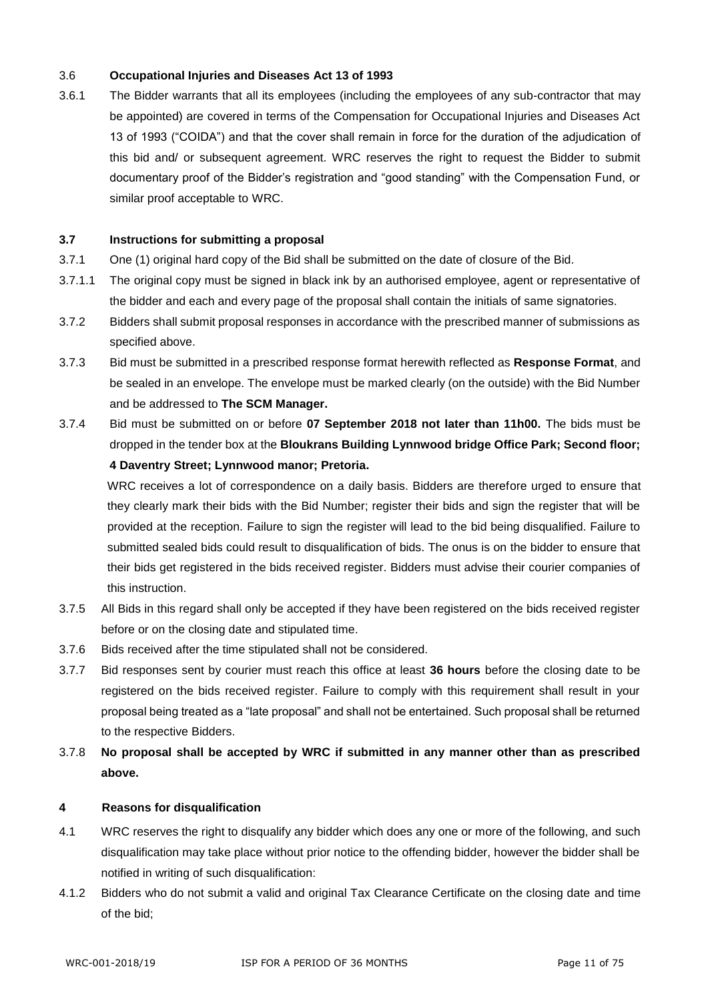#### 3.6 **Occupational Injuries and Diseases Act 13 of 1993**

3.6.1 The Bidder warrants that all its employees (including the employees of any sub-contractor that may be appointed) are covered in terms of the Compensation for Occupational Injuries and Diseases Act 13 of 1993 ("COIDA") and that the cover shall remain in force for the duration of the adjudication of this bid and/ or subsequent agreement. WRC reserves the right to request the Bidder to submit documentary proof of the Bidder's registration and "good standing" with the Compensation Fund, or similar proof acceptable to WRC.

#### **3.7 Instructions for submitting a proposal**

- 3.7.1 One (1) original hard copy of the Bid shall be submitted on the date of closure of the Bid.
- 3.7.1.1 The original copy must be signed in black ink by an authorised employee, agent or representative of the bidder and each and every page of the proposal shall contain the initials of same signatories.
- 3.7.2 Bidders shall submit proposal responses in accordance with the prescribed manner of submissions as specified above.
- 3.7.3 Bid must be submitted in a prescribed response format herewith reflected as **Response Format**, and be sealed in an envelope. The envelope must be marked clearly (on the outside) with the Bid Number and be addressed to **The SCM Manager.**
- 3.7.4 Bid must be submitted on or before **07 September 2018 not later than 11h00.** The bids must be dropped in the tender box at the **Bloukrans Building Lynnwood bridge Office Park; Second floor; 4 Daventry Street; Lynnwood manor; Pretoria.**

WRC receives a lot of correspondence on a daily basis. Bidders are therefore urged to ensure that they clearly mark their bids with the Bid Number; register their bids and sign the register that will be provided at the reception. Failure to sign the register will lead to the bid being disqualified. Failure to submitted sealed bids could result to disqualification of bids. The onus is on the bidder to ensure that their bids get registered in the bids received register. Bidders must advise their courier companies of this instruction.

- 3.7.5 All Bids in this regard shall only be accepted if they have been registered on the bids received register before or on the closing date and stipulated time.
- 3.7.6 Bids received after the time stipulated shall not be considered.
- 3.7.7 Bid responses sent by courier must reach this office at least **36 hours** before the closing date to be registered on the bids received register. Failure to comply with this requirement shall result in your proposal being treated as a "late proposal" and shall not be entertained. Such proposal shall be returned to the respective Bidders.
- 3.7.8 **No proposal shall be accepted by WRC if submitted in any manner other than as prescribed above.**

#### **4 Reasons for disqualification**

- 4.1 WRC reserves the right to disqualify any bidder which does any one or more of the following, and such disqualification may take place without prior notice to the offending bidder, however the bidder shall be notified in writing of such disqualification:
- 4.1.2 Bidders who do not submit a valid and original Tax Clearance Certificate on the closing date and time of the bid;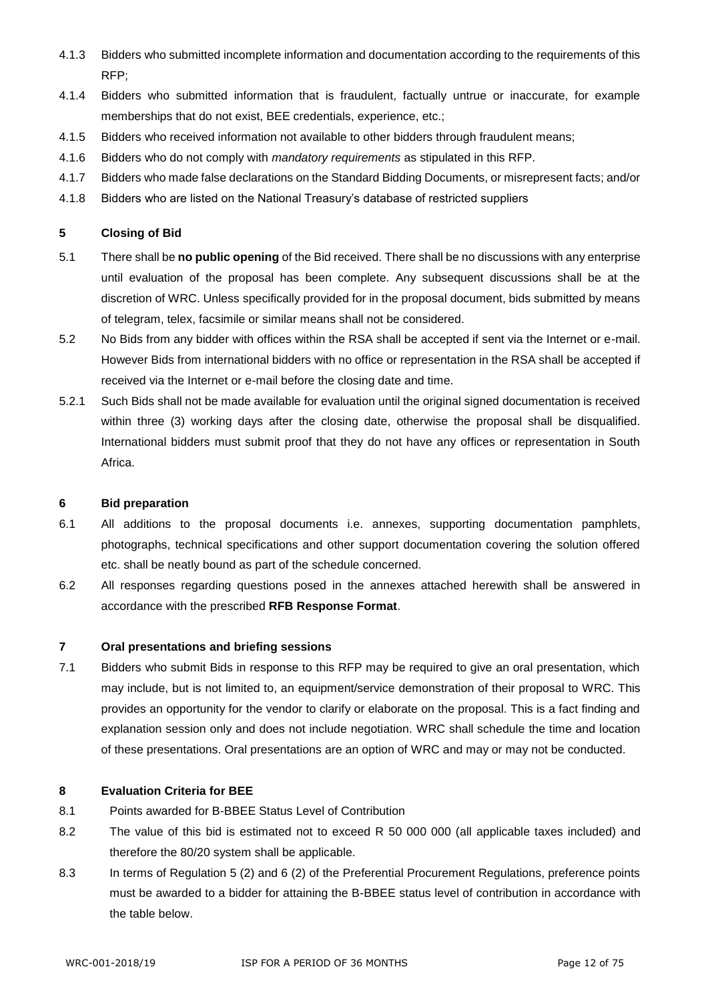- 4.1.3 Bidders who submitted incomplete information and documentation according to the requirements of this RFP;
- 4.1.4 Bidders who submitted information that is fraudulent, factually untrue or inaccurate, for example memberships that do not exist, BEE credentials, experience, etc.;
- 4.1.5 Bidders who received information not available to other bidders through fraudulent means;
- 4.1.6 Bidders who do not comply with *mandatory requirements* as stipulated in this RFP.
- 4.1.7 Bidders who made false declarations on the Standard Bidding Documents, or misrepresent facts; and/or
- 4.1.8 Bidders who are listed on the National Treasury's database of restricted suppliers

#### **5 Closing of Bid**

- 5.1 There shall be **no public opening** of the Bid received. There shall be no discussions with any enterprise until evaluation of the proposal has been complete. Any subsequent discussions shall be at the discretion of WRC. Unless specifically provided for in the proposal document, bids submitted by means of telegram, telex, facsimile or similar means shall not be considered.
- 5.2 No Bids from any bidder with offices within the RSA shall be accepted if sent via the Internet or e-mail. However Bids from international bidders with no office or representation in the RSA shall be accepted if received via the Internet or e-mail before the closing date and time.
- 5.2.1 Such Bids shall not be made available for evaluation until the original signed documentation is received within three (3) working days after the closing date, otherwise the proposal shall be disqualified. International bidders must submit proof that they do not have any offices or representation in South Africa.

#### **6 Bid preparation**

- 6.1 All additions to the proposal documents i.e. annexes, supporting documentation pamphlets, photographs, technical specifications and other support documentation covering the solution offered etc. shall be neatly bound as part of the schedule concerned.
- 6.2 All responses regarding questions posed in the annexes attached herewith shall be answered in accordance with the prescribed **RFB Response Format**.

#### **7 Oral presentations and briefing sessions**

7.1 Bidders who submit Bids in response to this RFP may be required to give an oral presentation, which may include, but is not limited to, an equipment/service demonstration of their proposal to WRC. This provides an opportunity for the vendor to clarify or elaborate on the proposal. This is a fact finding and explanation session only and does not include negotiation. WRC shall schedule the time and location of these presentations. Oral presentations are an option of WRC and may or may not be conducted.

#### **8 Evaluation Criteria for BEE**

- 8.1 Points awarded for B-BBEE Status Level of Contribution
- 8.2 The value of this bid is estimated not to exceed R 50 000 000 (all applicable taxes included) and therefore the 80/20 system shall be applicable.
- 8.3 In terms of Regulation 5 (2) and 6 (2) of the Preferential Procurement Regulations, preference points must be awarded to a bidder for attaining the B-BBEE status level of contribution in accordance with the table below.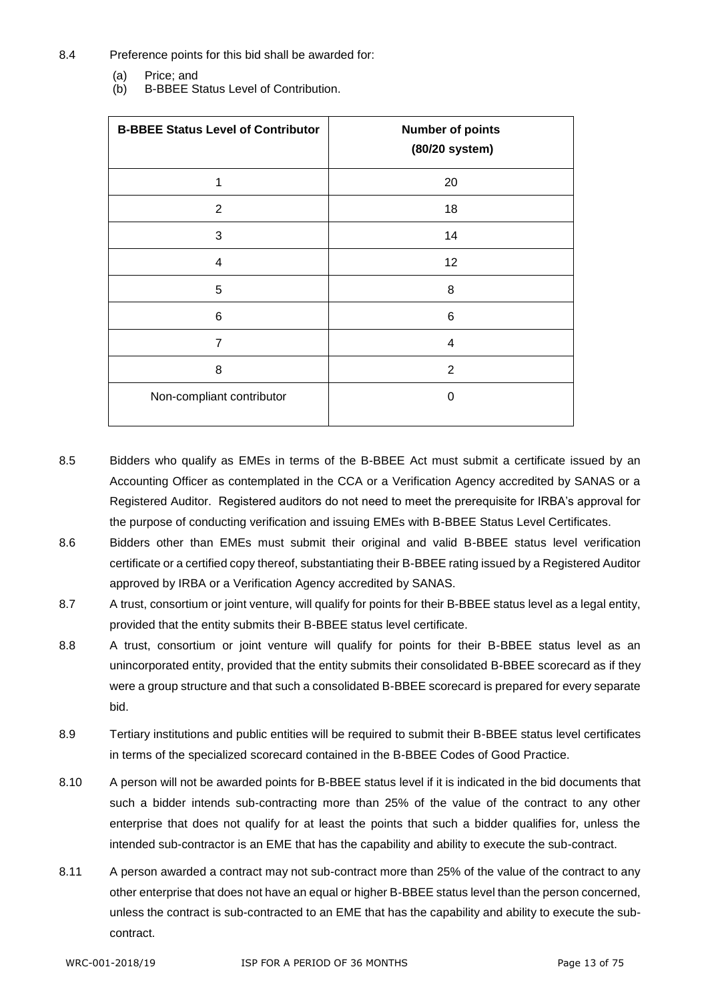- 8.4 Preference points for this bid shall be awarded for:
	- (a) Price; and
	- (b) B-BBEE Status Level of Contribution.

| <b>B-BBEE Status Level of Contributor</b> | <b>Number of points</b><br>(80/20 system) |
|-------------------------------------------|-------------------------------------------|
| 1                                         | 20                                        |
| 2                                         | 18                                        |
| 3                                         | 14                                        |
| 4                                         | 12                                        |
| 5                                         | 8                                         |
| 6                                         | 6                                         |
| $\overline{7}$                            | 4                                         |
| 8                                         | $\overline{2}$                            |
| Non-compliant contributor                 | 0                                         |

- 8.5 Bidders who qualify as EMEs in terms of the B-BBEE Act must submit a certificate issued by an Accounting Officer as contemplated in the CCA or a Verification Agency accredited by SANAS or a Registered Auditor. Registered auditors do not need to meet the prerequisite for IRBA's approval for the purpose of conducting verification and issuing EMEs with B-BBEE Status Level Certificates.
- 8.6 Bidders other than EMEs must submit their original and valid B-BBEE status level verification certificate or a certified copy thereof, substantiating their B-BBEE rating issued by a Registered Auditor approved by IRBA or a Verification Agency accredited by SANAS.
- 8.7 A trust, consortium or joint venture, will qualify for points for their B-BBEE status level as a legal entity, provided that the entity submits their B-BBEE status level certificate.
- 8.8 A trust, consortium or joint venture will qualify for points for their B-BBEE status level as an unincorporated entity, provided that the entity submits their consolidated B-BBEE scorecard as if they were a group structure and that such a consolidated B-BBEE scorecard is prepared for every separate bid.
- 8.9 Tertiary institutions and public entities will be required to submit their B-BBEE status level certificates in terms of the specialized scorecard contained in the B-BBEE Codes of Good Practice.
- 8.10 A person will not be awarded points for B-BBEE status level if it is indicated in the bid documents that such a bidder intends sub-contracting more than 25% of the value of the contract to any other enterprise that does not qualify for at least the points that such a bidder qualifies for, unless the intended sub-contractor is an EME that has the capability and ability to execute the sub-contract.
- 8.11 A person awarded a contract may not sub-contract more than 25% of the value of the contract to any other enterprise that does not have an equal or higher B-BBEE status level than the person concerned, unless the contract is sub-contracted to an EME that has the capability and ability to execute the subcontract.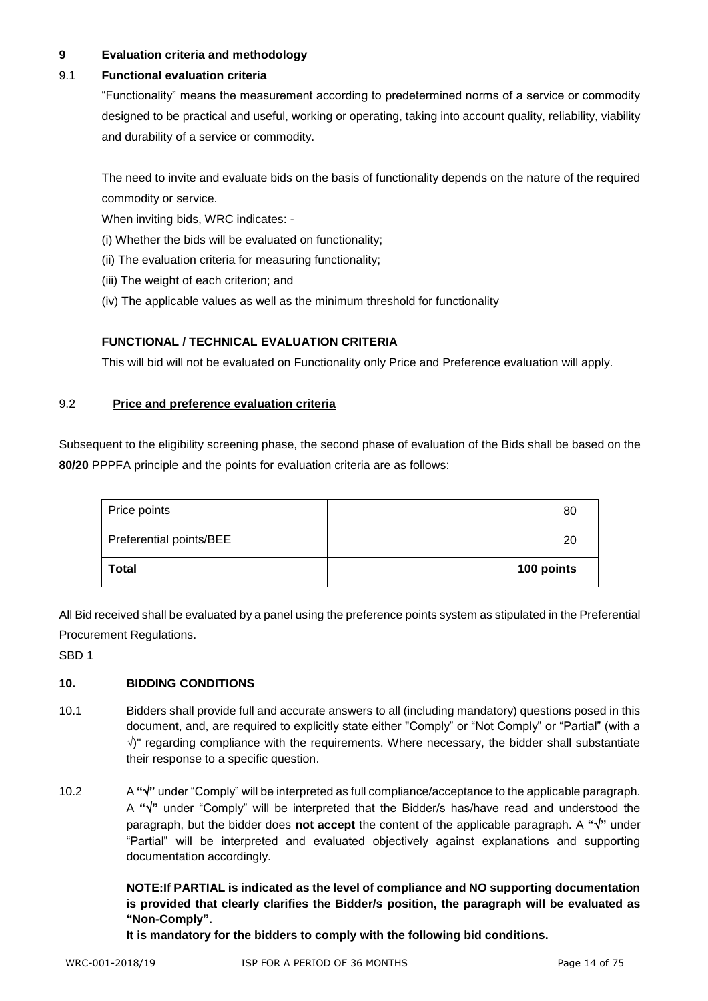#### **9 Evaluation criteria and methodology**

#### 9.1 **Functional evaluation criteria**

"Functionality" means the measurement according to predetermined norms of a service or commodity designed to be practical and useful, working or operating, taking into account quality, reliability, viability and durability of a service or commodity.

The need to invite and evaluate bids on the basis of functionality depends on the nature of the required commodity or service.

When inviting bids, WRC indicates: -

- (i) Whether the bids will be evaluated on functionality;
- (ii) The evaluation criteria for measuring functionality;
- (iii) The weight of each criterion; and
- (iv) The applicable values as well as the minimum threshold for functionality

#### **FUNCTIONAL / TECHNICAL EVALUATION CRITERIA**

This will bid will not be evaluated on Functionality only Price and Preference evaluation will apply.

#### 9.2 **Price and preference evaluation criteria**

Subsequent to the eligibility screening phase, the second phase of evaluation of the Bids shall be based on the **80/20** PPPFA principle and the points for evaluation criteria are as follows:

| Price points            | 80         |
|-------------------------|------------|
| Preferential points/BEE | 20         |
| Total                   | 100 points |

All Bid received shall be evaluated by a panel using the preference points system as stipulated in the Preferential Procurement Regulations.

SBD 1

#### **10. BIDDING CONDITIONS**

- 10.1 Bidders shall provide full and accurate answers to all (including mandatory) questions posed in this document, and, are required to explicitly state either "Comply" or "Not Comply" or "Partial" (with a  $\sqrt{ }$ " regarding compliance with the requirements. Where necessary, the bidder shall substantiate their response to a specific question.
- 10.2 A **""** under "Comply" will be interpreted as full compliance/acceptance to the applicable paragraph. A **""** under "Comply" will be interpreted that the Bidder/s has/have read and understood the paragraph, but the bidder does **not accept** the content of the applicable paragraph. A **""** under "Partial" will be interpreted and evaluated objectively against explanations and supporting documentation accordingly.

**NOTE:If PARTIAL is indicated as the level of compliance and NO supporting documentation is provided that clearly clarifies the Bidder/s position, the paragraph will be evaluated as "Non-Comply".** 

**It is mandatory for the bidders to comply with the following bid conditions.**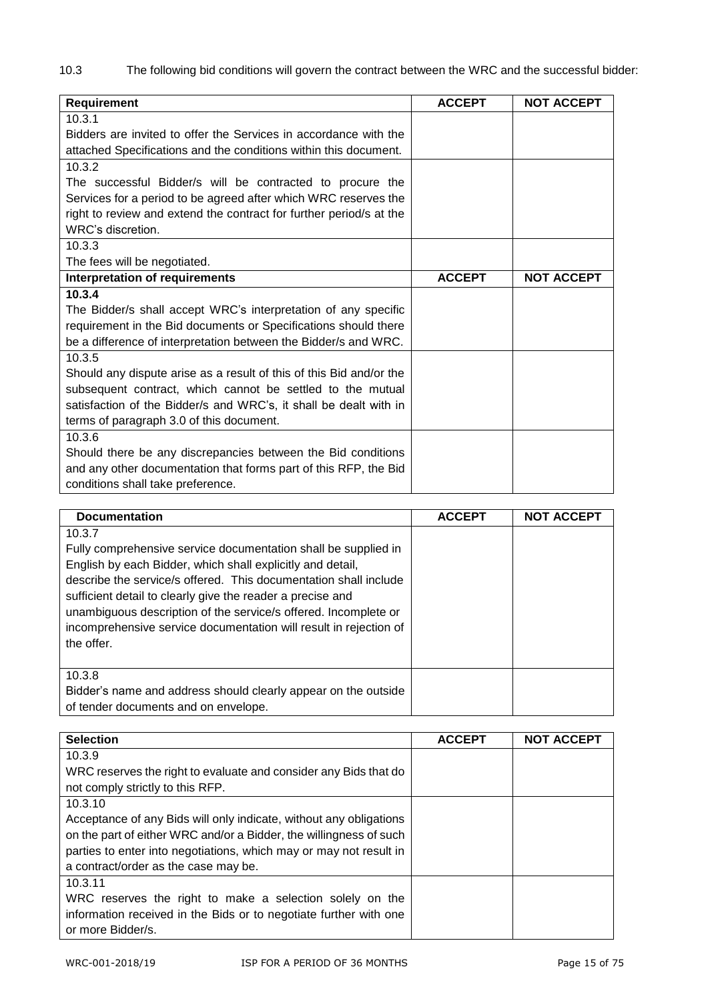10.3 The following bid conditions will govern the contract between the WRC and the successful bidder:

| Requirement                                                         | <b>ACCEPT</b> | <b>NOT ACCEPT</b> |
|---------------------------------------------------------------------|---------------|-------------------|
| 10.3.1                                                              |               |                   |
| Bidders are invited to offer the Services in accordance with the    |               |                   |
| attached Specifications and the conditions within this document.    |               |                   |
| 10.3.2                                                              |               |                   |
| The successful Bidder/s will be contracted to procure the           |               |                   |
| Services for a period to be agreed after which WRC reserves the     |               |                   |
| right to review and extend the contract for further period/s at the |               |                   |
| WRC's discretion.                                                   |               |                   |
| 10.3.3                                                              |               |                   |
| The fees will be negotiated.                                        |               |                   |
| <b>Interpretation of requirements</b>                               | <b>ACCEPT</b> | <b>NOT ACCEPT</b> |
| 10.3.4                                                              |               |                   |
| The Bidder/s shall accept WRC's interpretation of any specific      |               |                   |
| requirement in the Bid documents or Specifications should there     |               |                   |
| be a difference of interpretation between the Bidder/s and WRC.     |               |                   |
| 10.3.5                                                              |               |                   |
| Should any dispute arise as a result of this of this Bid and/or the |               |                   |
| subsequent contract, which cannot be settled to the mutual          |               |                   |
| satisfaction of the Bidder/s and WRC's, it shall be dealt with in   |               |                   |
| terms of paragraph 3.0 of this document.                            |               |                   |
| 10.3.6                                                              |               |                   |
| Should there be any discrepancies between the Bid conditions        |               |                   |
| and any other documentation that forms part of this RFP, the Bid    |               |                   |
| conditions shall take preference.                                   |               |                   |

| <b>Documentation</b>                                                                                                                                                                                                                                                                                                                                                                                                           | <b>ACCEPT</b> | <b>NOT ACCEPT</b> |
|--------------------------------------------------------------------------------------------------------------------------------------------------------------------------------------------------------------------------------------------------------------------------------------------------------------------------------------------------------------------------------------------------------------------------------|---------------|-------------------|
| 10.3.7<br>Fully comprehensive service documentation shall be supplied in<br>English by each Bidder, which shall explicitly and detail,<br>describe the service/s offered. This documentation shall include<br>sufficient detail to clearly give the reader a precise and<br>unambiguous description of the service/s offered. Incomplete or<br>incomprehensive service documentation will result in rejection of<br>the offer. |               |                   |
| 10.3.8<br>Bidder's name and address should clearly appear on the outside<br>of tender documents and on envelope.                                                                                                                                                                                                                                                                                                               |               |                   |

| <b>Selection</b>                                                   | <b>ACCEPT</b> | <b>NOT ACCEPT</b> |
|--------------------------------------------------------------------|---------------|-------------------|
| 10.3.9                                                             |               |                   |
| WRC reserves the right to evaluate and consider any Bids that do   |               |                   |
| not comply strictly to this RFP.                                   |               |                   |
| 10.3.10                                                            |               |                   |
| Acceptance of any Bids will only indicate, without any obligations |               |                   |
| on the part of either WRC and/or a Bidder, the willingness of such |               |                   |
| parties to enter into negotiations, which may or may not result in |               |                   |
| a contract/order as the case may be.                               |               |                   |
| 10.3.11                                                            |               |                   |
| WRC reserves the right to make a selection solely on the           |               |                   |
| information received in the Bids or to negotiate further with one  |               |                   |
| or more Bidder/s.                                                  |               |                   |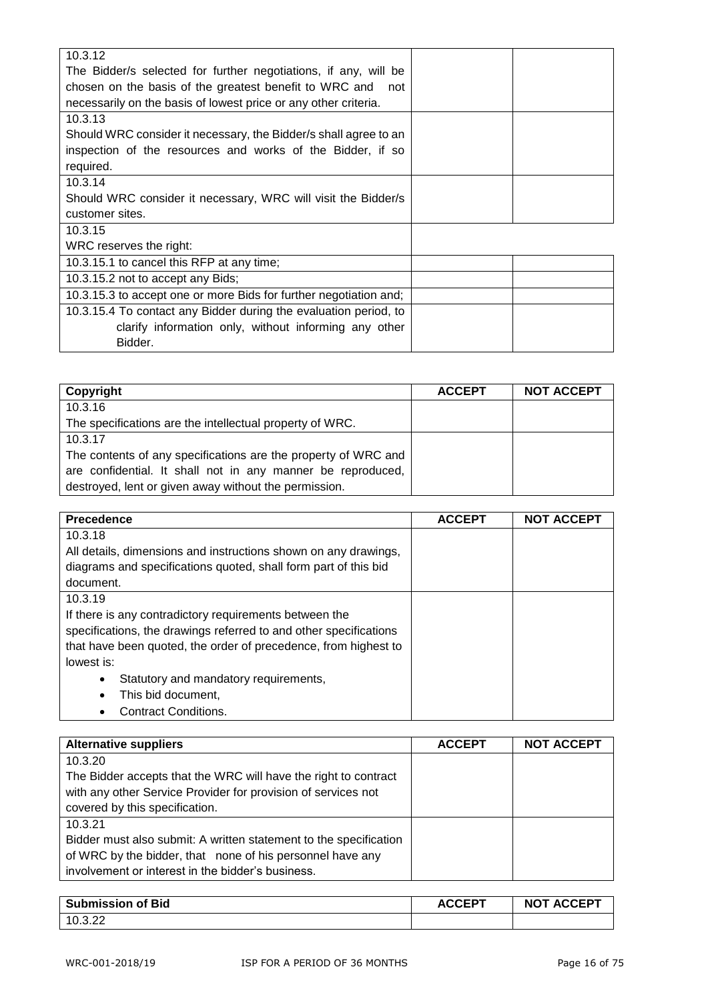| 10.3.12                                                           |  |
|-------------------------------------------------------------------|--|
| The Bidder/s selected for further negotiations, if any, will be   |  |
| chosen on the basis of the greatest benefit to WRC and<br>not     |  |
| necessarily on the basis of lowest price or any other criteria.   |  |
| 10.3.13                                                           |  |
| Should WRC consider it necessary, the Bidder/s shall agree to an  |  |
| inspection of the resources and works of the Bidder, if so        |  |
| required.                                                         |  |
| 10.3.14                                                           |  |
| Should WRC consider it necessary, WRC will visit the Bidder/s     |  |
| customer sites.                                                   |  |
| 10.3.15                                                           |  |
| WRC reserves the right:                                           |  |
| 10.3.15.1 to cancel this RFP at any time;                         |  |
| 10.3.15.2 not to accept any Bids;                                 |  |
| 10.3.15.3 to accept one or more Bids for further negotiation and; |  |
| 10.3.15.4 To contact any Bidder during the evaluation period, to  |  |
| clarify information only, without informing any other             |  |
| Bidder.                                                           |  |
|                                                                   |  |

| Copyright                                                      | <b>ACCEPT</b> | <b>NOT ACCEPT</b> |
|----------------------------------------------------------------|---------------|-------------------|
| 10.3.16                                                        |               |                   |
| The specifications are the intellectual property of WRC.       |               |                   |
| 10.3.17                                                        |               |                   |
| The contents of any specifications are the property of WRC and |               |                   |
| are confidential. It shall not in any manner be reproduced,    |               |                   |
| destroyed, lent or given away without the permission.          |               |                   |

| <b>Precedence</b>                                                 | <b>ACCEPT</b> | <b>NOT ACCEPT</b> |
|-------------------------------------------------------------------|---------------|-------------------|
| 10.3.18                                                           |               |                   |
| All details, dimensions and instructions shown on any drawings,   |               |                   |
| diagrams and specifications quoted, shall form part of this bid   |               |                   |
| document.                                                         |               |                   |
| 10.3.19                                                           |               |                   |
| If there is any contradictory requirements between the            |               |                   |
| specifications, the drawings referred to and other specifications |               |                   |
| that have been quoted, the order of precedence, from highest to   |               |                   |
| lowest is:                                                        |               |                   |
| Statutory and mandatory requirements,<br>$\bullet$                |               |                   |
| This bid document,<br>$\bullet$                                   |               |                   |
| Contract Conditions.                                              |               |                   |

| <b>Alternative suppliers</b>                                      | <b>ACCEPT</b> | <b>NOT ACCEPT</b> |
|-------------------------------------------------------------------|---------------|-------------------|
| 10.3.20                                                           |               |                   |
| The Bidder accepts that the WRC will have the right to contract   |               |                   |
| with any other Service Provider for provision of services not     |               |                   |
| covered by this specification.                                    |               |                   |
| 10.3.21                                                           |               |                   |
| Bidder must also submit: A written statement to the specification |               |                   |
| of WRC by the bidder, that none of his personnel have any         |               |                   |
| involvement or interest in the bidder's business.                 |               |                   |

| <b>Submission of Bid</b> | <b>ACCEPT</b> | <b>NOT ACCEPT</b> |
|--------------------------|---------------|-------------------|
| 10.3.22                  |               |                   |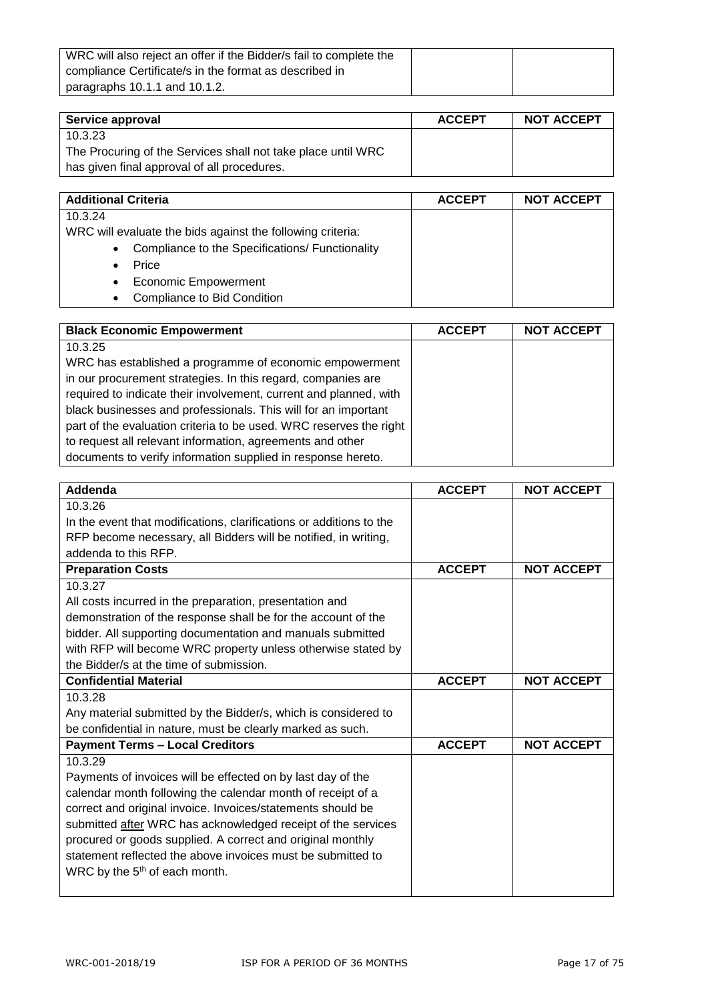| WRC will also reject an offer if the Bidder/s fail to complete the |  |
|--------------------------------------------------------------------|--|
| compliance Certificate/s in the format as described in             |  |
| paragraphs 10.1.1 and 10.1.2.                                      |  |

| Service approval                                             | <b>ACCEPT</b> | <b>NOT ACCEPT</b> |
|--------------------------------------------------------------|---------------|-------------------|
| 10.3.23                                                      |               |                   |
| The Procuring of the Services shall not take place until WRC |               |                   |
| has given final approval of all procedures.                  |               |                   |

| <b>Additional Criteria</b>                                 | <b>ACCEPT</b> | <b>NOT ACCEPT</b> |
|------------------------------------------------------------|---------------|-------------------|
| 10.3.24                                                    |               |                   |
| WRC will evaluate the bids against the following criteria: |               |                   |
| • Compliance to the Specifications/ Functionality          |               |                   |
| Price<br>$\bullet$                                         |               |                   |
| <b>Economic Empowerment</b><br>$\bullet$                   |               |                   |
| Compliance to Bid Condition<br>$\bullet$                   |               |                   |

| <b>Black Economic Empowerment</b>                                  | <b>ACCEPT</b> | <b>NOT ACCEPT</b> |
|--------------------------------------------------------------------|---------------|-------------------|
| 10.3.25                                                            |               |                   |
| WRC has established a programme of economic empowerment            |               |                   |
| in our procurement strategies. In this regard, companies are       |               |                   |
| required to indicate their involvement, current and planned, with  |               |                   |
| black businesses and professionals. This will for an important     |               |                   |
| part of the evaluation criteria to be used. WRC reserves the right |               |                   |
| to request all relevant information, agreements and other          |               |                   |
| documents to verify information supplied in response hereto.       |               |                   |

| Addenda                                                             | <b>ACCEPT</b> | <b>NOT ACCEPT</b> |
|---------------------------------------------------------------------|---------------|-------------------|
| 10.3.26                                                             |               |                   |
| In the event that modifications, clarifications or additions to the |               |                   |
| RFP become necessary, all Bidders will be notified, in writing,     |               |                   |
| addenda to this RFP.                                                |               |                   |
| <b>Preparation Costs</b>                                            | <b>ACCEPT</b> | <b>NOT ACCEPT</b> |
| 10.3.27                                                             |               |                   |
| All costs incurred in the preparation, presentation and             |               |                   |
| demonstration of the response shall be for the account of the       |               |                   |
| bidder. All supporting documentation and manuals submitted          |               |                   |
| with RFP will become WRC property unless otherwise stated by        |               |                   |
| the Bidder/s at the time of submission.                             |               |                   |
| <b>Confidential Material</b>                                        | <b>ACCEPT</b> | <b>NOT ACCEPT</b> |
| 10.3.28                                                             |               |                   |
| Any material submitted by the Bidder/s, which is considered to      |               |                   |
| be confidential in nature, must be clearly marked as such.          |               |                   |
| <b>Payment Terms - Local Creditors</b>                              | <b>ACCEPT</b> | <b>NOT ACCEPT</b> |
| 10.3.29                                                             |               |                   |
| Payments of invoices will be effected on by last day of the         |               |                   |
| calendar month following the calendar month of receipt of a         |               |                   |
| correct and original invoice. Invoices/statements should be         |               |                   |
| submitted after WRC has acknowledged receipt of the services        |               |                   |
| procured or goods supplied. A correct and original monthly          |               |                   |
| statement reflected the above invoices must be submitted to         |               |                   |
| WRC by the 5 <sup>th</sup> of each month.                           |               |                   |
|                                                                     |               |                   |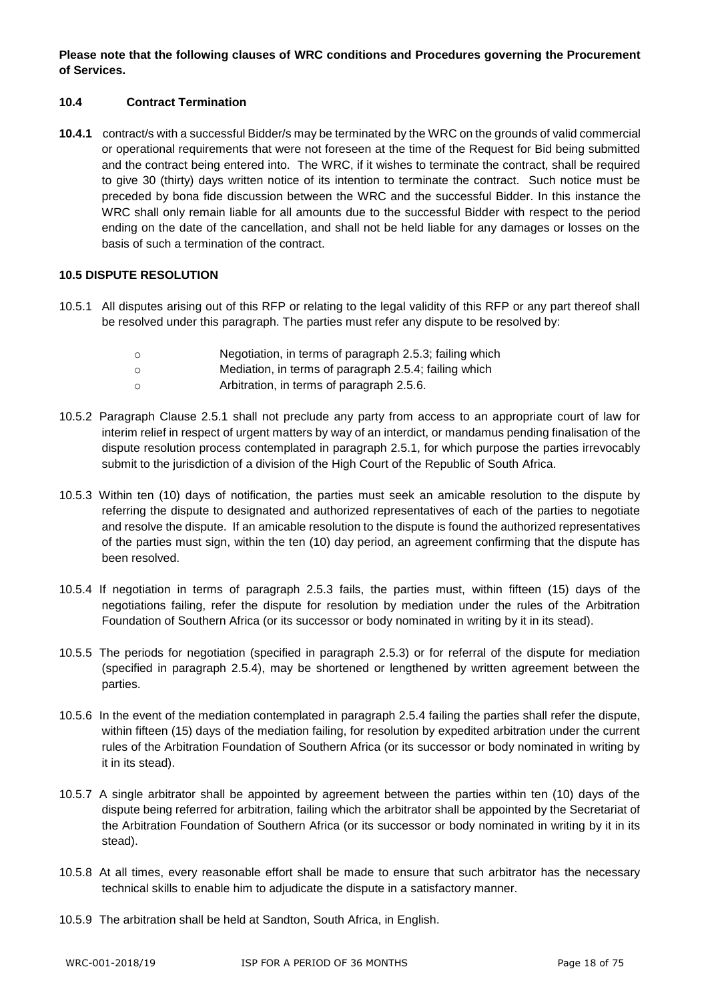**Please note that the following clauses of WRC conditions and Procedures governing the Procurement of Services.**

#### **10.4 Contract Termination**

**10.4.1** contract/s with a successful Bidder/s may be terminated by the WRC on the grounds of valid commercial or operational requirements that were not foreseen at the time of the Request for Bid being submitted and the contract being entered into. The WRC, if it wishes to terminate the contract, shall be required to give 30 (thirty) days written notice of its intention to terminate the contract. Such notice must be preceded by bona fide discussion between the WRC and the successful Bidder. In this instance the WRC shall only remain liable for all amounts due to the successful Bidder with respect to the period ending on the date of the cancellation, and shall not be held liable for any damages or losses on the basis of such a termination of the contract.

#### **10.5 DISPUTE RESOLUTION**

- 10.5.1 All disputes arising out of this RFP or relating to the legal validity of this RFP or any part thereof shall be resolved under this paragraph. The parties must refer any dispute to be resolved by:
	- o Negotiation, in terms of paragraph 2.5.3; failing which
	- o Mediation, in terms of paragraph 2.5.4; failing which
	- o Arbitration, in terms of paragraph 2.5.6.
- 10.5.2 Paragraph Clause 2.5.1 shall not preclude any party from access to an appropriate court of law for interim relief in respect of urgent matters by way of an interdict, or mandamus pending finalisation of the dispute resolution process contemplated in paragraph 2.5.1, for which purpose the parties irrevocably submit to the jurisdiction of a division of the High Court of the Republic of South Africa.
- 10.5.3 Within ten (10) days of notification, the parties must seek an amicable resolution to the dispute by referring the dispute to designated and authorized representatives of each of the parties to negotiate and resolve the dispute. If an amicable resolution to the dispute is found the authorized representatives of the parties must sign, within the ten (10) day period, an agreement confirming that the dispute has been resolved.
- 10.5.4 If negotiation in terms of paragraph 2.5.3 fails, the parties must, within fifteen (15) days of the negotiations failing, refer the dispute for resolution by mediation under the rules of the Arbitration Foundation of Southern Africa (or its successor or body nominated in writing by it in its stead).
- 10.5.5 The periods for negotiation (specified in paragraph 2.5.3) or for referral of the dispute for mediation (specified in paragraph 2.5.4), may be shortened or lengthened by written agreement between the parties.
- 10.5.6 In the event of the mediation contemplated in paragraph 2.5.4 failing the parties shall refer the dispute, within fifteen (15) days of the mediation failing, for resolution by expedited arbitration under the current rules of the Arbitration Foundation of Southern Africa (or its successor or body nominated in writing by it in its stead).
- 10.5.7 A single arbitrator shall be appointed by agreement between the parties within ten (10) days of the dispute being referred for arbitration, failing which the arbitrator shall be appointed by the Secretariat of the Arbitration Foundation of Southern Africa (or its successor or body nominated in writing by it in its stead).
- 10.5.8 At all times, every reasonable effort shall be made to ensure that such arbitrator has the necessary technical skills to enable him to adjudicate the dispute in a satisfactory manner.
- 10.5.9 The arbitration shall be held at Sandton, South Africa, in English.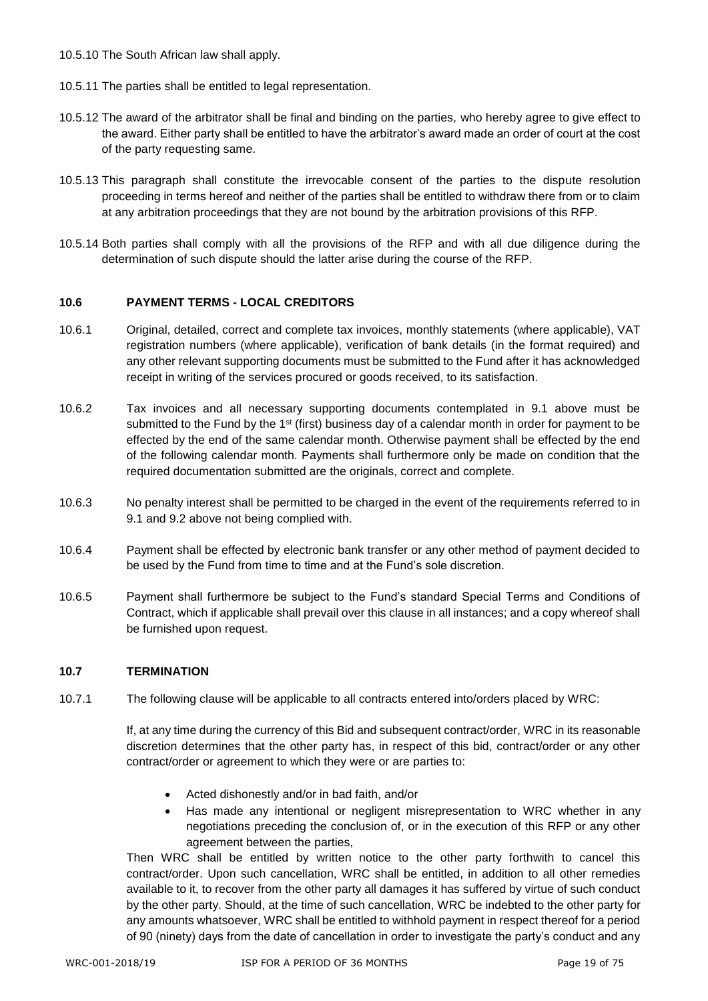- 10.5.10 The South African law shall apply.
- 10.5.11 The parties shall be entitled to legal representation.
- 10.5.12 The award of the arbitrator shall be final and binding on the parties, who hereby agree to give effect to the award. Either party shall be entitled to have the arbitrator's award made an order of court at the cost of the party requesting same.
- 10.5.13 This paragraph shall constitute the irrevocable consent of the parties to the dispute resolution proceeding in terms hereof and neither of the parties shall be entitled to withdraw there from or to claim at any arbitration proceedings that they are not bound by the arbitration provisions of this RFP.
- 10.5.14 Both parties shall comply with all the provisions of the RFP and with all due diligence during the determination of such dispute should the latter arise during the course of the RFP.

#### **10.6 PAYMENT TERMS - LOCAL CREDITORS**

- 10.6.1 Original, detailed, correct and complete tax invoices, monthly statements (where applicable), VAT registration numbers (where applicable), verification of bank details (in the format required) and any other relevant supporting documents must be submitted to the Fund after it has acknowledged receipt in writing of the services procured or goods received, to its satisfaction.
- 10.6.2 Tax invoices and all necessary supporting documents contemplated in 9.1 above must be submitted to the Fund by the 1st (first) business day of a calendar month in order for payment to be effected by the end of the same calendar month. Otherwise payment shall be effected by the end of the following calendar month. Payments shall furthermore only be made on condition that the required documentation submitted are the originals, correct and complete.
- 10.6.3 No penalty interest shall be permitted to be charged in the event of the requirements referred to in 9.1 and 9.2 above not being complied with.
- 10.6.4 Payment shall be effected by electronic bank transfer or any other method of payment decided to be used by the Fund from time to time and at the Fund's sole discretion.
- 10.6.5 Payment shall furthermore be subject to the Fund's standard Special Terms and Conditions of Contract, which if applicable shall prevail over this clause in all instances; and a copy whereof shall be furnished upon request.

#### **10.7 TERMINATION**

10.7.1 The following clause will be applicable to all contracts entered into/orders placed by WRC:

If, at any time during the currency of this Bid and subsequent contract/order, WRC in its reasonable discretion determines that the other party has, in respect of this bid, contract/order or any other contract/order or agreement to which they were or are parties to:

- Acted dishonestly and/or in bad faith, and/or
- Has made any intentional or negligent misrepresentation to WRC whether in any negotiations preceding the conclusion of, or in the execution of this RFP or any other agreement between the parties,

Then WRC shall be entitled by written notice to the other party forthwith to cancel this contract/order. Upon such cancellation, WRC shall be entitled, in addition to all other remedies available to it, to recover from the other party all damages it has suffered by virtue of such conduct by the other party. Should, at the time of such cancellation, WRC be indebted to the other party for any amounts whatsoever, WRC shall be entitled to withhold payment in respect thereof for a period of 90 (ninety) days from the date of cancellation in order to investigate the party's conduct and any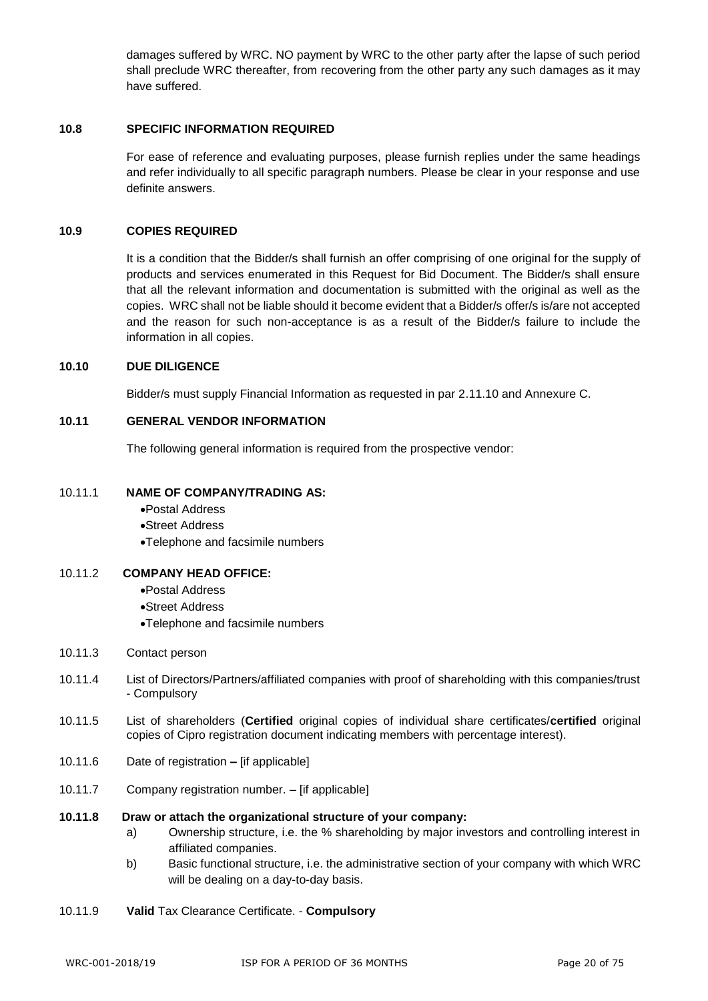damages suffered by WRC. NO payment by WRC to the other party after the lapse of such period shall preclude WRC thereafter, from recovering from the other party any such damages as it may have suffered.

#### **10.8 SPECIFIC INFORMATION REQUIRED**

For ease of reference and evaluating purposes, please furnish replies under the same headings and refer individually to all specific paragraph numbers. Please be clear in your response and use definite answers.

#### **10.9 COPIES REQUIRED**

It is a condition that the Bidder/s shall furnish an offer comprising of one original for the supply of products and services enumerated in this Request for Bid Document. The Bidder/s shall ensure that all the relevant information and documentation is submitted with the original as well as the copies. WRC shall not be liable should it become evident that a Bidder/s offer/s is/are not accepted and the reason for such non-acceptance is as a result of the Bidder/s failure to include the information in all copies.

#### **10.10 DUE DILIGENCE**

Bidder/s must supply Financial Information as requested in par 2.11.10 and Annexure C.

#### **10.11 GENERAL VENDOR INFORMATION**

The following general information is required from the prospective vendor:

#### 10.11.1 **NAME OF COMPANY/TRADING AS:**

- •Postal Address
- •Street Address
- •Telephone and facsimile numbers

#### 10.11.2 **COMPANY HEAD OFFICE:**

- •Postal Address
- •Street Address
- •Telephone and facsimile numbers
- 10.11.3 Contact person
- 10.11.4 List of Directors/Partners/affiliated companies with proof of shareholding with this companies/trust - Compulsory
- 10.11.5 List of shareholders (**Certified** original copies of individual share certificates/**certified** original copies of Cipro registration document indicating members with percentage interest).
- 10.11.6 Date of registration **–** [if applicable]
- 10.11.7 Company registration number. [if applicable]

#### **10.11.8 Draw or attach the organizational structure of your company:**

- a) Ownership structure, i.e. the % shareholding by major investors and controlling interest in affiliated companies.
- b) Basic functional structure, i.e. the administrative section of your company with which WRC will be dealing on a day-to-day basis.
- 10.11.9 **Valid** Tax Clearance Certificate. **Compulsory**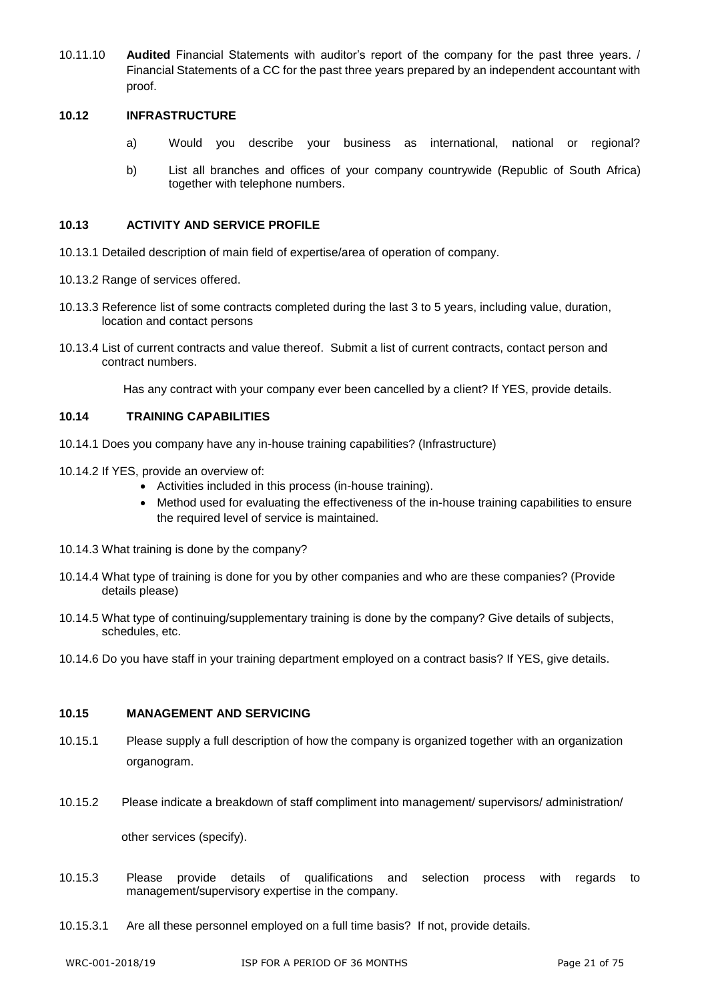10.11.10 **Audited** Financial Statements with auditor's report of the company for the past three years. / Financial Statements of a CC for the past three years prepared by an independent accountant with proof.

#### **10.12 INFRASTRUCTURE**

- a) Would you describe your business as international, national or regional?
- b) List all branches and offices of your company countrywide (Republic of South Africa) together with telephone numbers.

#### **10.13 ACTIVITY AND SERVICE PROFILE**

- 10.13.1 Detailed description of main field of expertise/area of operation of company.
- 10.13.2 Range of services offered.
- 10.13.3 Reference list of some contracts completed during the last 3 to 5 years, including value, duration, location and contact persons
- 10.13.4 List of current contracts and value thereof. Submit a list of current contracts, contact person and contract numbers.

Has any contract with your company ever been cancelled by a client? If YES, provide details.

#### **10.14 TRAINING CAPABILITIES**

- 10.14.1 Does you company have any in-house training capabilities? (Infrastructure)
- 10.14.2 If YES, provide an overview of:
	- Activities included in this process (in-house training).
	- Method used for evaluating the effectiveness of the in-house training capabilities to ensure the required level of service is maintained.
- 10.14.3 What training is done by the company?
- 10.14.4 What type of training is done for you by other companies and who are these companies? (Provide details please)
- 10.14.5 What type of continuing/supplementary training is done by the company? Give details of subjects, schedules, etc.
- 10.14.6 Do you have staff in your training department employed on a contract basis? If YES, give details.

#### **10.15 MANAGEMENT AND SERVICING**

- 10.15.1 Please supply a full description of how the company is organized together with an organization organogram.
- 10.15.2 Please indicate a breakdown of staff compliment into management/ supervisors/ administration/

other services (specify).

- 10.15.3 Please provide details of qualifications and selection process with regards to management/supervisory expertise in the company.
- 10.15.3.1 Are all these personnel employed on a full time basis? If not, provide details.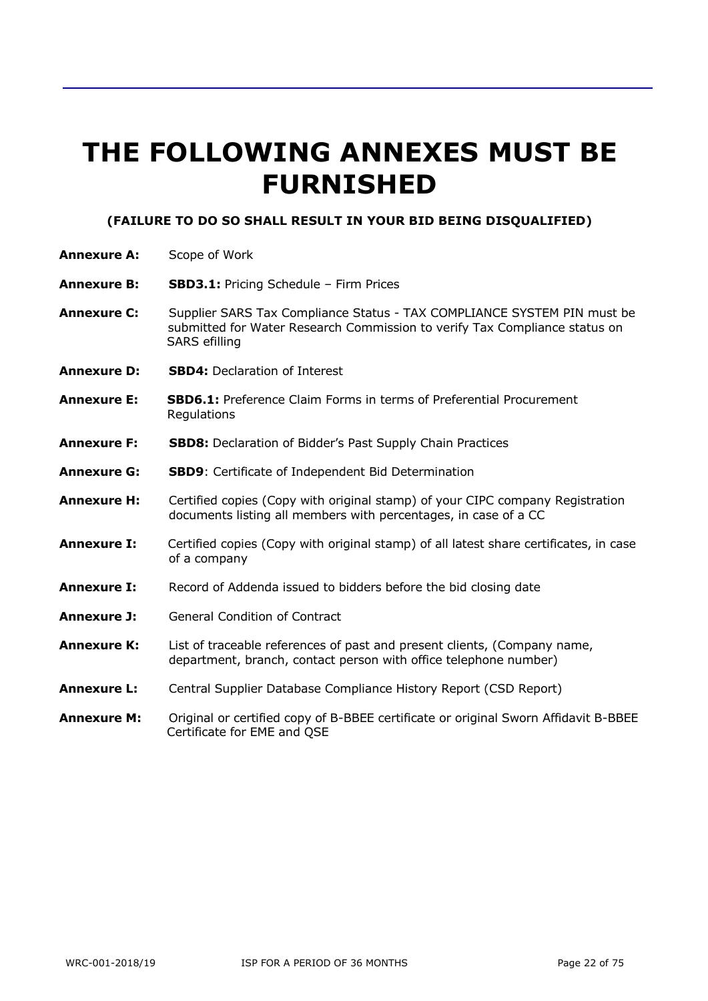# **THE FOLLOWING ANNEXES MUST BE FURNISHED**

#### **(FAILURE TO DO SO SHALL RESULT IN YOUR BID BEING DISQUALIFIED)**

- **Annexure A:** Scope of Work
- **Annexure B: SBD3.1:** Pricing Schedule Firm Prices
- **Annexure C:** Supplier SARS Tax Compliance Status TAX COMPLIANCE SYSTEM PIN must be submitted for Water Research Commission to verify Tax Compliance status on SARS efilling
- **Annexure D: SBD4:** Declaration of Interest
- **Annexure E: SBD6.1:** Preference Claim Forms in terms of Preferential Procurement **Regulations**
- **Annexure F: SBD8:** Declaration of Bidder's Past Supply Chain Practices
- **Annexure G: SBD9**: Certificate of Independent Bid Determination
- **Annexure H:** Certified copies (Copy with original stamp) of your CIPC company Registration documents listing all members with percentages, in case of a CC
- **Annexure I:** Certified copies (Copy with original stamp) of all latest share certificates, in case of a company
- **Annexure I:** Record of Addenda issued to bidders before the bid closing date
- **Annexure J:** General Condition of Contract
- **Annexure K:** List of traceable references of past and present clients, (Company name, department, branch, contact person with office telephone number)
- **Annexure L:** Central Supplier Database Compliance History Report (CSD Report)
- **Annexure M:** Original or certified copy of B-BBEE certificate or original Sworn Affidavit B-BBEE Certificate for EME and QSE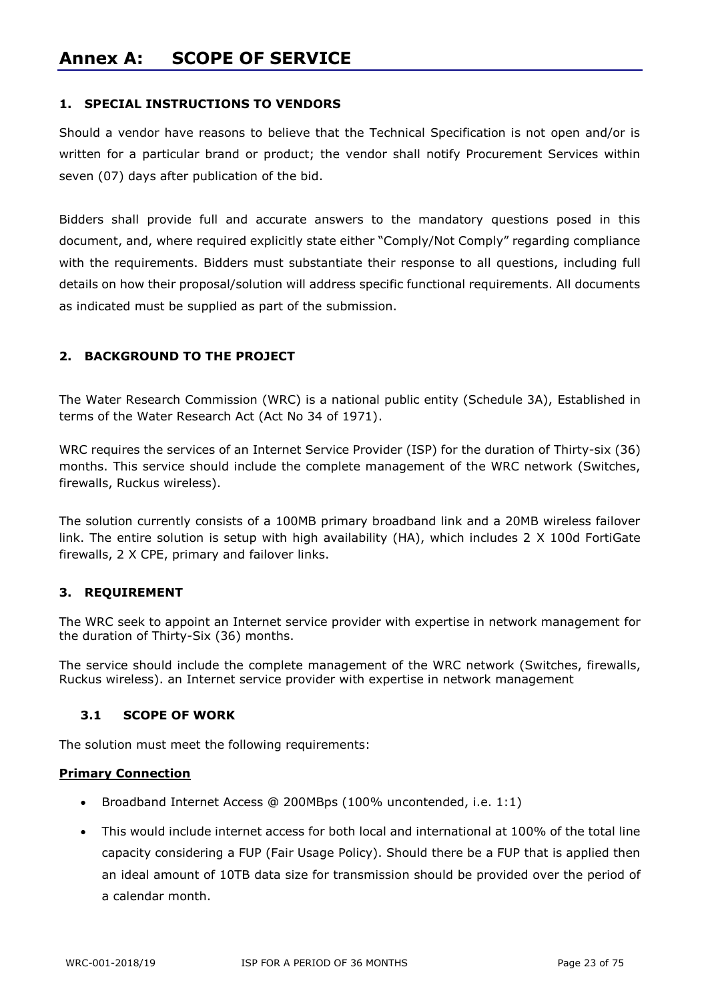# **Annex A: SCOPE OF SERVICE**

#### **1. SPECIAL INSTRUCTIONS TO VENDORS**

Should a vendor have reasons to believe that the Technical Specification is not open and/or is written for a particular brand or product; the vendor shall notify Procurement Services within seven (07) days after publication of the bid.

Bidders shall provide full and accurate answers to the mandatory questions posed in this document, and, where required explicitly state either "Comply/Not Comply" regarding compliance with the requirements. Bidders must substantiate their response to all questions, including full details on how their proposal/solution will address specific functional requirements. All documents as indicated must be supplied as part of the submission.

#### **2. BACKGROUND TO THE PROJECT**

The Water Research Commission (WRC) is a national public entity (Schedule 3A), Established in terms of the Water Research Act (Act No 34 of 1971).

WRC requires the services of an Internet Service Provider (ISP) for the duration of Thirty-six (36) months. This service should include the complete management of the WRC network (Switches, firewalls, Ruckus wireless).

The solution currently consists of a 100MB primary broadband link and a 20MB wireless failover link. The entire solution is setup with high availability (HA), which includes 2 X 100d FortiGate firewalls, 2 X CPE, primary and failover links.

#### **3. REQUIREMENT**

The WRC seek to appoint an Internet service provider with expertise in network management for the duration of Thirty-Six (36) months.

The service should include the complete management of the WRC network (Switches, firewalls, Ruckus wireless). an Internet service provider with expertise in network management

#### **3.1 SCOPE OF WORK**

The solution must meet the following requirements:

#### **Primary Connection**

- Broadband Internet Access @ 200MBps (100% uncontended, i.e. 1:1)
- This would include internet access for both local and international at 100% of the total line capacity considering a FUP (Fair Usage Policy). Should there be a FUP that is applied then an ideal amount of 10TB data size for transmission should be provided over the period of a calendar month.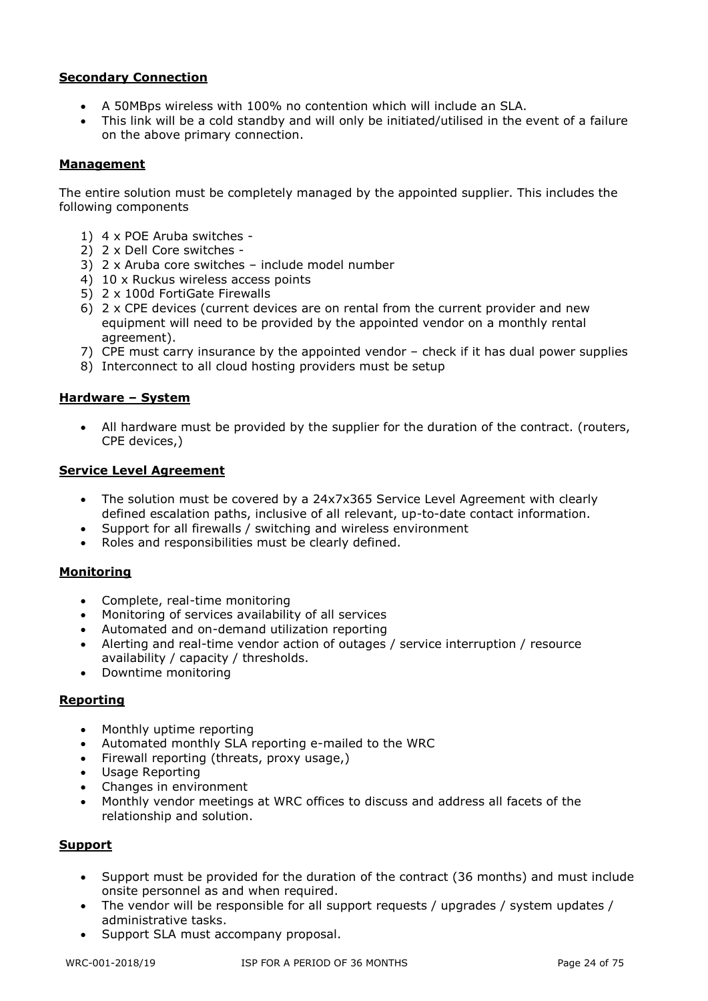#### **Secondary Connection**

- A 50MBps wireless with 100% no contention which will include an SLA.
- This link will be a cold standby and will only be initiated/utilised in the event of a failure on the above primary connection.

#### **Management**

The entire solution must be completely managed by the appointed supplier. This includes the following components

- 1) 4 x POE Aruba switches -
- 2) 2 x Dell Core switches -
- 3) 2 x Aruba core switches include model number
- 4) 10 x Ruckus wireless access points
- 5) 2 x 100d FortiGate Firewalls
- 6) 2 x CPE devices (current devices are on rental from the current provider and new equipment will need to be provided by the appointed vendor on a monthly rental agreement).
- 7) CPE must carry insurance by the appointed vendor check if it has dual power supplies
- 8) Interconnect to all cloud hosting providers must be setup

#### **Hardware – System**

• All hardware must be provided by the supplier for the duration of the contract. (routers, CPE devices,)

#### **Service Level Agreement**

- The solution must be covered by a 24x7x365 Service Level Agreement with clearly defined escalation paths, inclusive of all relevant, up-to-date contact information.
- Support for all firewalls / switching and wireless environment
- Roles and responsibilities must be clearly defined.

#### **Monitoring**

- Complete, real-time monitoring
- Monitoring of services availability of all services
- Automated and on-demand utilization reporting
- Alerting and real-time vendor action of outages / service interruption / resource availability / capacity / thresholds.
- Downtime monitoring

#### **Reporting**

- Monthly uptime reporting
- Automated monthly SLA reporting e-mailed to the WRC
- Firewall reporting (threats, proxy usage,)
- Usage Reporting
- Changes in environment
- Monthly vendor meetings at WRC offices to discuss and address all facets of the relationship and solution.

#### **Support**

- Support must be provided for the duration of the contract (36 months) and must include onsite personnel as and when required.
- The vendor will be responsible for all support requests / upgrades / system updates / administrative tasks.
- Support SLA must accompany proposal.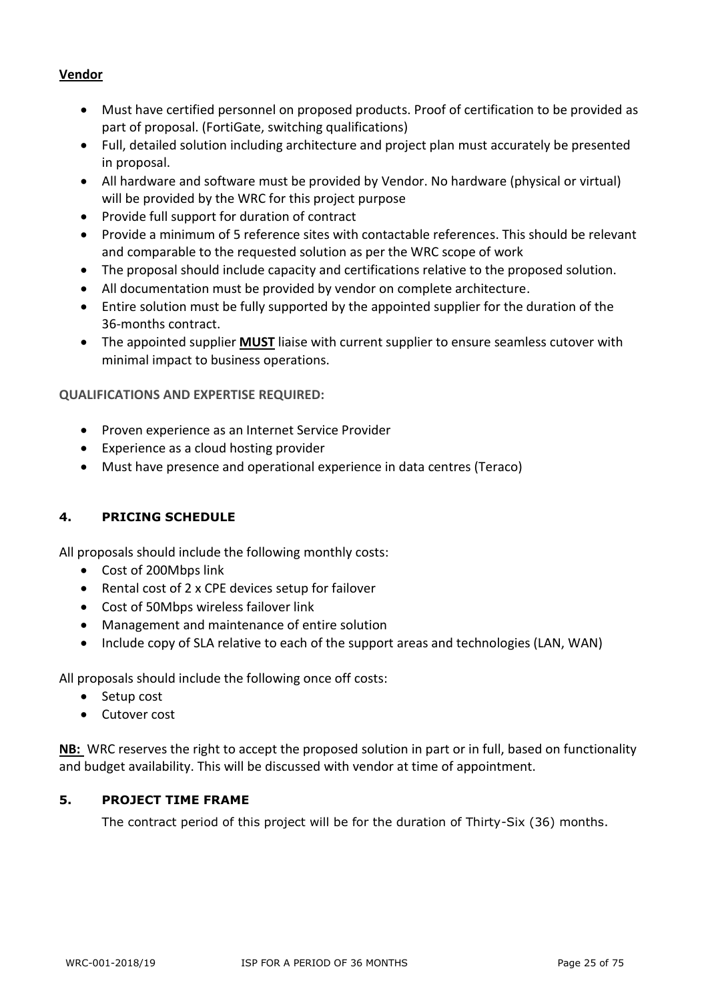#### **Vendor**

- Must have certified personnel on proposed products. Proof of certification to be provided as part of proposal. (FortiGate, switching qualifications)
- Full, detailed solution including architecture and project plan must accurately be presented in proposal.
- All hardware and software must be provided by Vendor. No hardware (physical or virtual) will be provided by the WRC for this project purpose
- Provide full support for duration of contract
- Provide a minimum of 5 reference sites with contactable references. This should be relevant and comparable to the requested solution as per the WRC scope of work
- The proposal should include capacity and certifications relative to the proposed solution.
- All documentation must be provided by vendor on complete architecture.
- Entire solution must be fully supported by the appointed supplier for the duration of the 36-months contract.
- The appointed supplier **MUST** liaise with current supplier to ensure seamless cutover with minimal impact to business operations.

**QUALIFICATIONS AND EXPERTISE REQUIRED:**

- Proven experience as an Internet Service Provider
- Experience as a cloud hosting provider
- Must have presence and operational experience in data centres (Teraco)

#### **4. PRICING SCHEDULE**

All proposals should include the following monthly costs:

- Cost of 200Mbps link
- Rental cost of 2 x CPE devices setup for failover
- Cost of 50Mbps wireless failover link
- Management and maintenance of entire solution
- Include copy of SLA relative to each of the support areas and technologies (LAN, WAN)

All proposals should include the following once off costs:

- Setup cost
- Cutover cost

**NB:** WRC reserves the right to accept the proposed solution in part or in full, based on functionality and budget availability. This will be discussed with vendor at time of appointment.

#### **5. PROJECT TIME FRAME**

The contract period of this project will be for the duration of Thirty-Six (36) months.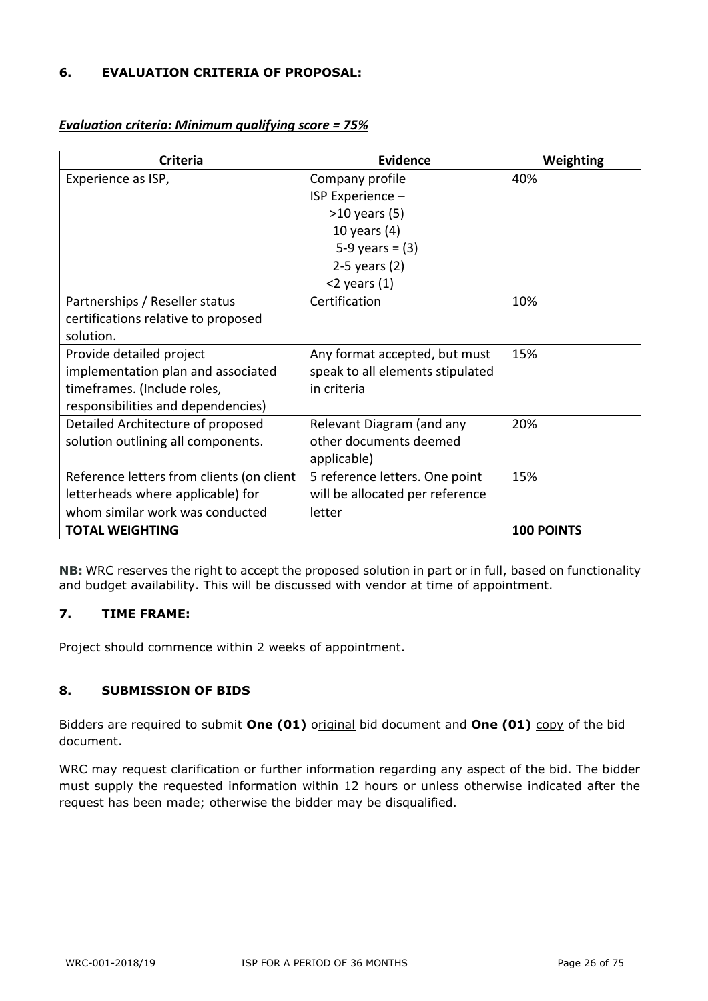#### **6. EVALUATION CRITERIA OF PROPOSAL:**

| Criteria                                  | <b>Evidence</b>                  | Weighting         |
|-------------------------------------------|----------------------------------|-------------------|
| Experience as ISP,                        | Company profile                  | 40%               |
|                                           | ISP Experience -                 |                   |
|                                           | $>10$ years (5)                  |                   |
|                                           | 10 years $(4)$                   |                   |
|                                           | 5-9 years = $(3)$                |                   |
|                                           | $2-5$ years $(2)$                |                   |
|                                           | $<$ 2 years (1)                  |                   |
| Partnerships / Reseller status            | Certification                    | 10%               |
| certifications relative to proposed       |                                  |                   |
| solution.                                 |                                  |                   |
| Provide detailed project                  | Any format accepted, but must    | 15%               |
| implementation plan and associated        | speak to all elements stipulated |                   |
| timeframes. (Include roles,               | in criteria                      |                   |
| responsibilities and dependencies)        |                                  |                   |
| Detailed Architecture of proposed         | Relevant Diagram (and any        | 20%               |
| solution outlining all components.        | other documents deemed           |                   |
|                                           | applicable)                      |                   |
| Reference letters from clients (on client | 5 reference letters. One point   | 15%               |
| letterheads where applicable) for         | will be allocated per reference  |                   |
| whom similar work was conducted           | letter                           |                   |
| <b>TOTAL WEIGHTING</b>                    |                                  | <b>100 POINTS</b> |

#### *Evaluation criteria: Minimum qualifying score = 75%*

**NB:** WRC reserves the right to accept the proposed solution in part or in full, based on functionality and budget availability. This will be discussed with vendor at time of appointment.

#### **7. TIME FRAME:**

Project should commence within 2 weeks of appointment.

#### **8. SUBMISSION OF BIDS**

Bidders are required to submit **One (01)** original bid document and **One (01)** copy of the bid document.

WRC may request clarification or further information regarding any aspect of the bid. The bidder must supply the requested information within 12 hours or unless otherwise indicated after the request has been made; otherwise the bidder may be disqualified.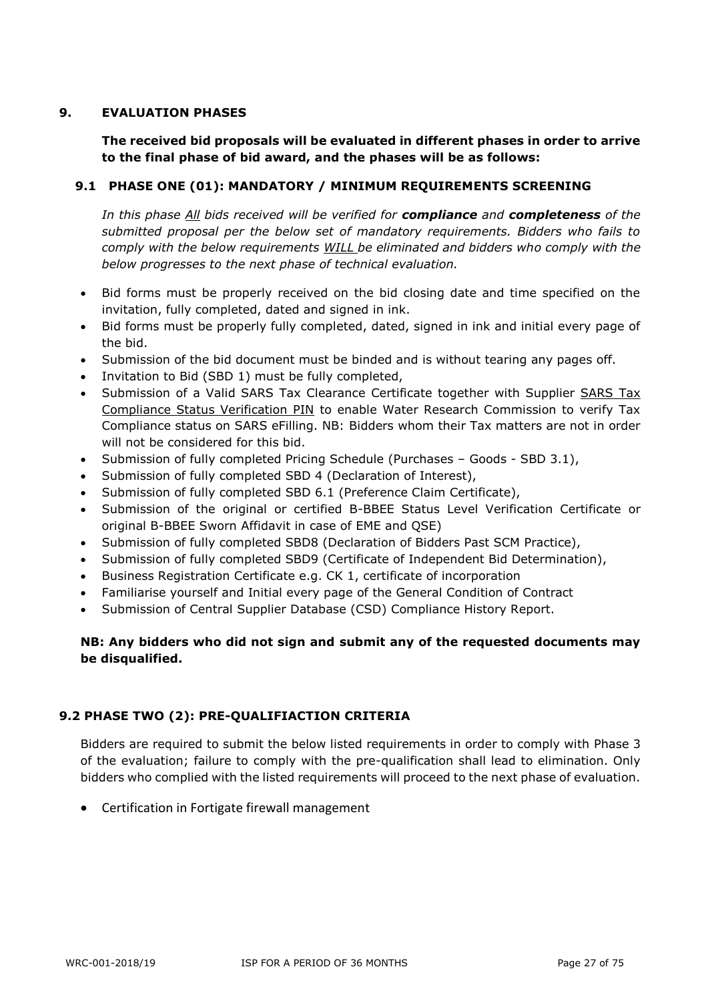#### **9. EVALUATION PHASES**

**The received bid proposals will be evaluated in different phases in order to arrive to the final phase of bid award, and the phases will be as follows:**

#### **9.1 PHASE ONE (01): MANDATORY / MINIMUM REQUIREMENTS SCREENING**

*In this phase All bids received will be verified for compliance and completeness of the submitted proposal per the below set of mandatory requirements. Bidders who fails to comply with the below requirements WILL be eliminated and bidders who comply with the below progresses to the next phase of technical evaluation.*

- Bid forms must be properly received on the bid closing date and time specified on the invitation, fully completed, dated and signed in ink.
- Bid forms must be properly fully completed, dated, signed in ink and initial every page of the bid.
- Submission of the bid document must be binded and is without tearing any pages off.
- Invitation to Bid (SBD 1) must be fully completed,
- Submission of a Valid SARS Tax Clearance Certificate together with Supplier SARS Tax Compliance Status Verification PIN to enable Water Research Commission to verify Tax Compliance status on SARS eFilling. NB: Bidders whom their Tax matters are not in order will not be considered for this bid.
- Submission of fully completed Pricing Schedule (Purchases Goods SBD 3.1),
- Submission of fully completed SBD 4 (Declaration of Interest),
- Submission of fully completed SBD 6.1 (Preference Claim Certificate),
- Submission of the original or certified B-BBEE Status Level Verification Certificate or original B-BBEE Sworn Affidavit in case of EME and QSE)
- Submission of fully completed SBD8 (Declaration of Bidders Past SCM Practice),
- Submission of fully completed SBD9 (Certificate of Independent Bid Determination),
- Business Registration Certificate e.g. CK 1, certificate of incorporation
- Familiarise yourself and Initial every page of the General Condition of Contract
- Submission of Central Supplier Database (CSD) Compliance History Report.

#### **NB: Any bidders who did not sign and submit any of the requested documents may be disqualified.**

#### **9.2 PHASE TWO (2): PRE-QUALIFIACTION CRITERIA**

Bidders are required to submit the below listed requirements in order to comply with Phase 3 of the evaluation; failure to comply with the pre-qualification shall lead to elimination. Only bidders who complied with the listed requirements will proceed to the next phase of evaluation.

• Certification in Fortigate firewall management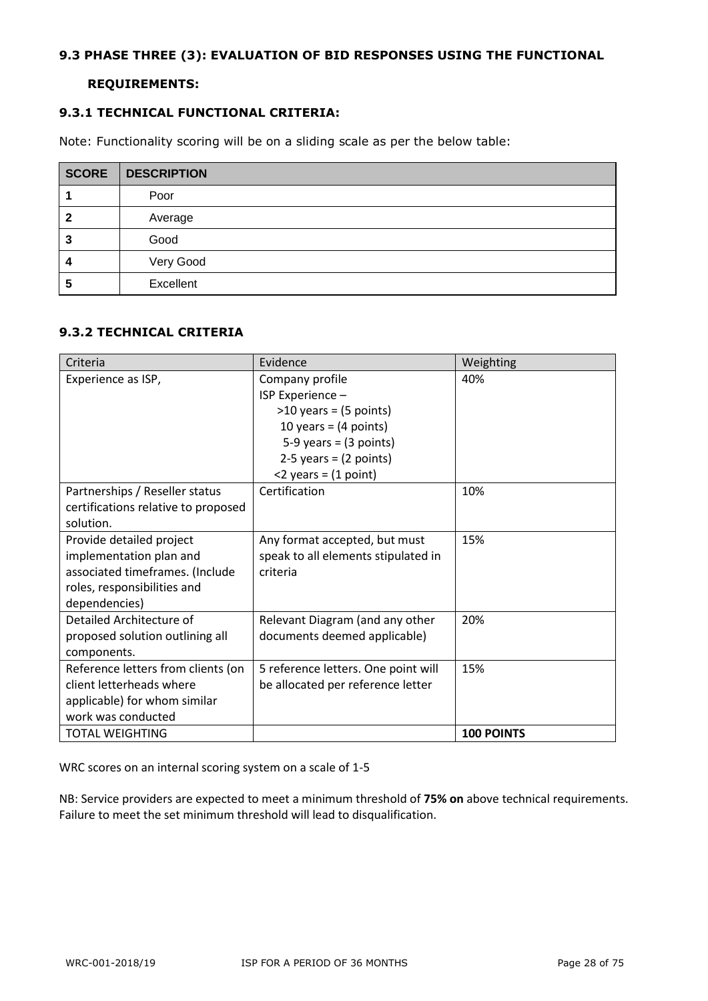#### **9.3 PHASE THREE (3): EVALUATION OF BID RESPONSES USING THE FUNCTIONAL**

#### **REQUIREMENTS:**

#### **9.3.1 TECHNICAL FUNCTIONAL CRITERIA:**

Note: Functionality scoring will be on a sliding scale as per the below table:

| <b>SCORE</b> | <b>DESCRIPTION</b> |
|--------------|--------------------|
|              | Poor               |
| 2            | Average            |
| 3            | Good               |
| 4            | Very Good          |
| 5            | Excellent          |

#### **9.3.2 TECHNICAL CRITERIA**

| Criteria                            | Evidence                            | Weighting         |
|-------------------------------------|-------------------------------------|-------------------|
| Experience as ISP,                  | Company profile                     | 40%               |
|                                     | ISP Experience -                    |                   |
|                                     | $>10$ years = (5 points)            |                   |
|                                     | 10 years = $(4$ points)             |                   |
|                                     | $5-9$ years = $(3$ points)          |                   |
|                                     | $2-5$ years = $(2$ points)          |                   |
|                                     | $<$ 2 years = $(1$ point)           |                   |
| Partnerships / Reseller status      | Certification                       | 10%               |
| certifications relative to proposed |                                     |                   |
| solution.                           |                                     |                   |
| Provide detailed project            | Any format accepted, but must       | 15%               |
| implementation plan and             | speak to all elements stipulated in |                   |
| associated timeframes. (Include     | criteria                            |                   |
| roles, responsibilities and         |                                     |                   |
| dependencies)                       |                                     |                   |
| Detailed Architecture of            | Relevant Diagram (and any other     | 20%               |
| proposed solution outlining all     | documents deemed applicable)        |                   |
| components.                         |                                     |                   |
| Reference letters from clients (on  | 5 reference letters. One point will | 15%               |
| client letterheads where            | be allocated per reference letter   |                   |
| applicable) for whom similar        |                                     |                   |
| work was conducted                  |                                     |                   |
| <b>TOTAL WEIGHTING</b>              |                                     | <b>100 POINTS</b> |

WRC scores on an internal scoring system on a scale of 1-5

NB: Service providers are expected to meet a minimum threshold of **75% on** above technical requirements. Failure to meet the set minimum threshold will lead to disqualification.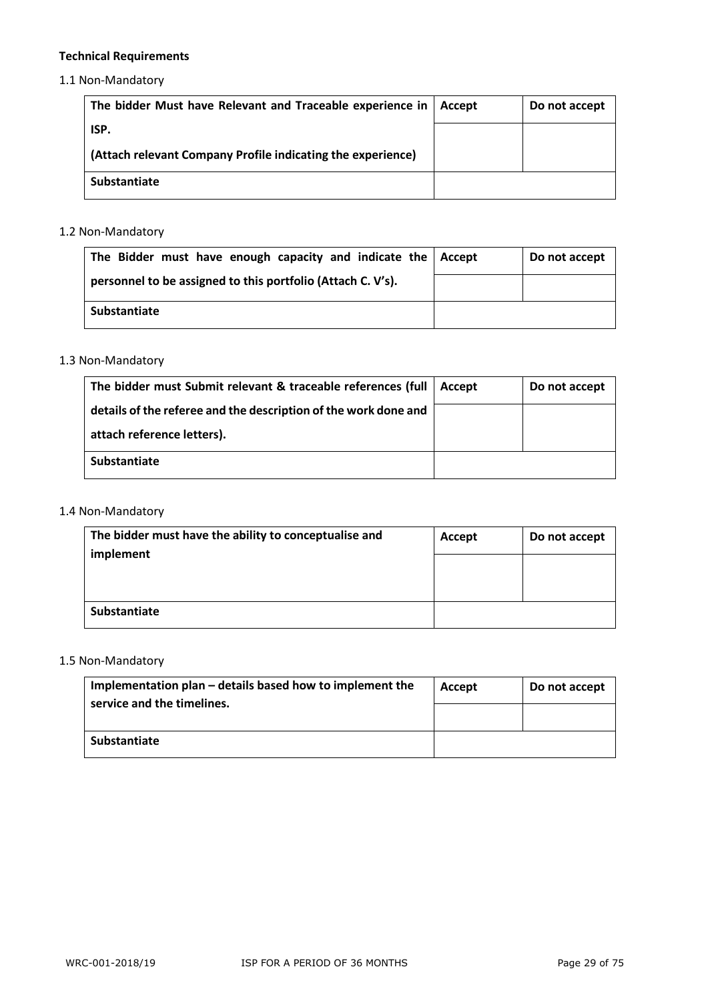### **Technical Requirements**

1.1 Non-Mandatory

| The bidder Must have Relevant and Traceable experience in   | Accept | Do not accept |
|-------------------------------------------------------------|--------|---------------|
| ISP.                                                        |        |               |
| (Attach relevant Company Profile indicating the experience) |        |               |
| Substantiate                                                |        |               |

#### 1.2 Non-Mandatory

| The Bidder must have enough capacity and indicate the   Accept | Do not accept |
|----------------------------------------------------------------|---------------|
| personnel to be assigned to this portfolio (Attach C. V's).    |               |
| Substantiate                                                   |               |

#### 1.3 Non-Mandatory

| The bidder must Submit relevant & traceable references (full    | Accept | Do not accept |
|-----------------------------------------------------------------|--------|---------------|
| details of the referee and the description of the work done and |        |               |
| attach reference letters).                                      |        |               |
| <b>Substantiate</b>                                             |        |               |

### 1.4 Non-Mandatory

| The bidder must have the ability to conceptualise and | Accept | Do not accept |
|-------------------------------------------------------|--------|---------------|
| implement                                             |        |               |
|                                                       |        |               |
| Substantiate                                          |        |               |

### 1.5 Non-Mandatory

| Implementation plan – details based how to implement the<br>service and the timelines. | Accept | Do not accept |
|----------------------------------------------------------------------------------------|--------|---------------|
|                                                                                        |        |               |
| Substantiate                                                                           |        |               |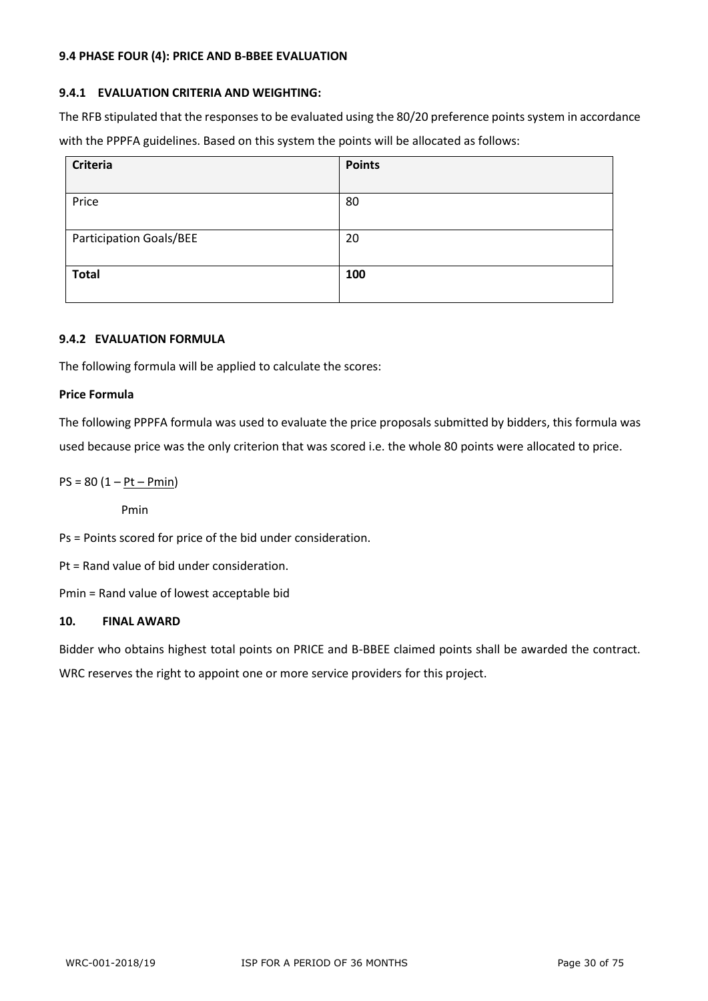#### **9.4 PHASE FOUR (4): PRICE AND B-BBEE EVALUATION**

#### **9.4.1 EVALUATION CRITERIA AND WEIGHTING:**

The RFB stipulated that the responses to be evaluated using the 80/20 preference points system in accordance with the PPPFA guidelines. Based on this system the points will be allocated as follows:

| Criteria                       | <b>Points</b> |
|--------------------------------|---------------|
| Price                          | 80            |
| <b>Participation Goals/BEE</b> | 20            |
| <b>Total</b>                   | 100           |

#### **9.4.2 EVALUATION FORMULA**

The following formula will be applied to calculate the scores:

#### **Price Formula**

The following PPPFA formula was used to evaluate the price proposals submitted by bidders, this formula was used because price was the only criterion that was scored i.e. the whole 80 points were allocated to price.

 $PS = 80 (1 - Pt - Pmin)$ 

Pmin

Ps = Points scored for price of the bid under consideration.

Pt = Rand value of bid under consideration.

Pmin = Rand value of lowest acceptable bid

#### **10. FINAL AWARD**

Bidder who obtains highest total points on PRICE and B-BBEE claimed points shall be awarded the contract. WRC reserves the right to appoint one or more service providers for this project.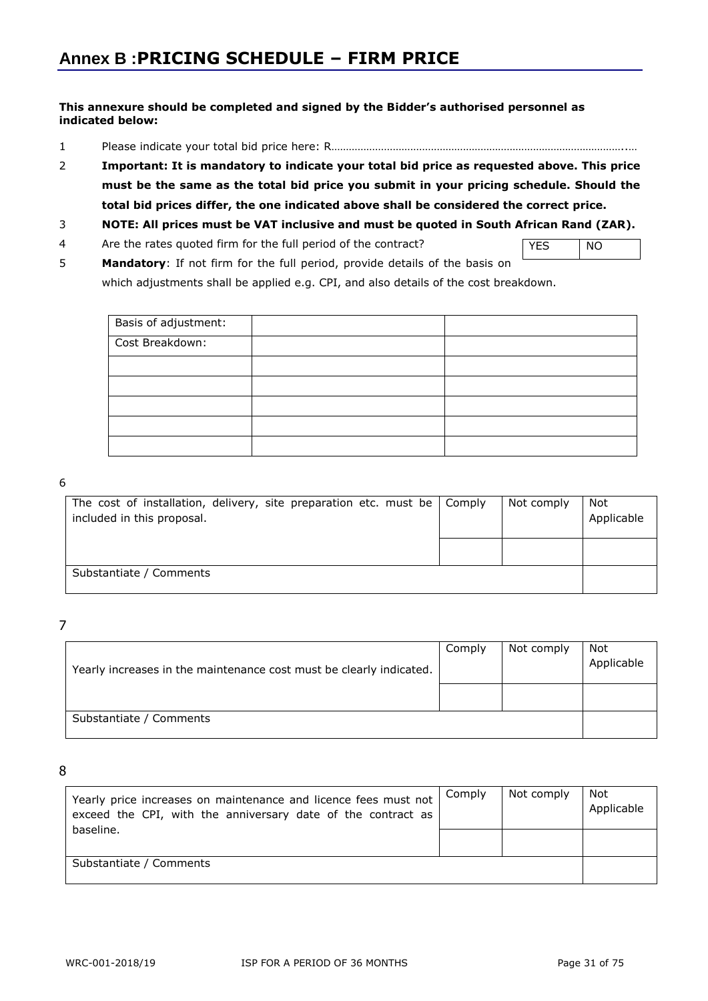#### **This annexure should be completed and signed by the Bidder's authorised personnel as indicated below:**

- 1 Please indicate your total bid price here: R………………………………………………………………………………………..…
- 2 **Important: It is mandatory to indicate your total bid price as requested above. This price must be the same as the total bid price you submit in your pricing schedule. Should the total bid prices differ, the one indicated above shall be considered the correct price.**

#### 3 **NOTE: All prices must be VAT inclusive and must be quoted in South African Rand (ZAR).**

4 Are the rates quoted firm for the full period of the contract?

YES NO

5 **Mandatory**: If not firm for the full period, provide details of the basis on which adjustments shall be applied e.g. CPI, and also details of the cost breakdown.

| Basis of adjustment: |  |
|----------------------|--|
| Cost Breakdown:      |  |
|                      |  |
|                      |  |
|                      |  |
|                      |  |
|                      |  |

#### 6

| The cost of installation, delivery, site preparation etc. must be   Comply<br>included in this proposal. | Not comply | Not<br>Applicable |
|----------------------------------------------------------------------------------------------------------|------------|-------------------|
|                                                                                                          |            |                   |
| Substantiate / Comments                                                                                  |            |                   |

7

| Yearly increases in the maintenance cost must be clearly indicated. | Comply | Not comply | Not<br>Applicable |
|---------------------------------------------------------------------|--------|------------|-------------------|
|                                                                     |        |            |                   |
| Substantiate / Comments                                             |        |            |                   |

8

| Yearly price increases on maintenance and licence fees must not<br>exceed the CPI, with the anniversary date of the contract as | Comply | Not comply | Not<br>Applicable |
|---------------------------------------------------------------------------------------------------------------------------------|--------|------------|-------------------|
| baseline.                                                                                                                       |        |            |                   |
| Substantiate / Comments                                                                                                         |        |            |                   |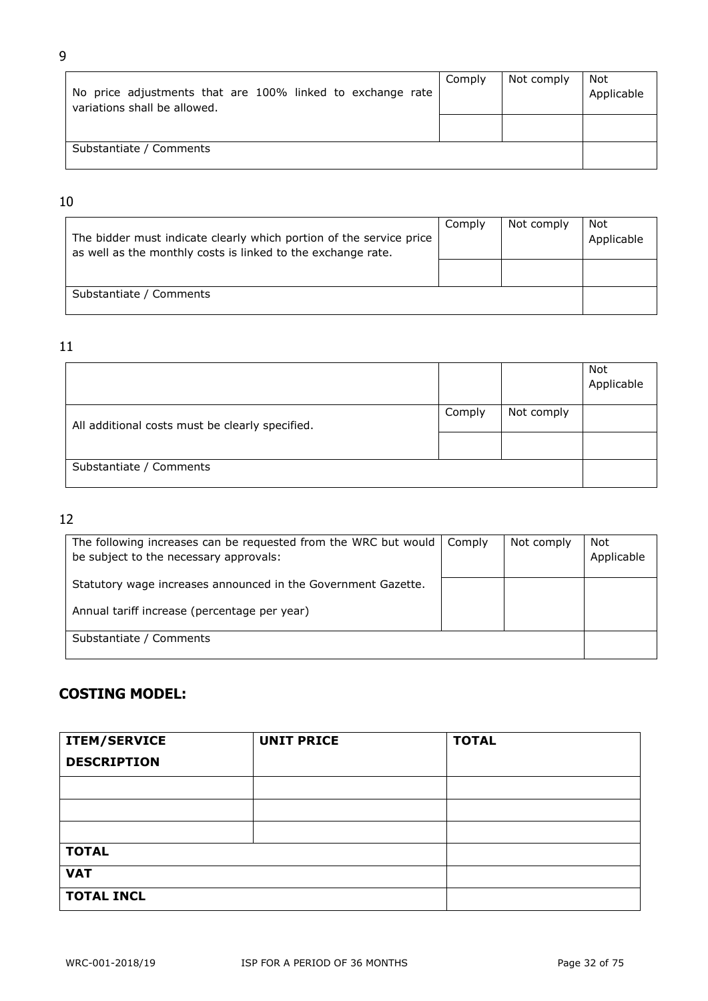| No price adjustments that are 100% linked to exchange rate<br>variations shall be allowed. | Comply | Not comply | Not<br>Applicable |
|--------------------------------------------------------------------------------------------|--------|------------|-------------------|
|                                                                                            |        |            |                   |
| Substantiate / Comments                                                                    |        |            |                   |

#### 10

| The bidder must indicate clearly which portion of the service price<br>as well as the monthly costs is linked to the exchange rate. | Comply | Not comply | Not<br>Applicable |
|-------------------------------------------------------------------------------------------------------------------------------------|--------|------------|-------------------|
|                                                                                                                                     |        |            |                   |
| Substantiate / Comments                                                                                                             |        |            |                   |

## 11

|                                                 |  |            | Not<br>Applicable |
|-------------------------------------------------|--|------------|-------------------|
| All additional costs must be clearly specified. |  | Not comply |                   |
|                                                 |  |            |                   |
| Substantiate / Comments                         |  |            |                   |

# 12

| The following increases can be requested from the WRC but would<br>be subject to the necessary approvals: | Comply | Not comply | Not<br>Applicable |
|-----------------------------------------------------------------------------------------------------------|--------|------------|-------------------|
| Statutory wage increases announced in the Government Gazette.                                             |        |            |                   |
| Annual tariff increase (percentage per year)                                                              |        |            |                   |
| Substantiate / Comments                                                                                   |        |            |                   |

# **COSTING MODEL:**

| <b>ITEM/SERVICE</b> | <b>UNIT PRICE</b> | <b>TOTAL</b> |
|---------------------|-------------------|--------------|
| <b>DESCRIPTION</b>  |                   |              |
|                     |                   |              |
|                     |                   |              |
|                     |                   |              |
| <b>TOTAL</b>        |                   |              |
| <b>VAT</b>          |                   |              |
| <b>TOTAL INCL</b>   |                   |              |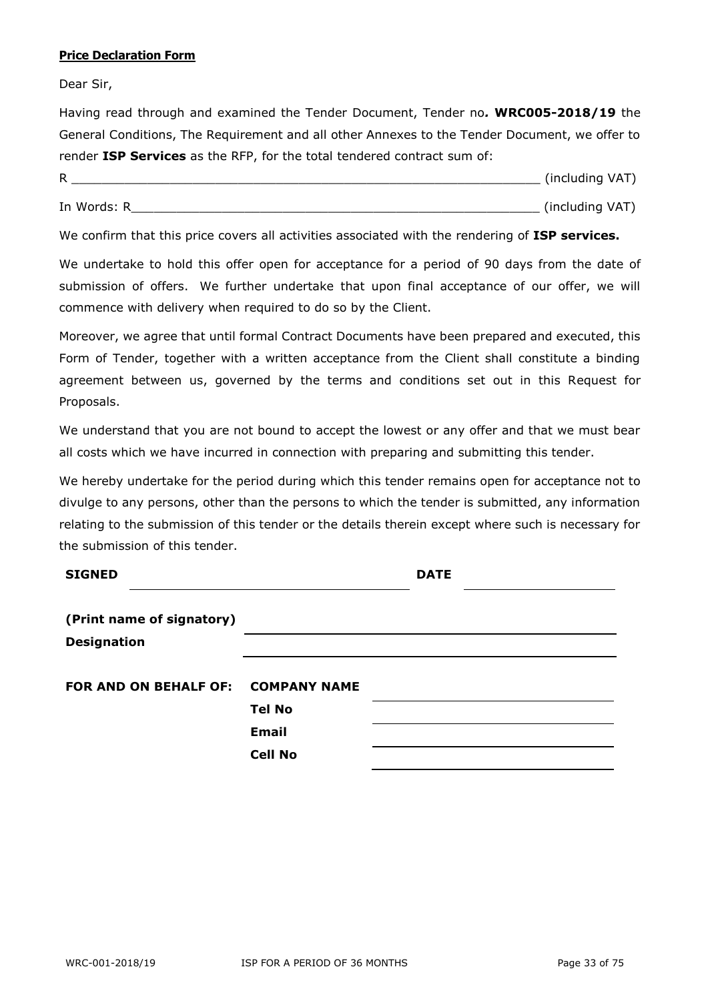#### **Price Declaration Form**

Dear Sir,

Having read through and examined the Tender Document, Tender no*.* **WRC005-2018/19** the General Conditions, The Requirement and all other Annexes to the Tender Document, we offer to render **ISP Services** as the RFP, for the total tendered contract sum of:

| R           | (including VAT) |  |
|-------------|-----------------|--|
| In Words: R | (including VAT) |  |

We confirm that this price covers all activities associated with the rendering of **ISP services.**

We undertake to hold this offer open for acceptance for a period of 90 days from the date of submission of offers. We further undertake that upon final acceptance of our offer, we will commence with delivery when required to do so by the Client.

Moreover, we agree that until formal Contract Documents have been prepared and executed, this Form of Tender, together with a written acceptance from the Client shall constitute a binding agreement between us, governed by the terms and conditions set out in this Request for Proposals.

We understand that you are not bound to accept the lowest or any offer and that we must bear all costs which we have incurred in connection with preparing and submitting this tender.

We hereby undertake for the period during which this tender remains open for acceptance not to divulge to any persons, other than the persons to which the tender is submitted, any information relating to the submission of this tender or the details therein except where such is necessary for the submission of this tender.

| <b>SIGNED</b>                      |                | <b>DATE</b> |  |
|------------------------------------|----------------|-------------|--|
| (Print name of signatory)          |                |             |  |
| <b>Designation</b>                 |                |             |  |
| FOR AND ON BEHALF OF: COMPANY NAME |                |             |  |
|                                    | <b>Tel No</b>  |             |  |
|                                    | <b>Email</b>   |             |  |
|                                    | <b>Cell No</b> |             |  |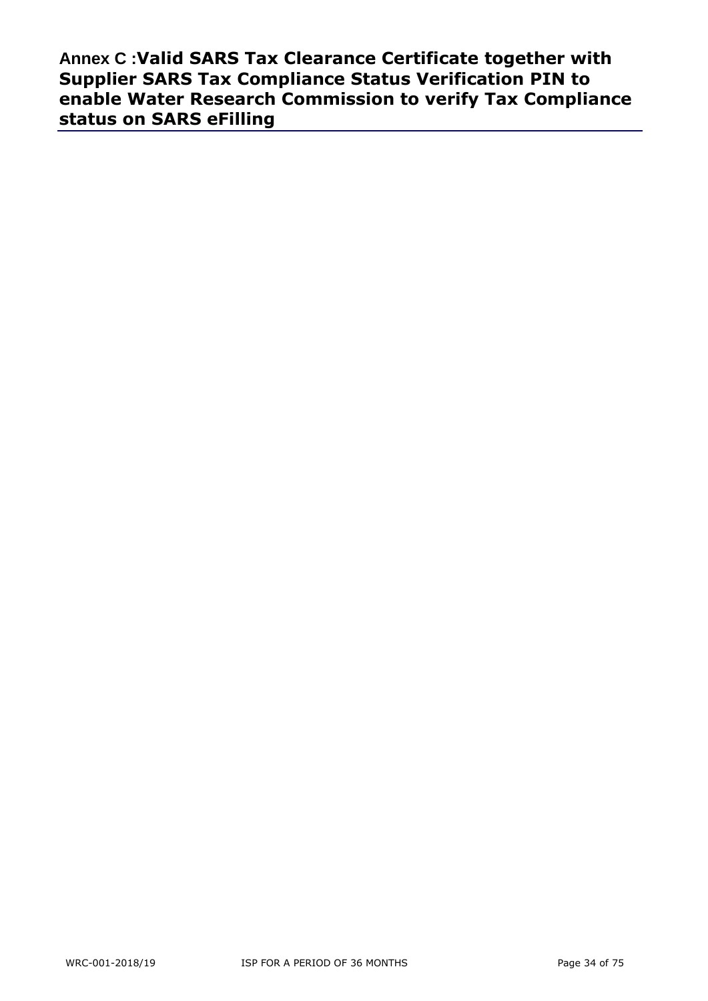**Annex C :Valid SARS Tax Clearance Certificate together with Supplier SARS Tax Compliance Status Verification PIN to enable Water Research Commission to verify Tax Compliance status on SARS eFilling**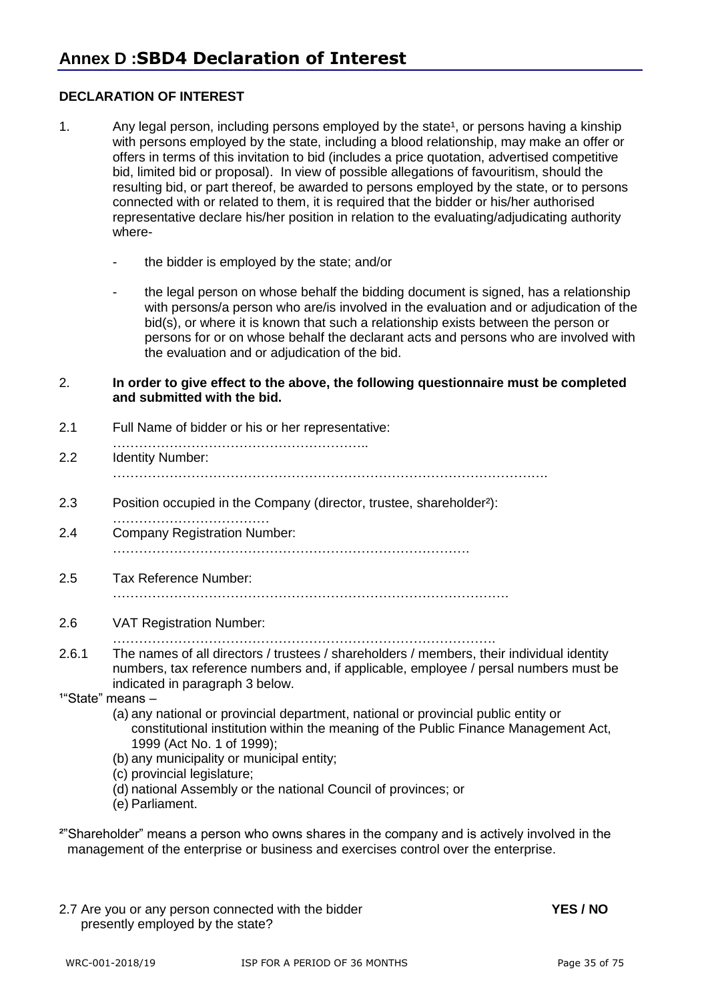#### **DECLARATION OF INTEREST**

- 1. Any legal person, including persons employed by the state<sup>1</sup>, or persons having a kinship with persons employed by the state, including a blood relationship, may make an offer or offers in terms of this invitation to bid (includes a price quotation, advertised competitive bid, limited bid or proposal). In view of possible allegations of favouritism, should the resulting bid, or part thereof, be awarded to persons employed by the state, or to persons connected with or related to them, it is required that the bidder or his/her authorised representative declare his/her position in relation to the evaluating/adjudicating authority where-
	- the bidder is employed by the state; and/or
	- the legal person on whose behalf the bidding document is signed, has a relationship with persons/a person who are/is involved in the evaluation and or adjudication of the bid(s), or where it is known that such a relationship exists between the person or persons for or on whose behalf the declarant acts and persons who are involved with the evaluation and or adjudication of the bid.
- 2. **In order to give effect to the above, the following questionnaire must be completed and submitted with the bid.**
- 2.1 Full Name of bidder or his or her representative:
- ………………………………………………………………… 2.2 Identity Number: ……………………………………………………………………………………….
- 2.3 Position occupied in the Company (director, trustee, shareholder²):
- ………………………………………… 2.4 Company Registration Number: ……………………………………………………………………….
- 2.5 Tax Reference Number:
	- ……………………………………………………………………………….
- 2.6 VAT Registration Number:
	- …………………………………………………………………………….
- 2.6.1 The names of all directors / trustees / shareholders / members, their individual identity numbers, tax reference numbers and, if applicable, employee / persal numbers must be indicated in paragraph 3 below.
- $1^{\circ}$ State" means  $-$ 
	- (a) any national or provincial department, national or provincial public entity or constitutional institution within the meaning of the Public Finance Management Act, 1999 (Act No. 1 of 1999);
	- (b) any municipality or municipal entity;
	- (c) provincial legislature;
	- (d) national Assembly or the national Council of provinces; or
	- (e) Parliament.

<sup>2"</sup>Shareholder" means a person who owns shares in the company and is actively involved in the management of the enterprise or business and exercises control over the enterprise.

2.7 Are you or any person connected with the bidder **YES / NO** presently employed by the state?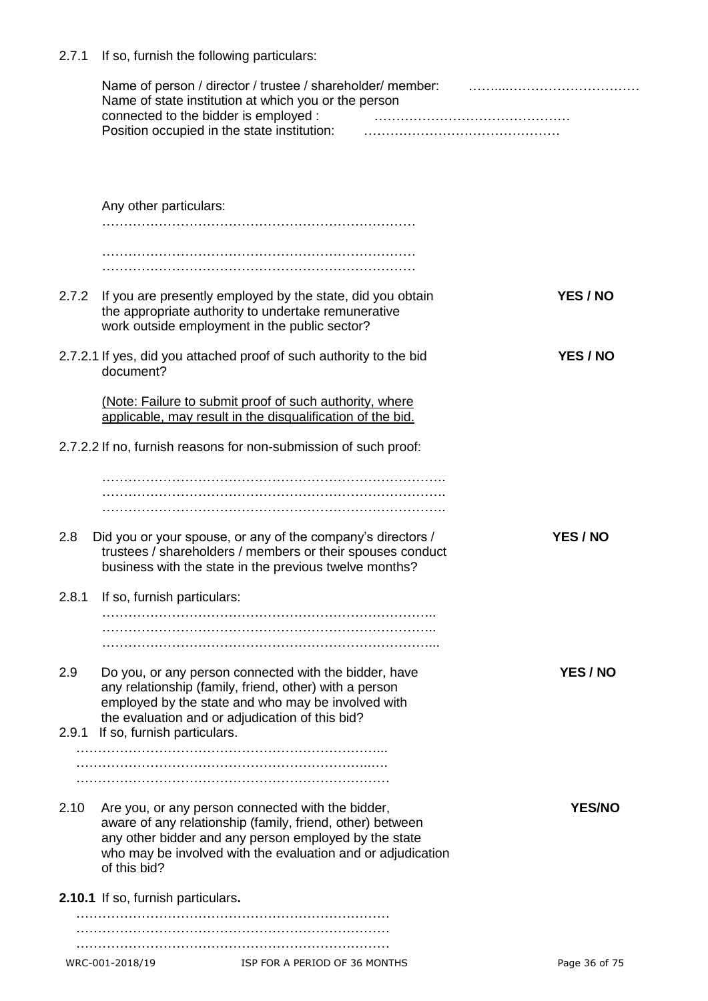2.7.1 If so, furnish the following particulars:

|       |                                    | Name of person / director / trustee / shareholder/ member:<br>Name of state institution at which you or the person<br>connected to the bidder is employed :                                                                            |                 |
|-------|------------------------------------|----------------------------------------------------------------------------------------------------------------------------------------------------------------------------------------------------------------------------------------|-----------------|
|       |                                    | Position occupied in the state institution:                                                                                                                                                                                            |                 |
|       | Any other particulars:             |                                                                                                                                                                                                                                        |                 |
|       |                                    |                                                                                                                                                                                                                                        |                 |
|       |                                    |                                                                                                                                                                                                                                        |                 |
|       |                                    |                                                                                                                                                                                                                                        |                 |
| 2.7.2 |                                    | If you are presently employed by the state, did you obtain<br>the appropriate authority to undertake remunerative<br>work outside employment in the public sector?                                                                     | YES / NO        |
|       | document?                          | 2.7.2.1 If yes, did you attached proof of such authority to the bid                                                                                                                                                                    | <b>YES / NO</b> |
|       |                                    | (Note: Failure to submit proof of such authority, where<br>applicable, may result in the disqualification of the bid.                                                                                                                  |                 |
|       |                                    | 2.7.2.2 If no, furnish reasons for non-submission of such proof:                                                                                                                                                                       |                 |
|       |                                    |                                                                                                                                                                                                                                        |                 |
|       |                                    |                                                                                                                                                                                                                                        |                 |
| 2.8   |                                    | Did you or your spouse, or any of the company's directors /<br>trustees / shareholders / members or their spouses conduct<br>business with the state in the previous twelve months?                                                    | <b>YES / NO</b> |
| 2.8.1 | If so, furnish particulars:        |                                                                                                                                                                                                                                        |                 |
|       |                                    |                                                                                                                                                                                                                                        |                 |
|       |                                    |                                                                                                                                                                                                                                        |                 |
|       |                                    |                                                                                                                                                                                                                                        |                 |
| 2.9   |                                    | Do you, or any person connected with the bidder, have<br>any relationship (family, friend, other) with a person<br>employed by the state and who may be involved with<br>the evaluation and or adjudication of this bid?               | YES / NO        |
| 2.9.1 | If so, furnish particulars.        |                                                                                                                                                                                                                                        |                 |
|       |                                    |                                                                                                                                                                                                                                        |                 |
|       |                                    |                                                                                                                                                                                                                                        |                 |
| 2.10  | of this bid?                       | Are you, or any person connected with the bidder,<br>aware of any relationship (family, friend, other) between<br>any other bidder and any person employed by the state<br>who may be involved with the evaluation and or adjudication | <b>YES/NC</b>   |
|       | 2.10.1 If so, furnish particulars. |                                                                                                                                                                                                                                        |                 |
|       |                                    |                                                                                                                                                                                                                                        |                 |
|       |                                    |                                                                                                                                                                                                                                        |                 |
|       | WRC-001-2018/19                    | ISP FOR A PERIOD OF 36 MONTHS                                                                                                                                                                                                          | Page 36 of 75   |
|       |                                    |                                                                                                                                                                                                                                        |                 |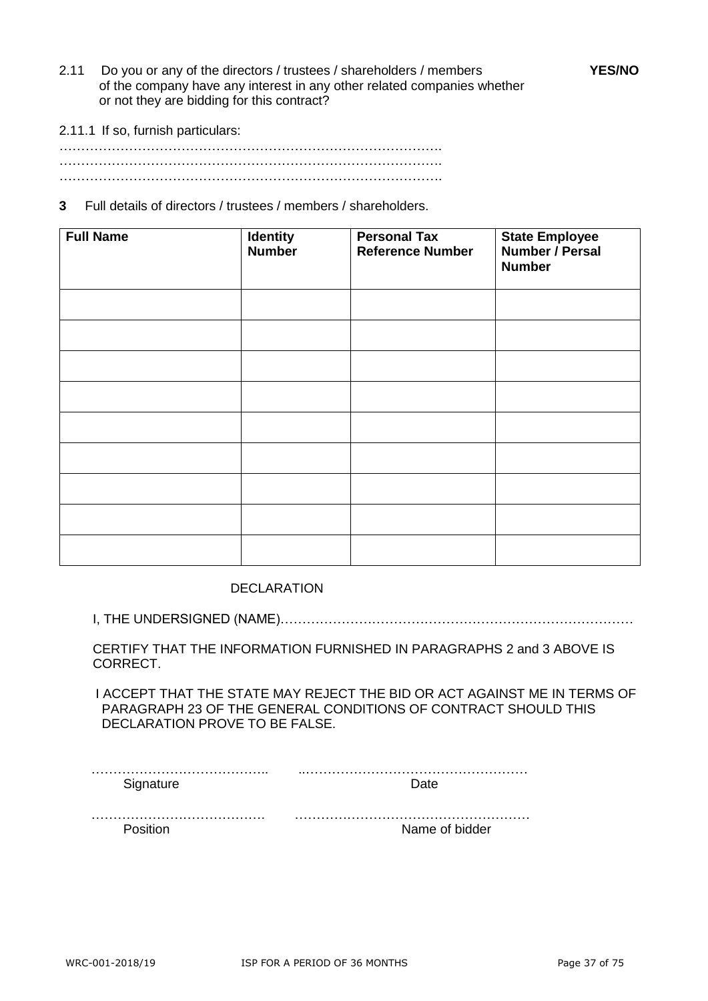- 2.11 Do you or any of the directors / trustees / shareholders / members **YES/NO** of the company have any interest in any other related companies whether or not they are bidding for this contract?
- 2.11.1 If so, furnish particulars:

……………………………………………………………………………. ……………………………………………………………………………. …………………………………………………………………………….

**3** Full details of directors / trustees / members / shareholders.

| <b>Full Name</b> | <b>Identity</b><br>Number | <b>Personal Tax</b><br><b>Reference Number</b> | <b>State Employee</b><br>Number / Persal<br><b>Number</b> |
|------------------|---------------------------|------------------------------------------------|-----------------------------------------------------------|
|                  |                           |                                                |                                                           |
|                  |                           |                                                |                                                           |
|                  |                           |                                                |                                                           |
|                  |                           |                                                |                                                           |
|                  |                           |                                                |                                                           |
|                  |                           |                                                |                                                           |
|                  |                           |                                                |                                                           |
|                  |                           |                                                |                                                           |
|                  |                           |                                                |                                                           |

DECLARATION

I, THE UNDERSIGNED (NAME)………………………………………………………………………

CERTIFY THAT THE INFORMATION FURNISHED IN PARAGRAPHS 2 and 3 ABOVE IS CORRECT.

 I ACCEPT THAT THE STATE MAY REJECT THE BID OR ACT AGAINST ME IN TERMS OF PARAGRAPH 23 OF THE GENERAL CONDITIONS OF CONTRACT SHOULD THIS DECLARATION PROVE TO BE FALSE.

…………………………………. ………………………………………………

Position **Name of bidder**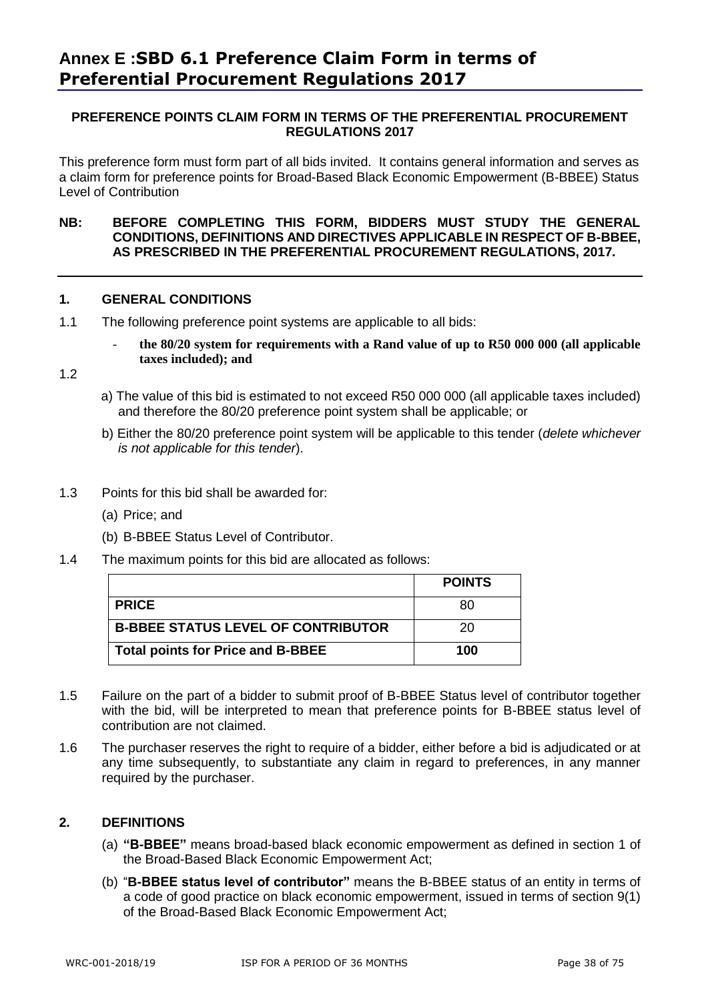#### **PREFERENCE POINTS CLAIM FORM IN TERMS OF THE PREFERENTIAL PROCUREMENT REGULATIONS 2017**

This preference form must form part of all bids invited. It contains general information and serves as a claim form for preference points for Broad-Based Black Economic Empowerment (B-BBEE) Status Level of Contribution

#### **NB: BEFORE COMPLETING THIS FORM, BIDDERS MUST STUDY THE GENERAL CONDITIONS, DEFINITIONS AND DIRECTIVES APPLICABLE IN RESPECT OF B-BBEE, AS PRESCRIBED IN THE PREFERENTIAL PROCUREMENT REGULATIONS, 2017.**

#### **1. GENERAL CONDITIONS**

- 1.1 The following preference point systems are applicable to all bids:
	- **the 80/20 system for requirements with a Rand value of up to R50 000 000 (all applicable taxes included); and**

1.2

- a) The value of this bid is estimated to not exceed R50 000 000 (all applicable taxes included) and therefore the 80/20 preference point system shall be applicable; or
- b) Either the 80/20 preference point system will be applicable to this tender (*delete whichever is not applicable for this tender*).
- 1.3 Points for this bid shall be awarded for:
	- (a) Price; and
	- (b) B-BBEE Status Level of Contributor.
- 1.4 The maximum points for this bid are allocated as follows:

|                                           | <b>POINTS</b> |
|-------------------------------------------|---------------|
| <b>PRICE</b>                              | 80            |
| <b>B-BBEE STATUS LEVEL OF CONTRIBUTOR</b> | 20            |
| <b>Total points for Price and B-BBEE</b>  | 100           |

- 1.5 Failure on the part of a bidder to submit proof of B-BBEE Status level of contributor together with the bid, will be interpreted to mean that preference points for B-BBEE status level of contribution are not claimed.
- 1.6 The purchaser reserves the right to require of a bidder, either before a bid is adjudicated or at any time subsequently, to substantiate any claim in regard to preferences, in any manner required by the purchaser.

#### **2. DEFINITIONS**

- (a) **"B-BBEE"** means broad-based black economic empowerment as defined in section 1 of the Broad-Based Black Economic Empowerment Act;
- (b) "**B-BBEE status level of contributor"** means the B-BBEE status of an entity in terms of a code of good practice on black economic empowerment, issued in terms of section 9(1) of the Broad-Based Black Economic Empowerment Act;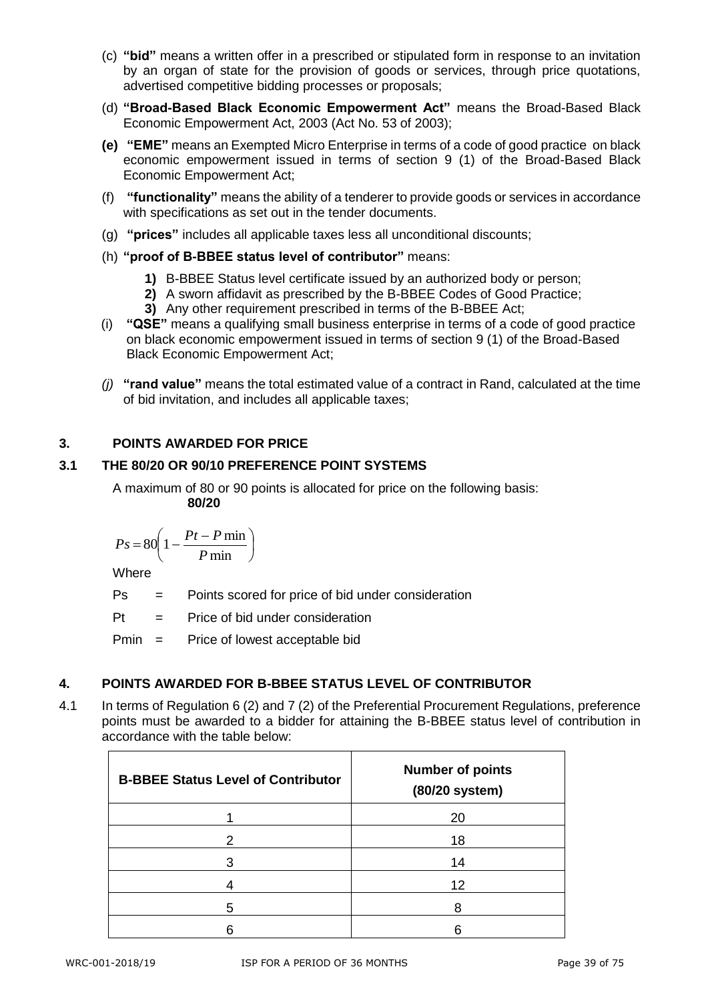- (c) **"bid"** means a written offer in a prescribed or stipulated form in response to an invitation by an organ of state for the provision of goods or services, through price quotations, advertised competitive bidding processes or proposals;
- (d) **"Broad-Based Black Economic Empowerment Act"** means the Broad-Based Black Economic Empowerment Act, 2003 (Act No. 53 of 2003);
- **(e) "EME"** means an Exempted Micro Enterprise in terms of a code of good practice on black economic empowerment issued in terms of section 9 (1) of the Broad-Based Black Economic Empowerment Act;
- (f) **"functionality"** means the ability of a tenderer to provide goods or services in accordance with specifications as set out in the tender documents.
- (g) **"prices"** includes all applicable taxes less all unconditional discounts;
- (h) **"proof of B-BBEE status level of contributor"** means:
	- **1)** B-BBEE Status level certificate issued by an authorized body or person;
	- **2)** A sworn affidavit as prescribed by the B-BBEE Codes of Good Practice;
	- **3)** Any other requirement prescribed in terms of the B-BBEE Act;
- (i) **"QSE"** means a qualifying small business enterprise in terms of a code of good practice on black economic empowerment issued in terms of section 9 (1) of the Broad-Based Black Economic Empowerment Act;
- *(j)* **"rand value"** means the total estimated value of a contract in Rand, calculated at the time of bid invitation, and includes all applicable taxes;

#### **3. POINTS AWARDED FOR PRICE**

#### **3.1 THE 80/20 OR 90/10 PREFERENCE POINT SYSTEMS**

A maximum of 80 or 90 points is allocated for price on the following basis: **80/20**

$$
Ps = 80 \left( 1 - \frac{Pt - P \min}{P \min} \right)
$$

Where

Ps = Points scored for price of bid under consideration

 $Pt =$  Price of bid under consideration

Pmin = Price of lowest acceptable bid

#### **4. POINTS AWARDED FOR B-BBEE STATUS LEVEL OF CONTRIBUTOR**

4.1 In terms of Regulation 6 (2) and 7 (2) of the Preferential Procurement Regulations, preference points must be awarded to a bidder for attaining the B-BBEE status level of contribution in accordance with the table below:

| <b>B-BBEE Status Level of Contributor</b> | <b>Number of points</b><br>(80/20 system) |
|-------------------------------------------|-------------------------------------------|
|                                           | 20                                        |
| 2                                         | 18                                        |
| З                                         | 14                                        |
|                                           | 12                                        |
| 5                                         |                                           |
|                                           |                                           |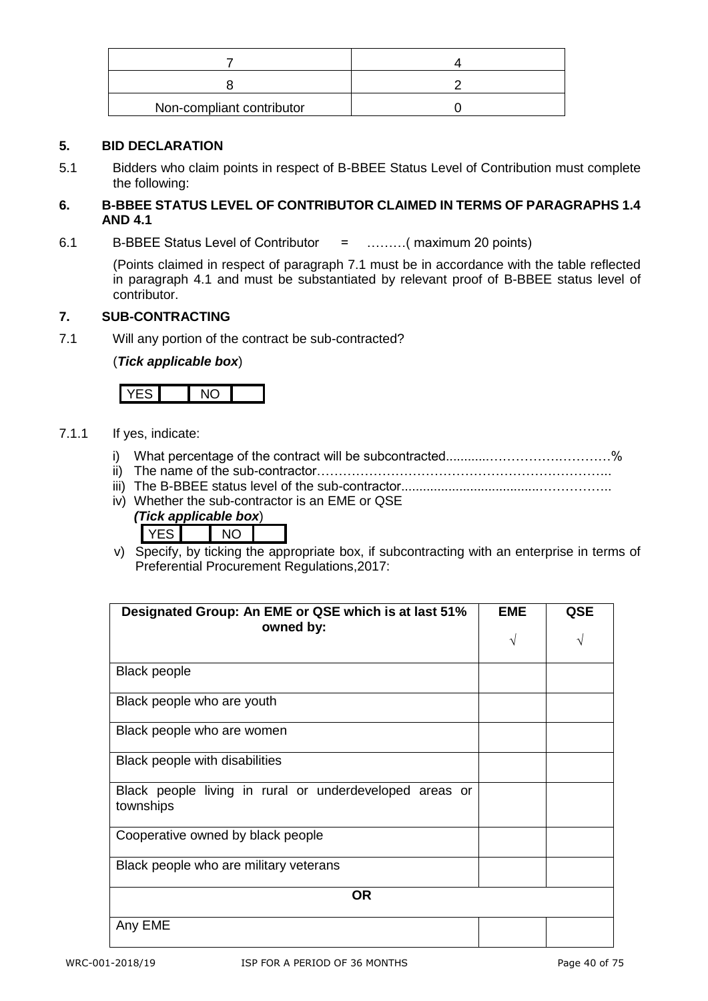| Non-compliant contributor |  |
|---------------------------|--|

#### **5. BID DECLARATION**

5.1 Bidders who claim points in respect of B-BBEE Status Level of Contribution must complete the following:

#### **6. B-BBEE STATUS LEVEL OF CONTRIBUTOR CLAIMED IN TERMS OF PARAGRAPHS 1.4 AND 4.1**

6.1 B-BBEE Status Level of Contributor = ………( maximum 20 points)

(Points claimed in respect of paragraph 7.1 must be in accordance with the table reflected in paragraph 4.1 and must be substantiated by relevant proof of B-BBEE status level of contributor.

#### **7. SUB-CONTRACTING**

7.1 Will any portion of the contract be sub-contracted?

#### (*Tick applicable box*)

#### 7.1.1 If yes, indicate:

- i) What percentage of the contract will be subcontracted............…………….…………%
- ii) The name of the sub-contractor…………………………………………………………..
- iii) The B-BBEE status level of the sub-contractor......................................……………..
- iv) Whether the sub-contractor is an EME or QSE

| (Tick applicable box) |  |  |  |
|-----------------------|--|--|--|
|                       |  |  |  |

v) Specify, by ticking the appropriate box, if subcontracting with an enterprise in terms of Preferential Procurement Regulations,2017:

| Designated Group: An EME or QSE which is at last 51%<br>owned by:    | <b>EME</b><br>V | QSE |
|----------------------------------------------------------------------|-----------------|-----|
| <b>Black people</b>                                                  |                 |     |
| Black people who are youth                                           |                 |     |
| Black people who are women                                           |                 |     |
| Black people with disabilities                                       |                 |     |
| Black people living in rural or underdeveloped areas or<br>townships |                 |     |
| Cooperative owned by black people                                    |                 |     |
| Black people who are military veterans                               |                 |     |
| <b>OR</b>                                                            |                 |     |
| Any EME                                                              |                 |     |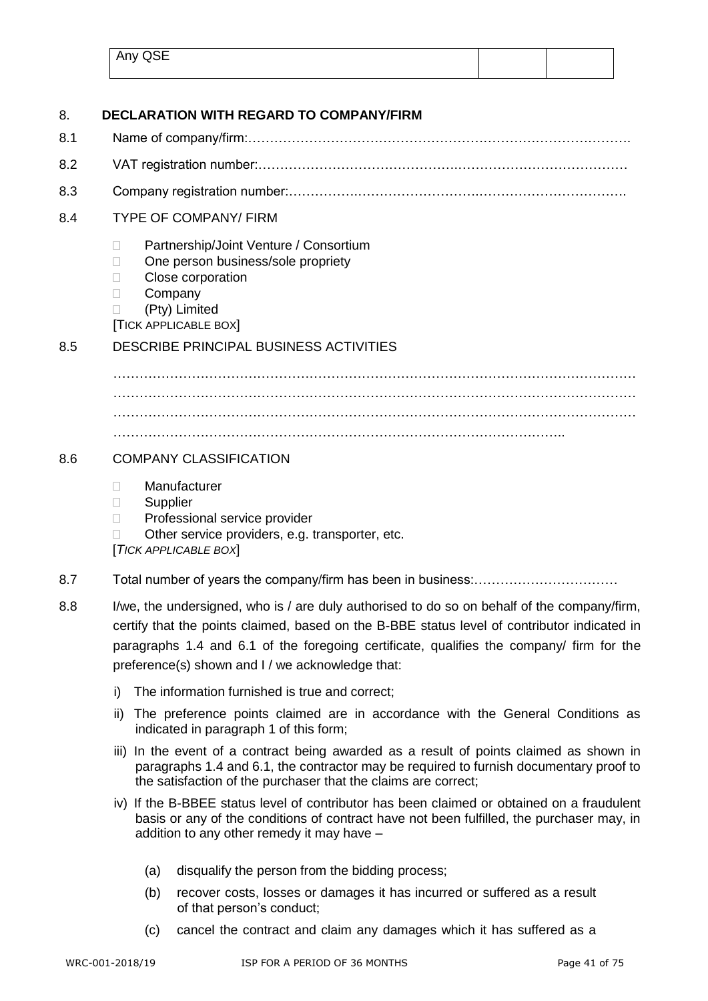| Any QSE |  |
|---------|--|
|         |  |

| 8.  |                                                                                                                                                                                                                                                     | <b>DECLARATION WITH REGARD TO COMPANY/FIRM</b>                                                                                                                                                                                                                                                                                              |  |  |
|-----|-----------------------------------------------------------------------------------------------------------------------------------------------------------------------------------------------------------------------------------------------------|---------------------------------------------------------------------------------------------------------------------------------------------------------------------------------------------------------------------------------------------------------------------------------------------------------------------------------------------|--|--|
| 8.1 |                                                                                                                                                                                                                                                     |                                                                                                                                                                                                                                                                                                                                             |  |  |
| 8.2 |                                                                                                                                                                                                                                                     |                                                                                                                                                                                                                                                                                                                                             |  |  |
| 8.3 |                                                                                                                                                                                                                                                     |                                                                                                                                                                                                                                                                                                                                             |  |  |
| 8.4 |                                                                                                                                                                                                                                                     | <b>TYPE OF COMPANY/ FIRM</b>                                                                                                                                                                                                                                                                                                                |  |  |
|     | П<br>П<br>$\Box$<br>П                                                                                                                                                                                                                               | Partnership/Joint Venture / Consortium<br>One person business/sole propriety<br>Close corporation<br>Company<br>(Pty) Limited<br>[TICK APPLICABLE BOX]                                                                                                                                                                                      |  |  |
| 8.5 |                                                                                                                                                                                                                                                     | <b>DESCRIBE PRINCIPAL BUSINESS ACTIVITIES</b>                                                                                                                                                                                                                                                                                               |  |  |
|     |                                                                                                                                                                                                                                                     |                                                                                                                                                                                                                                                                                                                                             |  |  |
|     |                                                                                                                                                                                                                                                     |                                                                                                                                                                                                                                                                                                                                             |  |  |
|     |                                                                                                                                                                                                                                                     |                                                                                                                                                                                                                                                                                                                                             |  |  |
| 8.6 | <b>COMPANY CLASSIFICATION</b>                                                                                                                                                                                                                       |                                                                                                                                                                                                                                                                                                                                             |  |  |
|     | П<br>Supplier<br>u<br>$\Box$                                                                                                                                                                                                                        | Manufacturer<br>Professional service provider<br>Other service providers, e.g. transporter, etc.<br>[TICK APPLICABLE BOX]                                                                                                                                                                                                                   |  |  |
| 8.7 |                                                                                                                                                                                                                                                     |                                                                                                                                                                                                                                                                                                                                             |  |  |
| 8.8 |                                                                                                                                                                                                                                                     | I/we, the undersigned, who is / are duly authorised to do so on behalf of the company/firm,<br>certify that the points claimed, based on the B-BBE status level of contributor indicated in<br>paragraphs 1.4 and 6.1 of the foregoing certificate, qualifies the company/ firm for the<br>preference(s) shown and I / we acknowledge that: |  |  |
|     | i)                                                                                                                                                                                                                                                  | The information furnished is true and correct;                                                                                                                                                                                                                                                                                              |  |  |
|     | The preference points claimed are in accordance with the General Conditions as<br>ii)<br>indicated in paragraph 1 of this form;                                                                                                                     |                                                                                                                                                                                                                                                                                                                                             |  |  |
|     | iii) In the event of a contract being awarded as a result of points claimed as shown in<br>paragraphs 1.4 and 6.1, the contractor may be required to furnish documentary proof to<br>the satisfaction of the purchaser that the claims are correct; |                                                                                                                                                                                                                                                                                                                                             |  |  |
|     | iv) If the B-BBEE status level of contributor has been claimed or obtained on a fraudulent<br>basis or any of the conditions of contract have not been fulfilled, the purchaser may, in<br>addition to any other remedy it may have -               |                                                                                                                                                                                                                                                                                                                                             |  |  |
|     | (a)                                                                                                                                                                                                                                                 | disqualify the person from the bidding process;                                                                                                                                                                                                                                                                                             |  |  |
|     | (b)                                                                                                                                                                                                                                                 | recover costs, losses or damages it has incurred or suffered as a result<br>of that person's conduct;                                                                                                                                                                                                                                       |  |  |
|     | (c)                                                                                                                                                                                                                                                 | cancel the contract and claim any damages which it has suffered as a                                                                                                                                                                                                                                                                        |  |  |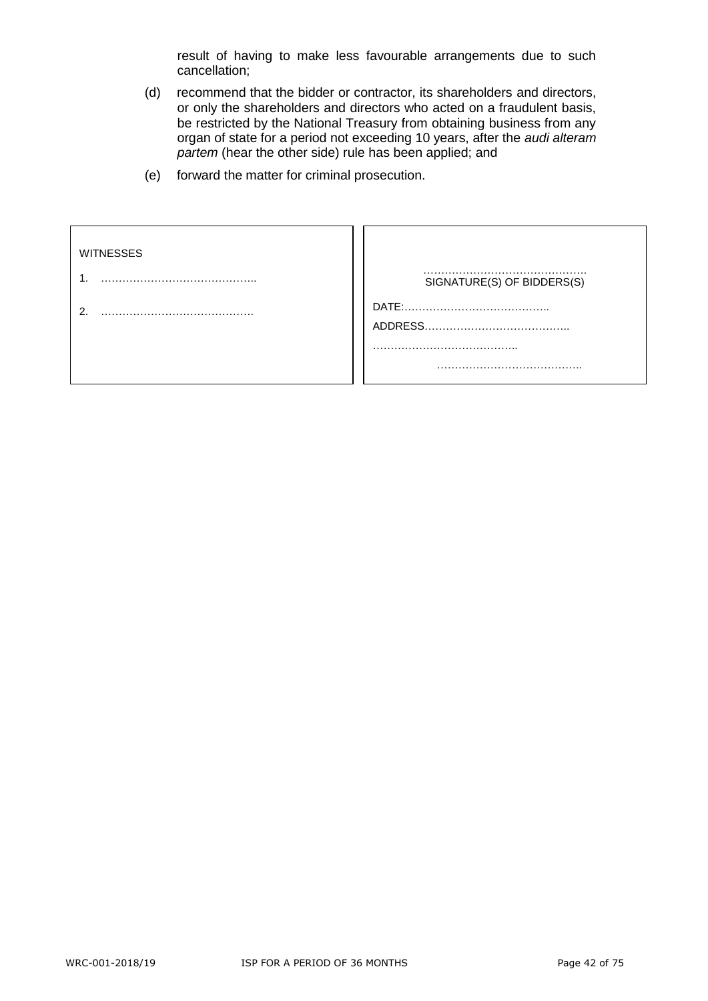result of having to make less favourable arrangements due to such cancellation;

- (d) recommend that the bidder or contractor, its shareholders and directors, or only the shareholders and directors who acted on a fraudulent basis, be restricted by the National Treasury from obtaining business from any organ of state for a period not exceeding 10 years, after the *audi alteram partem* (hear the other side) rule has been applied; and
- (e) forward the matter for criminal prosecution.

| <b>WITNESSES</b> |                            |
|------------------|----------------------------|
|                  | SIGNATURE(S) OF BIDDERS(S) |
| ົ                |                            |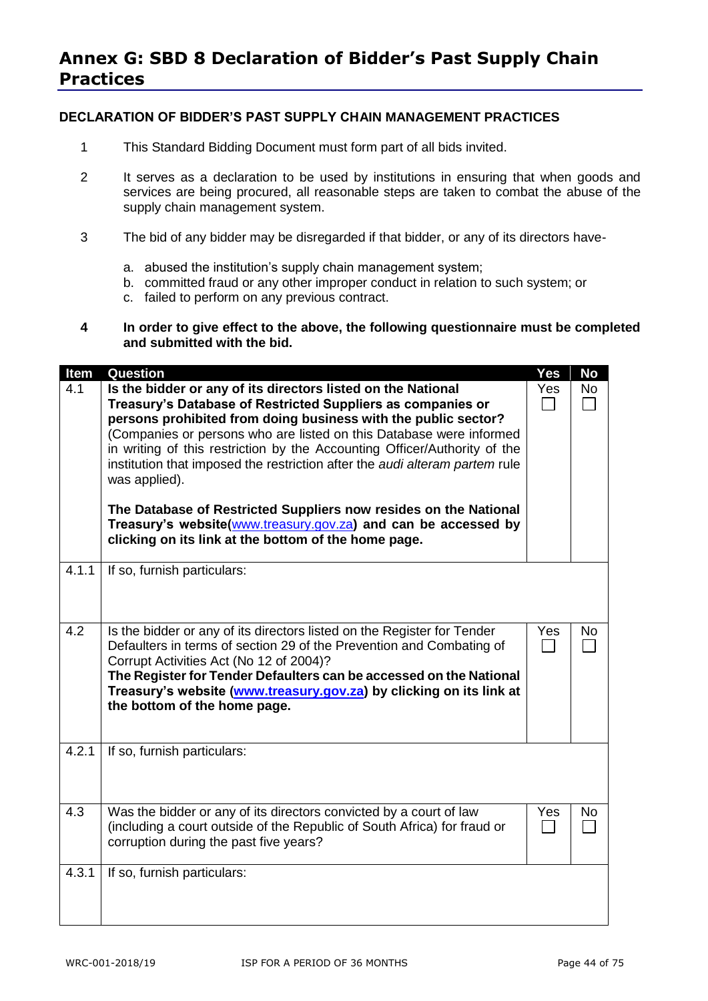#### **DECLARATION OF BIDDER'S PAST SUPPLY CHAIN MANAGEMENT PRACTICES**

- 1 This Standard Bidding Document must form part of all bids invited.
- 2 It serves as a declaration to be used by institutions in ensuring that when goods and services are being procured, all reasonable steps are taken to combat the abuse of the supply chain management system.
- 3 The bid of any bidder may be disregarded if that bidder, or any of its directors have
	- a. abused the institution's supply chain management system;
	- b. committed fraud or any other improper conduct in relation to such system; or
	- c. failed to perform on any previous contract.
- **4 In order to give effect to the above, the following questionnaire must be completed and submitted with the bid.**

| Item  | <b>Question</b>                                                                                                                                                                                                                                                                                                                                                                                                                                                                                                                                                                                                                                 | Yes | <b>No</b> |
|-------|-------------------------------------------------------------------------------------------------------------------------------------------------------------------------------------------------------------------------------------------------------------------------------------------------------------------------------------------------------------------------------------------------------------------------------------------------------------------------------------------------------------------------------------------------------------------------------------------------------------------------------------------------|-----|-----------|
| 4.1   | Is the bidder or any of its directors listed on the National<br>Treasury's Database of Restricted Suppliers as companies or<br>persons prohibited from doing business with the public sector?<br>(Companies or persons who are listed on this Database were informed<br>in writing of this restriction by the Accounting Officer/Authority of the<br>institution that imposed the restriction after the audi alteram partem rule<br>was applied).<br>The Database of Restricted Suppliers now resides on the National<br>Treasury's website(www.treasury.gov.za) and can be accessed by<br>clicking on its link at the bottom of the home page. | Yes | <b>No</b> |
| 4.1.1 | If so, furnish particulars:                                                                                                                                                                                                                                                                                                                                                                                                                                                                                                                                                                                                                     |     |           |
| 4.2   | Is the bidder or any of its directors listed on the Register for Tender<br>Defaulters in terms of section 29 of the Prevention and Combating of<br>Corrupt Activities Act (No 12 of 2004)?<br>The Register for Tender Defaulters can be accessed on the National<br>Treasury's website (www.treasury.gov.za) by clicking on its link at<br>the bottom of the home page.                                                                                                                                                                                                                                                                         | Yes | No.       |
| 4.2.1 | If so, furnish particulars:                                                                                                                                                                                                                                                                                                                                                                                                                                                                                                                                                                                                                     |     |           |
| 4.3   | Was the bidder or any of its directors convicted by a court of law<br>(including a court outside of the Republic of South Africa) for fraud or<br>corruption during the past five years?                                                                                                                                                                                                                                                                                                                                                                                                                                                        | Yes | No        |
| 4.3.1 | If so, furnish particulars:                                                                                                                                                                                                                                                                                                                                                                                                                                                                                                                                                                                                                     |     |           |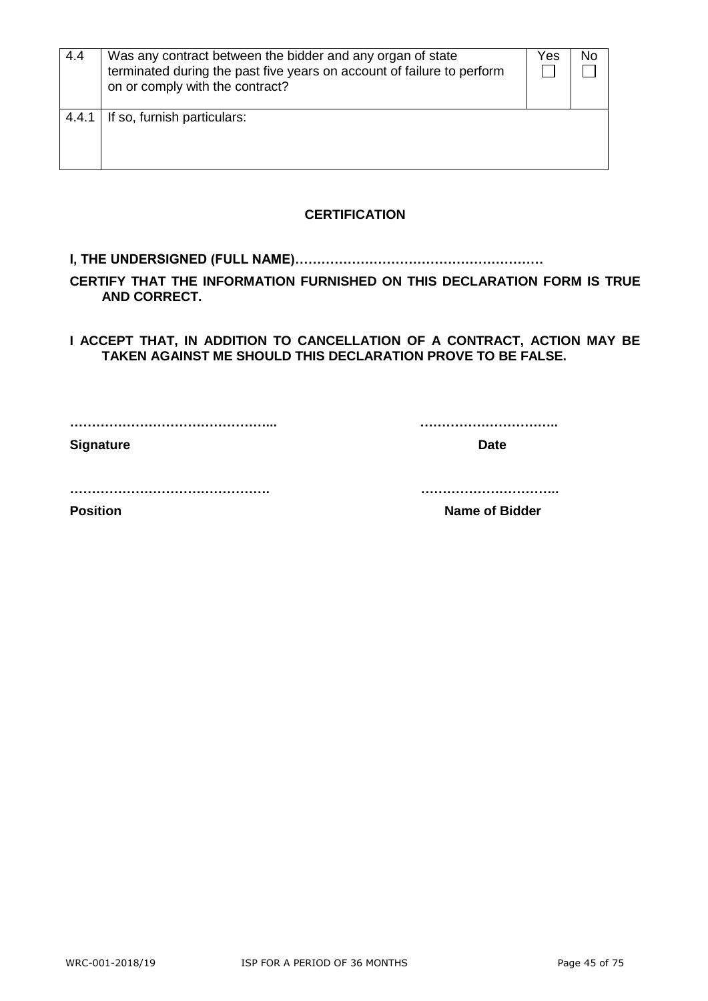| 4.4   | Was any contract between the bidder and any organ of state<br>terminated during the past five years on account of failure to perform<br>on or comply with the contract? | Yes | No |
|-------|-------------------------------------------------------------------------------------------------------------------------------------------------------------------------|-----|----|
| 4.4.1 | If so, furnish particulars:                                                                                                                                             |     |    |

#### **CERTIFICATION**

#### **I, THE UNDERSIGNED (FULL NAME)…………………………………………………**

**CERTIFY THAT THE INFORMATION FURNISHED ON THIS DECLARATION FORM IS TRUE AND CORRECT.**

**I ACCEPT THAT, IN ADDITION TO CANCELLATION OF A CONTRACT, ACTION MAY BE TAKEN AGAINST ME SHOULD THIS DECLARATION PROVE TO BE FALSE.**

**………………………………………... …………………………..**

**Signature Date** 

**………………………………………. …………………………..**

**Position Constanting Constanting Constanting Constanting Constanting Constanting Constanting Constanting Constanting Constanting Constanting Constanting Constanting Constanting Constanting Constanting Constanting Consta**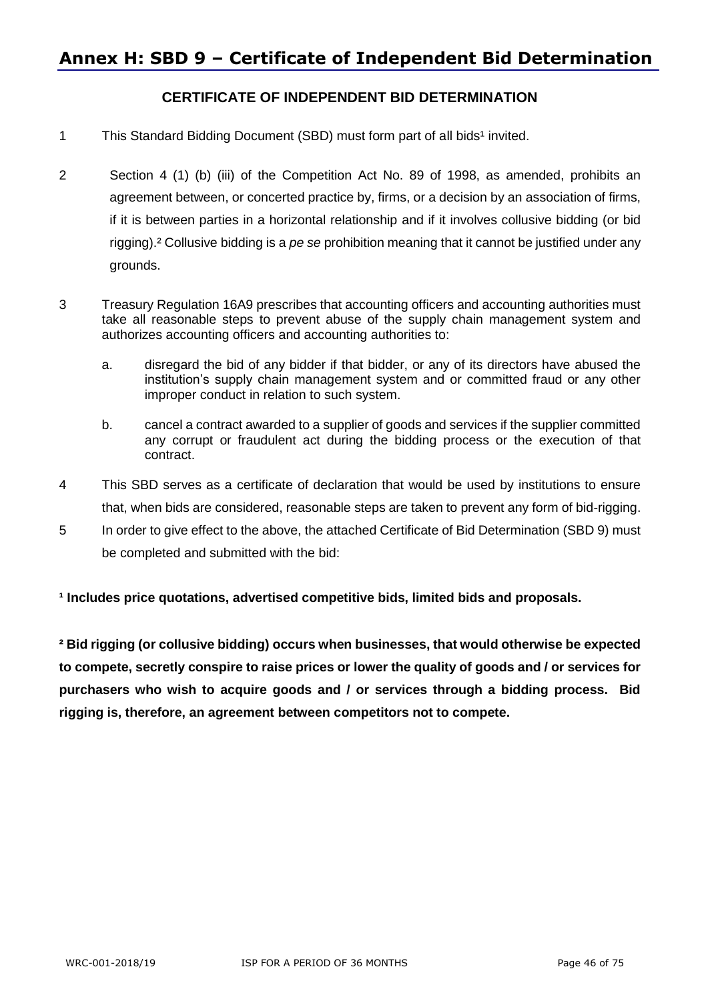## **Annex H: SBD 9 – Certificate of Independent Bid Determination**

#### **CERTIFICATE OF INDEPENDENT BID DETERMINATION**

- 1 This Standard Bidding Document (SBD) must form part of all bids<sup>1</sup> invited.
- 2 Section 4 (1) (b) (iii) of the Competition Act No. 89 of 1998, as amended, prohibits an agreement between, or concerted practice by, firms, or a decision by an association of firms, if it is between parties in a horizontal relationship and if it involves collusive bidding (or bid rigging).² Collusive bidding is a *pe se* prohibition meaning that it cannot be justified under any grounds.
- 3 Treasury Regulation 16A9 prescribes that accounting officers and accounting authorities must take all reasonable steps to prevent abuse of the supply chain management system and authorizes accounting officers and accounting authorities to:
	- a. disregard the bid of any bidder if that bidder, or any of its directors have abused the institution's supply chain management system and or committed fraud or any other improper conduct in relation to such system.
	- b. cancel a contract awarded to a supplier of goods and services if the supplier committed any corrupt or fraudulent act during the bidding process or the execution of that contract.
- 4 This SBD serves as a certificate of declaration that would be used by institutions to ensure that, when bids are considered, reasonable steps are taken to prevent any form of bid-rigging.
- 5 In order to give effect to the above, the attached Certificate of Bid Determination (SBD 9) must be completed and submitted with the bid:

**¹ Includes price quotations, advertised competitive bids, limited bids and proposals.**

**² Bid rigging (or collusive bidding) occurs when businesses, that would otherwise be expected to compete, secretly conspire to raise prices or lower the quality of goods and / or services for purchasers who wish to acquire goods and / or services through a bidding process. Bid rigging is, therefore, an agreement between competitors not to compete.**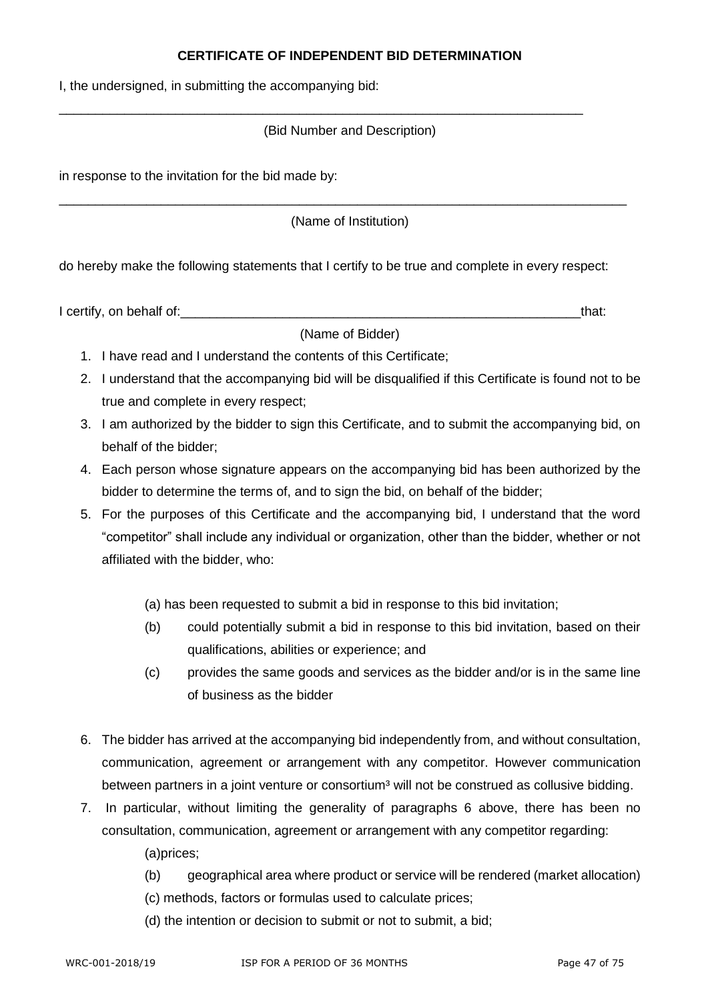#### **CERTIFICATE OF INDEPENDENT BID DETERMINATION**

I, the undersigned, in submitting the accompanying bid:

#### (Bid Number and Description)

\_\_\_\_\_\_\_\_\_\_\_\_\_\_\_\_\_\_\_\_\_\_\_\_\_\_\_\_\_\_\_\_\_\_\_\_\_\_\_\_\_\_\_\_\_\_\_\_\_\_\_\_\_\_\_\_\_\_\_\_\_\_\_\_\_\_\_\_\_\_\_\_

in response to the invitation for the bid made by:

(Name of Institution)

\_\_\_\_\_\_\_\_\_\_\_\_\_\_\_\_\_\_\_\_\_\_\_\_\_\_\_\_\_\_\_\_\_\_\_\_\_\_\_\_\_\_\_\_\_\_\_\_\_\_\_\_\_\_\_\_\_\_\_\_\_\_\_\_\_\_\_\_\_\_\_\_\_\_\_\_\_\_

do hereby make the following statements that I certify to be true and complete in every respect:

I certify, on behalf of:  $\blacksquare$ 

(Name of Bidder)

- 1. I have read and I understand the contents of this Certificate;
- 2. I understand that the accompanying bid will be disqualified if this Certificate is found not to be true and complete in every respect;
- 3. I am authorized by the bidder to sign this Certificate, and to submit the accompanying bid, on behalf of the bidder;
- 4. Each person whose signature appears on the accompanying bid has been authorized by the bidder to determine the terms of, and to sign the bid, on behalf of the bidder;
- 5. For the purposes of this Certificate and the accompanying bid, I understand that the word "competitor" shall include any individual or organization, other than the bidder, whether or not affiliated with the bidder, who:
	- (a) has been requested to submit a bid in response to this bid invitation;
	- (b) could potentially submit a bid in response to this bid invitation, based on their qualifications, abilities or experience; and
	- (c) provides the same goods and services as the bidder and/or is in the same line of business as the bidder
- 6. The bidder has arrived at the accompanying bid independently from, and without consultation, communication, agreement or arrangement with any competitor. However communication between partners in a joint venture or consortium<sup>3</sup> will not be construed as collusive bidding.
- 7. In particular, without limiting the generality of paragraphs 6 above, there has been no consultation, communication, agreement or arrangement with any competitor regarding:

(a)prices;

- (b) geographical area where product or service will be rendered (market allocation)
- (c) methods, factors or formulas used to calculate prices;
- (d) the intention or decision to submit or not to submit, a bid;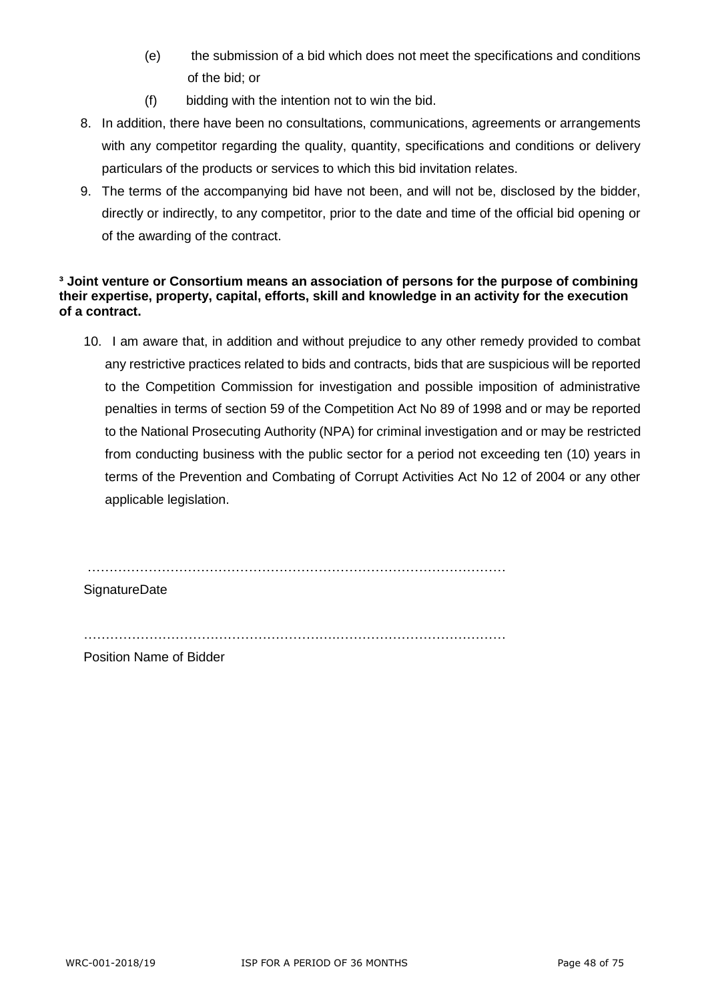- (e) the submission of a bid which does not meet the specifications and conditions of the bid; or
- (f) bidding with the intention not to win the bid.
- 8. In addition, there have been no consultations, communications, agreements or arrangements with any competitor regarding the quality, quantity, specifications and conditions or delivery particulars of the products or services to which this bid invitation relates.
- 9. The terms of the accompanying bid have not been, and will not be, disclosed by the bidder, directly or indirectly, to any competitor, prior to the date and time of the official bid opening or of the awarding of the contract.

#### **³ Joint venture or Consortium means an association of persons for the purpose of combining their expertise, property, capital, efforts, skill and knowledge in an activity for the execution of a contract.**

10. I am aware that, in addition and without prejudice to any other remedy provided to combat any restrictive practices related to bids and contracts, bids that are suspicious will be reported to the Competition Commission for investigation and possible imposition of administrative penalties in terms of section 59 of the Competition Act No 89 of 1998 and or may be reported to the National Prosecuting Authority (NPA) for criminal investigation and or may be restricted from conducting business with the public sector for a period not exceeding ten (10) years in terms of the Prevention and Combating of Corrupt Activities Act No 12 of 2004 or any other applicable legislation.

……………………………………………………………………………………

**SignatureDate** 

………………………………………………….…………………………………

Position Name of Bidder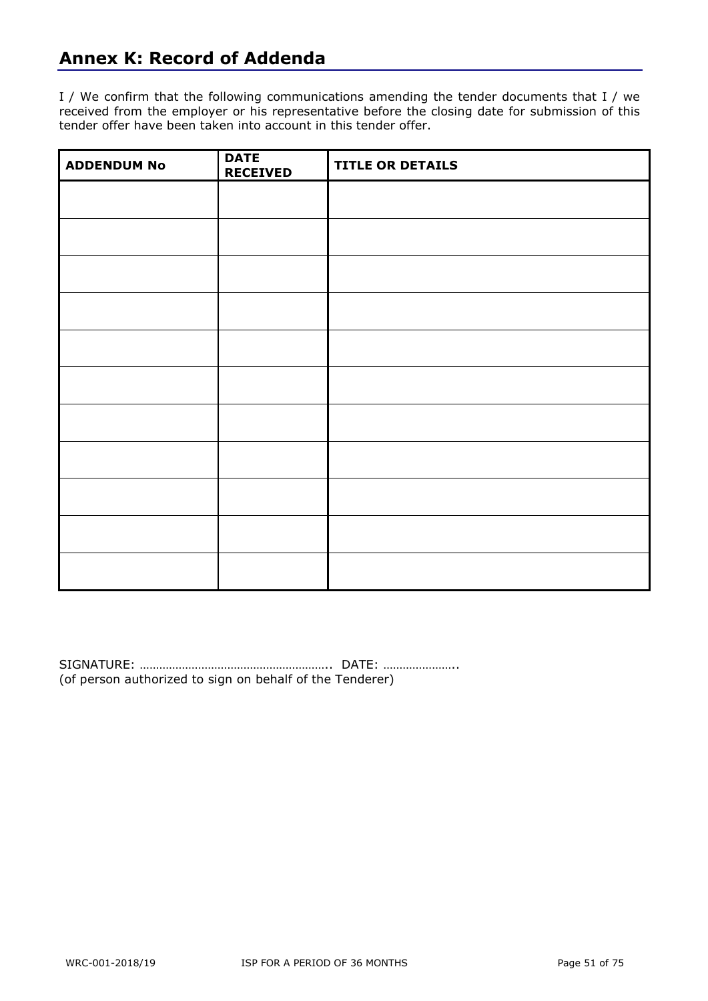## **Annex K: Record of Addenda**

I / We confirm that the following communications amending the tender documents that I / we received from the employer or his representative before the closing date for submission of this tender offer have been taken into account in this tender offer.

| <b>ADDENDUM No</b> | <b>DATE</b><br><b>RECEIVED</b> | <b>TITLE OR DETAILS</b> |
|--------------------|--------------------------------|-------------------------|
|                    |                                |                         |
|                    |                                |                         |
|                    |                                |                         |
|                    |                                |                         |
|                    |                                |                         |
|                    |                                |                         |
|                    |                                |                         |
|                    |                                |                         |
|                    |                                |                         |
|                    |                                |                         |
|                    |                                |                         |

SIGNATURE: ………………………………………………….. DATE: ………………….. (of person authorized to sign on behalf of the Tenderer)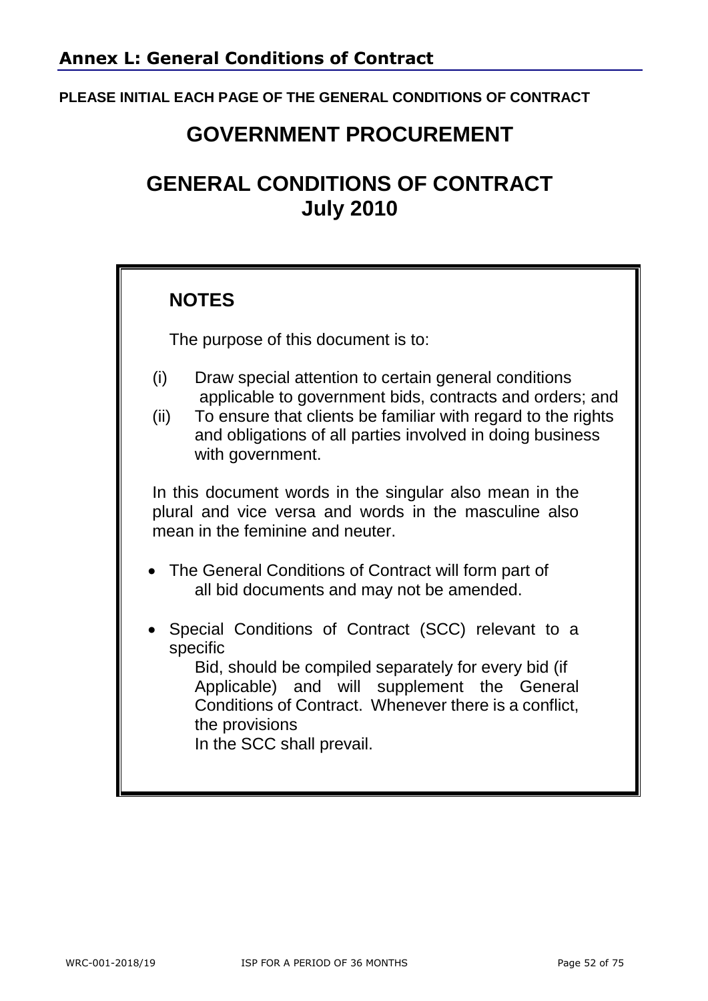### **PLEASE INITIAL EACH PAGE OF THE GENERAL CONDITIONS OF CONTRACT**

# **GOVERNMENT PROCUREMENT**

# **GENERAL CONDITIONS OF CONTRACT July 2010**

## **NOTES**

The purpose of this document is to:

- (i) Draw special attention to certain general conditions applicable to government bids, contracts and orders; and
- (ii) To ensure that clients be familiar with regard to the rights and obligations of all parties involved in doing business with government.

In this document words in the singular also mean in the plural and vice versa and words in the masculine also mean in the feminine and neuter.

- The General Conditions of Contract will form part of all bid documents and may not be amended.
- Special Conditions of Contract (SCC) relevant to a specific

Bid, should be compiled separately for every bid (if Applicable) and will supplement the General Conditions of Contract. Whenever there is a conflict, the provisions

In the SCC shall prevail.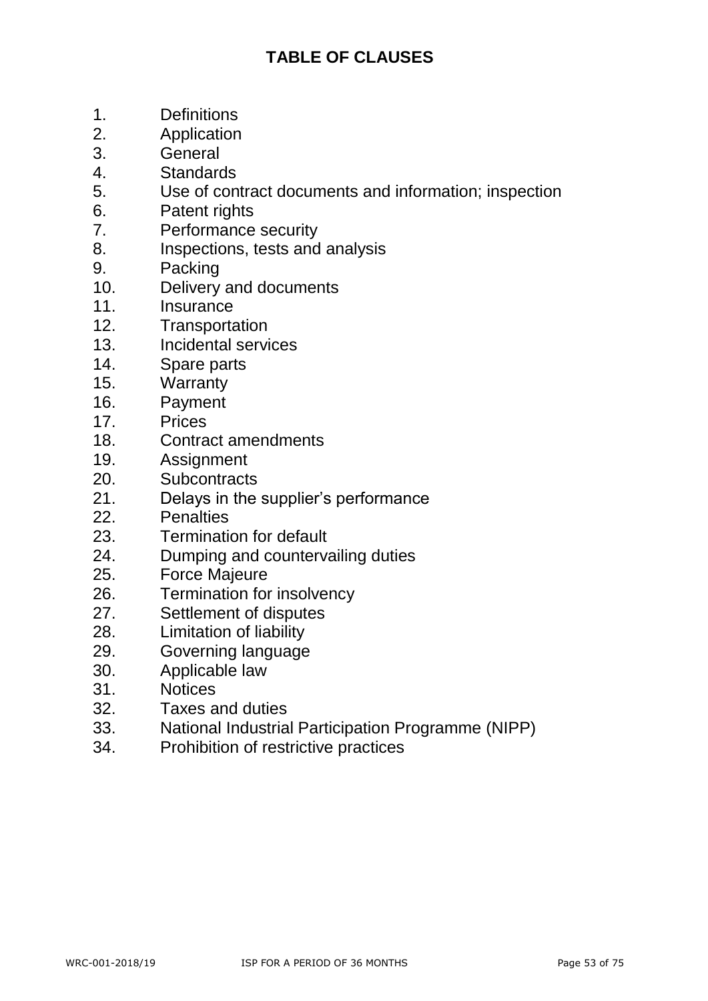## **TABLE OF CLAUSES**

- 1. Definitions
- 2. Application
- 3. General
- 4. Standards
- 5. Use of contract documents and information; inspection
- 6. Patent rights
- 7. Performance security
- 8. Inspections, tests and analysis
- 9. Packing
- 10. Delivery and documents
- 11. Insurance
- 12. Transportation
- 13. Incidental services
- 14. Spare parts
- 15. Warranty
- 16. Payment
- 17. Prices
- 18. Contract amendments
- 19. Assignment
- 20. Subcontracts
- 21. Delays in the supplier's performance
- 22. Penalties
- 23. Termination for default
- 24. Dumping and countervailing duties
- 25. Force Majeure
- 26. Termination for insolvency
- 27. Settlement of disputes
- 28. Limitation of liability
- 29. Governing language
- 30. Applicable law
- 31. Notices
- 32. Taxes and duties
- 33. National Industrial Participation Programme (NIPP)
- 34. Prohibition of restrictive practices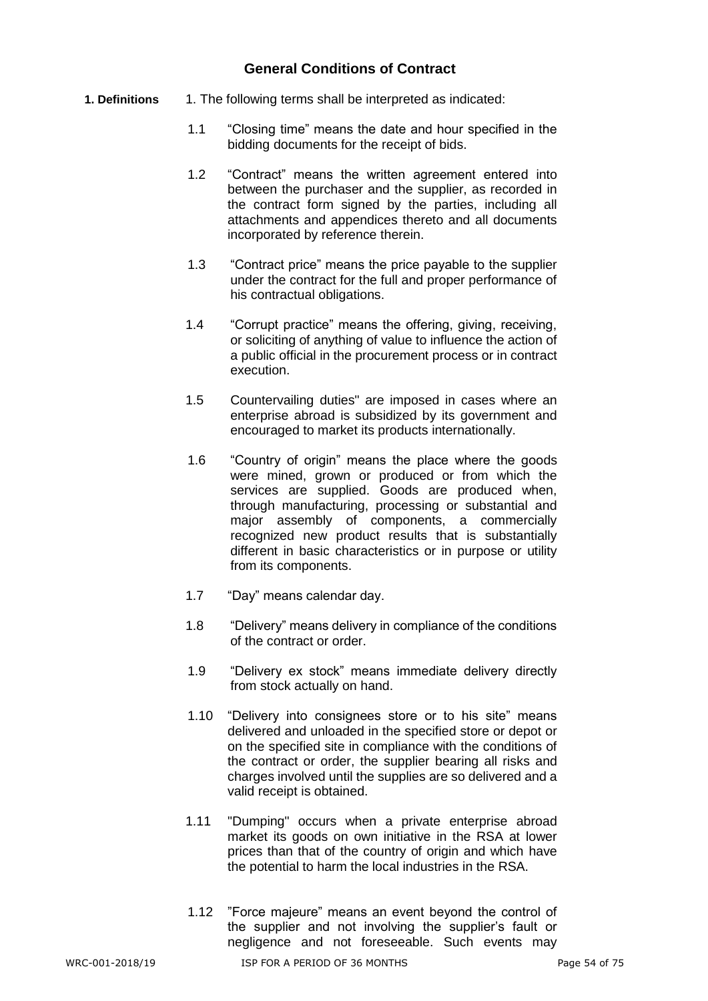#### **General Conditions of Contract**

- **1. Definitions** 1. The following terms shall be interpreted as indicated:
	- 1.1 "Closing time" means the date and hour specified in the bidding documents for the receipt of bids.
	- 1.2 "Contract" means the written agreement entered into between the purchaser and the supplier, as recorded in the contract form signed by the parties, including all attachments and appendices thereto and all documents incorporated by reference therein.
	- 1.3 "Contract price" means the price payable to the supplier under the contract for the full and proper performance of his contractual obligations.
	- 1.4 "Corrupt practice" means the offering, giving, receiving, or soliciting of anything of value to influence the action of a public official in the procurement process or in contract execution.
	- 1.5 Countervailing duties" are imposed in cases where an enterprise abroad is subsidized by its government and encouraged to market its products internationally.
	- 1.6 "Country of origin" means the place where the goods were mined, grown or produced or from which the services are supplied. Goods are produced when, through manufacturing, processing or substantial and major assembly of components, a commercially recognized new product results that is substantially different in basic characteristics or in purpose or utility from its components.
	- 1.7 "Day" means calendar day.
	- 1.8 "Delivery" means delivery in compliance of the conditions of the contract or order.
	- 1.9 "Delivery ex stock" means immediate delivery directly from stock actually on hand.
	- 1.10 "Delivery into consignees store or to his site" means delivered and unloaded in the specified store or depot or on the specified site in compliance with the conditions of the contract or order, the supplier bearing all risks and charges involved until the supplies are so delivered and a valid receipt is obtained.
	- 1.11 "Dumping" occurs when a private enterprise abroad market its goods on own initiative in the RSA at lower prices than that of the country of origin and which have the potential to harm the local industries in the RSA.
	- 1.12 "Force majeure" means an event beyond the control of the supplier and not involving the supplier's fault or negligence and not foreseeable. Such events may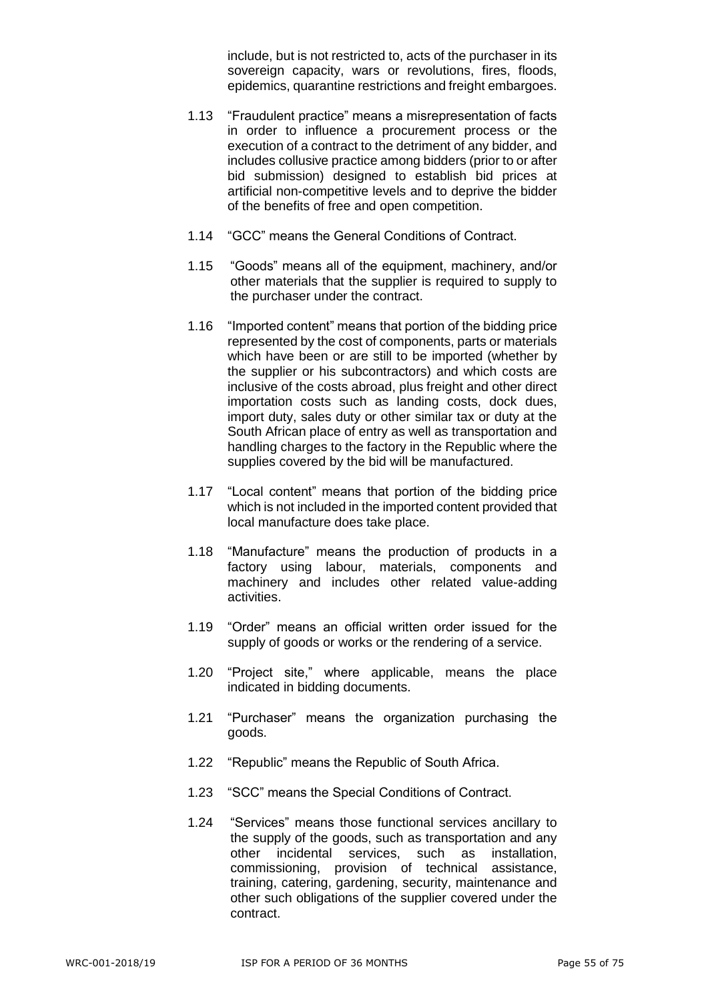include, but is not restricted to, acts of the purchaser in its sovereign capacity, wars or revolutions, fires, floods, epidemics, quarantine restrictions and freight embargoes.

- 1.13 "Fraudulent practice" means a misrepresentation of facts in order to influence a procurement process or the execution of a contract to the detriment of any bidder, and includes collusive practice among bidders (prior to or after bid submission) designed to establish bid prices at artificial non-competitive levels and to deprive the bidder of the benefits of free and open competition.
- 1.14 "GCC" means the General Conditions of Contract.
- 1.15 "Goods" means all of the equipment, machinery, and/or other materials that the supplier is required to supply to the purchaser under the contract.
- 1.16 "Imported content" means that portion of the bidding price represented by the cost of components, parts or materials which have been or are still to be imported (whether by the supplier or his subcontractors) and which costs are inclusive of the costs abroad, plus freight and other direct importation costs such as landing costs, dock dues, import duty, sales duty or other similar tax or duty at the South African place of entry as well as transportation and handling charges to the factory in the Republic where the supplies covered by the bid will be manufactured.
- 1.17 "Local content" means that portion of the bidding price which is not included in the imported content provided that local manufacture does take place.
- 1.18 "Manufacture" means the production of products in a factory using labour, materials, components and machinery and includes other related value-adding activities.
- 1.19 "Order" means an official written order issued for the supply of goods or works or the rendering of a service.
- 1.20 "Project site," where applicable, means the place indicated in bidding documents.
- 1.21 "Purchaser" means the organization purchasing the goods.
- 1.22 "Republic" means the Republic of South Africa.
- 1.23 "SCC" means the Special Conditions of Contract.
- 1.24 "Services" means those functional services ancillary to the supply of the goods, such as transportation and any other incidental services, such as installation, commissioning, provision of technical assistance, training, catering, gardening, security, maintenance and other such obligations of the supplier covered under the contract.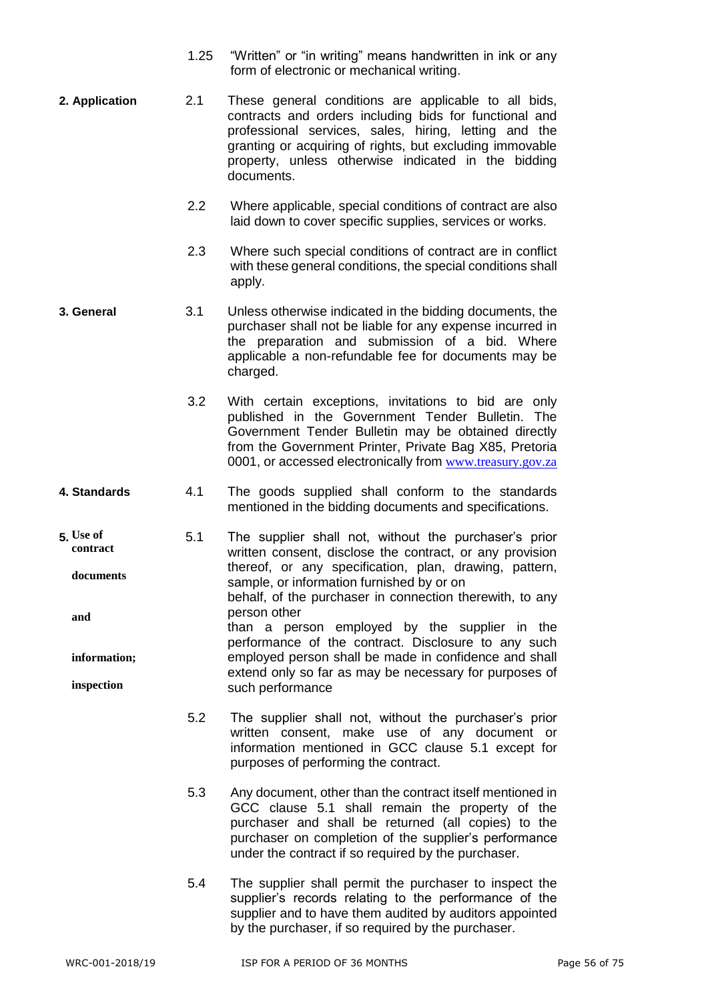- 1.25 "Written" or "in writing" means handwritten in ink or any form of electronic or mechanical writing.
- **2. Application** 2.1 These general conditions are applicable to all bids, contracts and orders including bids for functional and professional services, sales, hiring, letting and the granting or acquiring of rights, but excluding immovable property, unless otherwise indicated in the bidding documents.
	- 2.2 Where applicable, special conditions of contract are also laid down to cover specific supplies, services or works.
	- 2.3 Where such special conditions of contract are in conflict with these general conditions, the special conditions shall apply.
- **3. General** 3.1 Unless otherwise indicated in the bidding documents, the purchaser shall not be liable for any expense incurred in the preparation and submission of a bid. Where applicable a non-refundable fee for documents may be charged.
	- 3.2 With certain exceptions, invitations to bid are only published in the Government Tender Bulletin. The Government Tender Bulletin may be obtained directly from the Government Printer, Private Bag X85, Pretoria 0001, or accessed electronically from [www.treasury.gov.za](http://www.treasury.gov.za/)
- **4. Standards** 4.1 The goods supplied shall conform to the standards mentioned in the bidding documents and specifications.
- **5.** 5.1 The supplier shall not, without the purchaser's prior written consent, disclose the contract, or any provision thereof, or any specification, plan, drawing, pattern, sample, or information furnished by or on behalf, of the purchaser in connection therewith, to any person other than a person employed by the supplier in the performance of the contract. Disclosure to any such employed person shall be made in confidence and shall extend only so far as may be necessary for purposes of such performance **Use of contract documents and information; inspection**
	- 5.2 The supplier shall not, without the purchaser's prior written consent, make use of any document or information mentioned in GCC clause 5.1 except for purposes of performing the contract.
	- 5.3 Any document, other than the contract itself mentioned in GCC clause 5.1 shall remain the property of the purchaser and shall be returned (all copies) to the purchaser on completion of the supplier's performance under the contract if so required by the purchaser.
	- 5.4 The supplier shall permit the purchaser to inspect the supplier's records relating to the performance of the supplier and to have them audited by auditors appointed by the purchaser, if so required by the purchaser.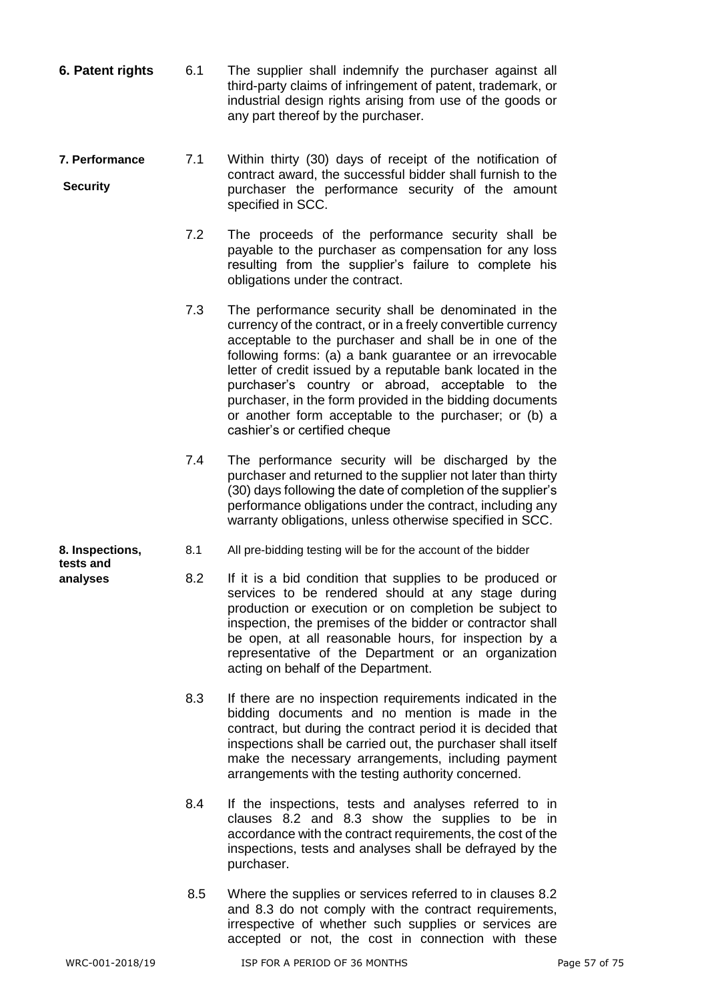- **6. Patent rights** 6.1 The supplier shall indemnify the purchaser against all third-party claims of infringement of patent, trademark, or industrial design rights arising from use of the goods or any part thereof by the purchaser.
- **7. Performance** 7.1 Within thirty (30) days of receipt of the notification of contract award, the successful bidder shall furnish to the purchaser the performance security of the amount specified in SCC. **Security**
	- 7.2 The proceeds of the performance security shall be payable to the purchaser as compensation for any loss resulting from the supplier's failure to complete his obligations under the contract.
	- 7.3 The performance security shall be denominated in the currency of the contract, or in a freely convertible currency acceptable to the purchaser and shall be in one of the following forms: (a) a bank guarantee or an irrevocable letter of credit issued by a reputable bank located in the purchaser's country or abroad, acceptable to the purchaser, in the form provided in the bidding documents or another form acceptable to the purchaser; or (b) a cashier's or certified cheque
	- 7.4 The performance security will be discharged by the purchaser and returned to the supplier not later than thirty (30) days following the date of completion of the supplier's performance obligations under the contract, including any warranty obligations, unless otherwise specified in SCC.
- **8. Inspections,** 8.1 All pre-bidding testing will be for the account of the bidder
- **analyses** 8.2 If it is a bid condition that supplies to be produced or services to be rendered should at any stage during production or execution or on completion be subject to inspection, the premises of the bidder or contractor shall be open, at all reasonable hours, for inspection by a representative of the Department or an organization acting on behalf of the Department.
	- 8.3 If there are no inspection requirements indicated in the bidding documents and no mention is made in the contract, but during the contract period it is decided that inspections shall be carried out, the purchaser shall itself make the necessary arrangements, including payment arrangements with the testing authority concerned.
	- 8.4 If the inspections, tests and analyses referred to in clauses 8.2 and 8.3 show the supplies to be in accordance with the contract requirements, the cost of the inspections, tests and analyses shall be defrayed by the purchaser.
	- 8.5 Where the supplies or services referred to in clauses 8.2 and 8.3 do not comply with the contract requirements, irrespective of whether such supplies or services are accepted or not, the cost in connection with these

**tests and**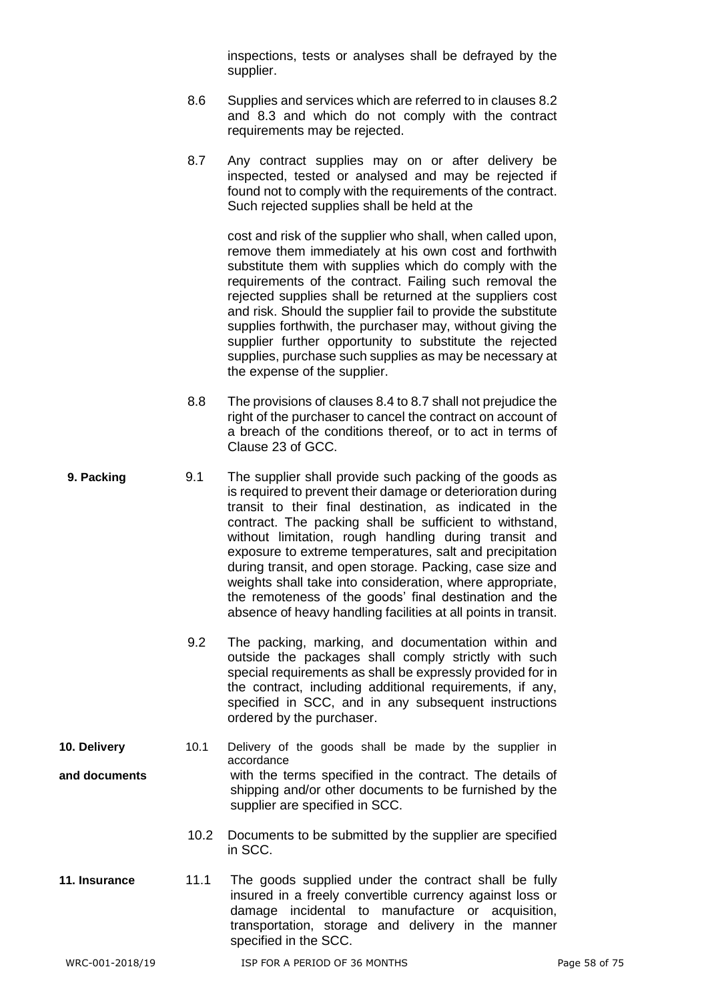inspections, tests or analyses shall be defrayed by the supplier.

- 8.6 Supplies and services which are referred to in clauses 8.2 and 8.3 and which do not comply with the contract requirements may be rejected.
- 8.7 Any contract supplies may on or after delivery be inspected, tested or analysed and may be rejected if found not to comply with the requirements of the contract. Such rejected supplies shall be held at the

cost and risk of the supplier who shall, when called upon, remove them immediately at his own cost and forthwith substitute them with supplies which do comply with the requirements of the contract. Failing such removal the rejected supplies shall be returned at the suppliers cost and risk. Should the supplier fail to provide the substitute supplies forthwith, the purchaser may, without giving the supplier further opportunity to substitute the rejected supplies, purchase such supplies as may be necessary at the expense of the supplier.

- 8.8 The provisions of clauses 8.4 to 8.7 shall not prejudice the right of the purchaser to cancel the contract on account of a breach of the conditions thereof, or to act in terms of Clause 23 of GCC.
- **9. Packing** 9.1 The supplier shall provide such packing of the goods as is required to prevent their damage or deterioration during transit to their final destination, as indicated in the contract. The packing shall be sufficient to withstand, without limitation, rough handling during transit and exposure to extreme temperatures, salt and precipitation during transit, and open storage. Packing, case size and weights shall take into consideration, where appropriate, the remoteness of the goods' final destination and the absence of heavy handling facilities at all points in transit.
	- 9.2 The packing, marking, and documentation within and outside the packages shall comply strictly with such special requirements as shall be expressly provided for in the contract, including additional requirements, if any, specified in SCC, and in any subsequent instructions ordered by the purchaser.
- **10. Delivery** 10.1 Delivery of the goods shall be made by the supplier in accordance **and documents** with the terms specified in the contract. The details of shipping and/or other documents to be furnished by the supplier are specified in SCC.
	- 10.2 Documents to be submitted by the supplier are specified in SCC.
- **11. Insurance** 11.1 The goods supplied under the contract shall be fully insured in a freely convertible currency against loss or damage incidental to manufacture or acquisition, transportation, storage and delivery in the manner specified in the SCC.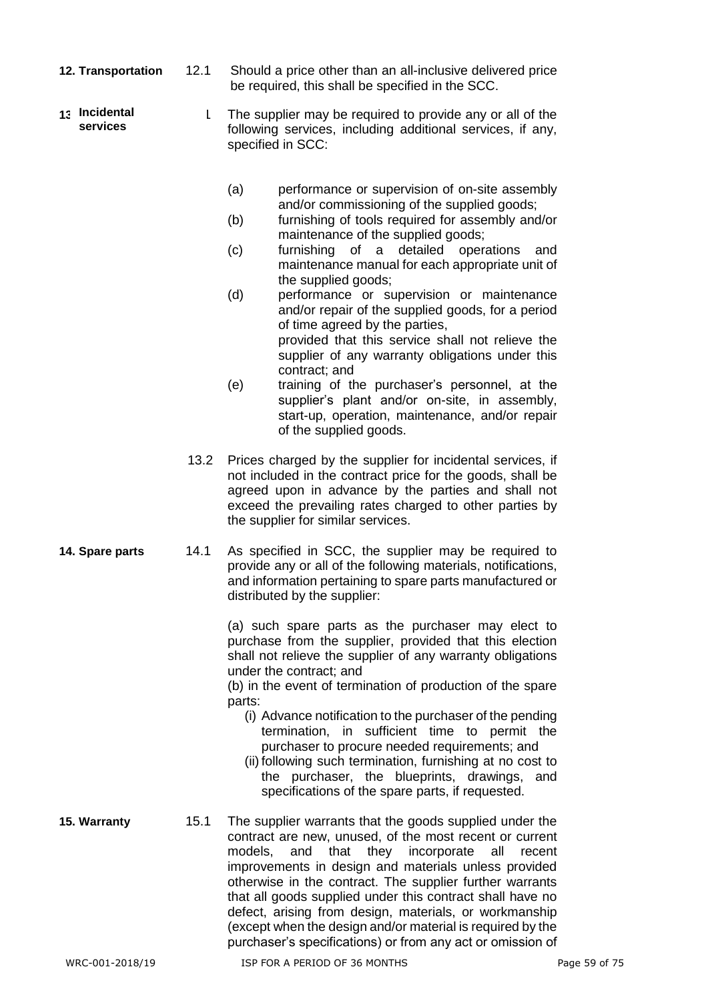- **12. Transportation** 12.1 Should a price other than an all-inclusive delivered price be required, this shall be specified in the SCC.
- 1 The supplier may be required to provide any or all of the following services, including additional services, if any, specified in SCC: **Incidental services**
	- (a) performance or supervision of on-site assembly and/or commissioning of the supplied goods;
	- (b) furnishing of tools required for assembly and/or maintenance of the supplied goods;
	- (c) furnishing of a detailed operations and maintenance manual for each appropriate unit of the supplied goods;
	- (d) performance or supervision or maintenance and/or repair of the supplied goods, for a period of time agreed by the parties, provided that this service shall not relieve the supplier of any warranty obligations under this contract; and
	- (e) training of the purchaser's personnel, at the supplier's plant and/or on-site, in assembly, start-up, operation, maintenance, and/or repair of the supplied goods.
	- 13.2 Prices charged by the supplier for incidental services, if not included in the contract price for the goods, shall be agreed upon in advance by the parties and shall not exceed the prevailing rates charged to other parties by the supplier for similar services.
- **14. Spare parts** 14.1 As specified in SCC, the supplier may be required to provide any or all of the following materials, notifications, and information pertaining to spare parts manufactured or distributed by the supplier:

(a) such spare parts as the purchaser may elect to purchase from the supplier, provided that this election shall not relieve the supplier of any warranty obligations under the contract; and

(b) in the event of termination of production of the spare parts:

- (i) Advance notification to the purchaser of the pending termination, in sufficient time to permit the purchaser to procure needed requirements; and
- (ii) following such termination, furnishing at no cost to the purchaser, the blueprints, drawings, and specifications of the spare parts, if requested.
- **15. Warranty** 15.1 The supplier warrants that the goods supplied under the contract are new, unused, of the most recent or current models, and that they incorporate all recent improvements in design and materials unless provided otherwise in the contract. The supplier further warrants that all goods supplied under this contract shall have no defect, arising from design, materials, or workmanship (except when the design and/or material is required by the purchaser's specifications) or from any act or omission of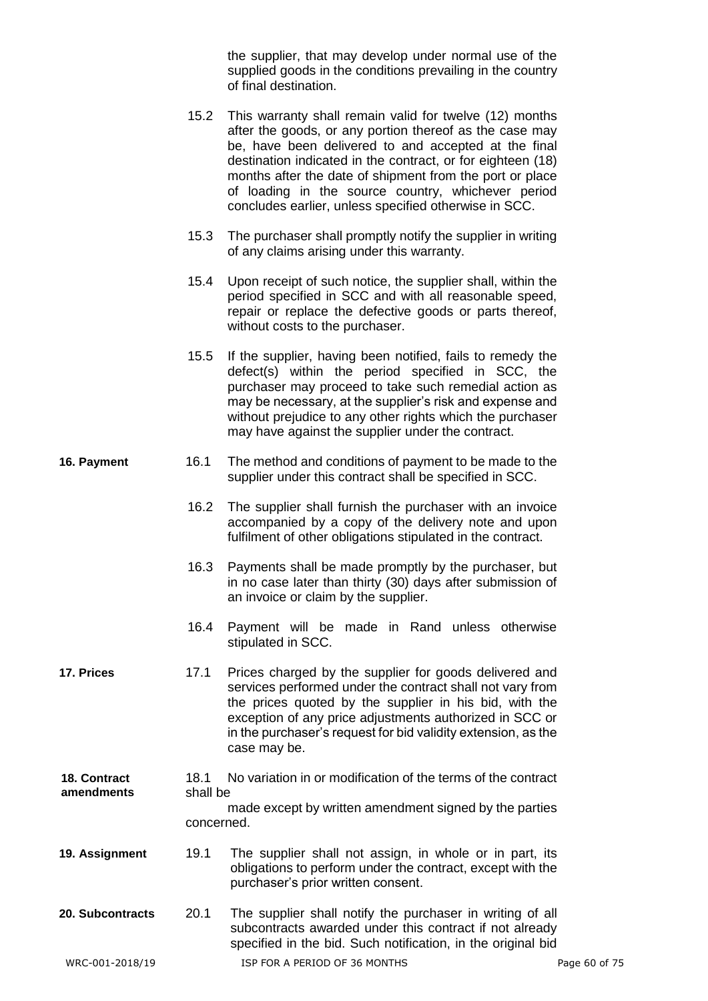the supplier, that may develop under normal use of the supplied goods in the conditions prevailing in the country of final destination.

- 15.2 This warranty shall remain valid for twelve (12) months after the goods, or any portion thereof as the case may be, have been delivered to and accepted at the final destination indicated in the contract, or for eighteen (18) months after the date of shipment from the port or place of loading in the source country, whichever period concludes earlier, unless specified otherwise in SCC.
- 15.3 The purchaser shall promptly notify the supplier in writing of any claims arising under this warranty.
- 15.4 Upon receipt of such notice, the supplier shall, within the period specified in SCC and with all reasonable speed, repair or replace the defective goods or parts thereof, without costs to the purchaser.
- 15.5 If the supplier, having been notified, fails to remedy the defect(s) within the period specified in SCC, the purchaser may proceed to take such remedial action as may be necessary, at the supplier's risk and expense and without prejudice to any other rights which the purchaser may have against the supplier under the contract.
- **16. Payment** 16.1 The method and conditions of payment to be made to the supplier under this contract shall be specified in SCC.
	- 16.2 The supplier shall furnish the purchaser with an invoice accompanied by a copy of the delivery note and upon fulfilment of other obligations stipulated in the contract.
	- 16.3 Payments shall be made promptly by the purchaser, but in no case later than thirty (30) days after submission of an invoice or claim by the supplier.
	- 16.4 Payment will be made in Rand unless otherwise stipulated in SCC.
- **17. Prices** 17.1 Prices charged by the supplier for goods delivered and services performed under the contract shall not vary from the prices quoted by the supplier in his bid, with the exception of any price adjustments authorized in SCC or in the purchaser's request for bid validity extension, as the case may be.
- 18.1 No variation in or modification of the terms of the contract shall be made except by written amendment signed by the parties concerned. **18. Contract amendments**
- **19. Assignment** 19.1 The supplier shall not assign, in whole or in part, its obligations to perform under the contract, except with the purchaser's prior written consent.
- **20. Subcontracts** 20.1 The supplier shall notify the purchaser in writing of all subcontracts awarded under this contract if not already specified in the bid. Such notification, in the original bid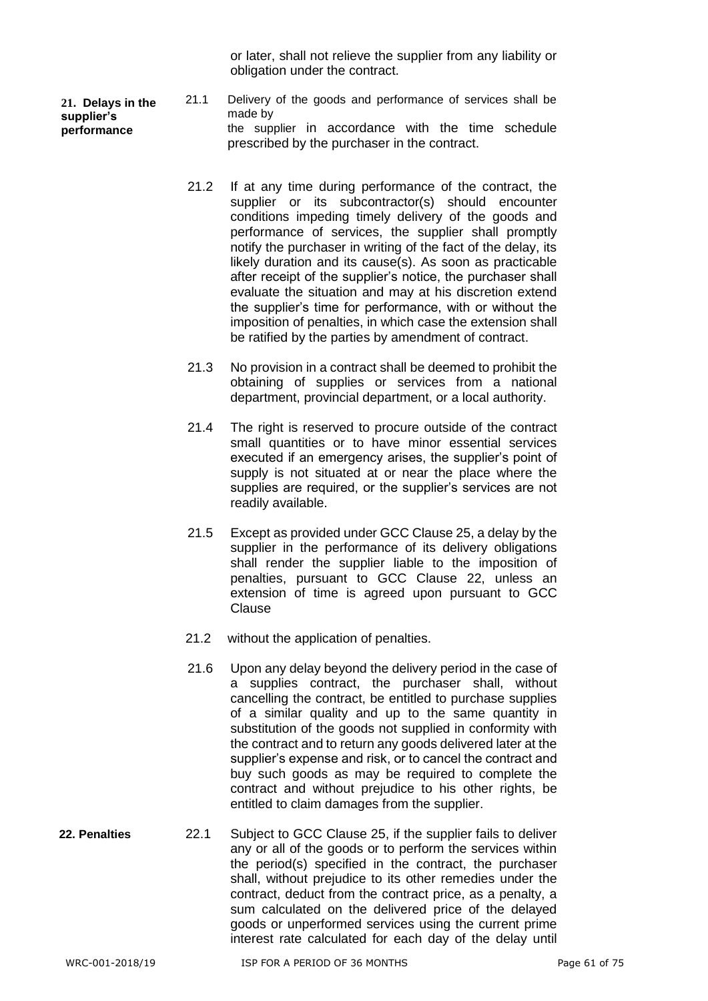or later, shall not relieve the supplier from any liability or obligation under the contract.

**21. Delays in the supplier's performance**

- 21.1 Delivery of the goods and performance of services shall be made by the supplier in accordance with the time schedule prescribed by the purchaser in the contract.
- 21.2 If at any time during performance of the contract, the supplier or its subcontractor(s) should encounter conditions impeding timely delivery of the goods and performance of services, the supplier shall promptly notify the purchaser in writing of the fact of the delay, its likely duration and its cause(s). As soon as practicable after receipt of the supplier's notice, the purchaser shall evaluate the situation and may at his discretion extend the supplier's time for performance, with or without the imposition of penalties, in which case the extension shall be ratified by the parties by amendment of contract.
- 21.3 No provision in a contract shall be deemed to prohibit the obtaining of supplies or services from a national department, provincial department, or a local authority.
- 21.4 The right is reserved to procure outside of the contract small quantities or to have minor essential services executed if an emergency arises, the supplier's point of supply is not situated at or near the place where the supplies are required, or the supplier's services are not readily available.
- 21.5 Except as provided under GCC Clause 25, a delay by the supplier in the performance of its delivery obligations shall render the supplier liable to the imposition of penalties, pursuant to GCC Clause 22, unless an extension of time is agreed upon pursuant to GCC Clause
- 21.2 without the application of penalties.
- 21.6 Upon any delay beyond the delivery period in the case of a supplies contract, the purchaser shall, without cancelling the contract, be entitled to purchase supplies of a similar quality and up to the same quantity in substitution of the goods not supplied in conformity with the contract and to return any goods delivered later at the supplier's expense and risk, or to cancel the contract and buy such goods as may be required to complete the contract and without prejudice to his other rights, be entitled to claim damages from the supplier.
- **22. Penalties** 22.1 Subject to GCC Clause 25, if the supplier fails to deliver any or all of the goods or to perform the services within the period(s) specified in the contract, the purchaser shall, without prejudice to its other remedies under the contract, deduct from the contract price, as a penalty, a sum calculated on the delivered price of the delayed goods or unperformed services using the current prime interest rate calculated for each day of the delay until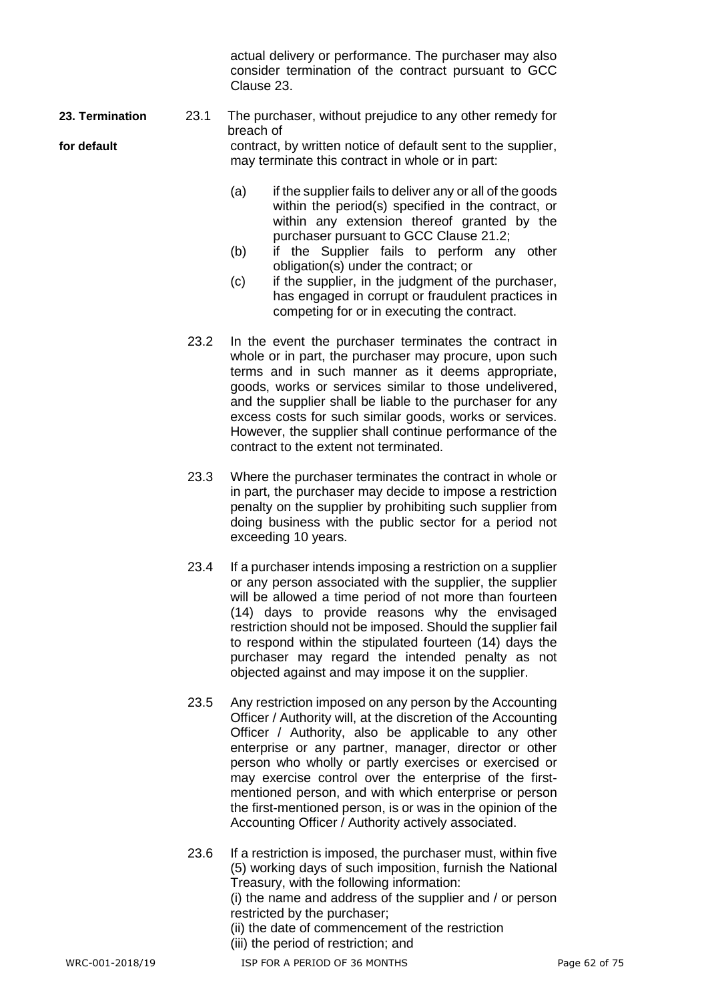actual delivery or performance. The purchaser may also consider termination of the contract pursuant to GCC Clause 23.

**23. Termination** 23.1 The purchaser, without prejudice to any other remedy for breach of **for default** contract, by written notice of default sent to the supplier, may terminate this contract in whole or in part:

- (a) if the supplier fails to deliver any or all of the goods within the period(s) specified in the contract, or within any extension thereof granted by the purchaser pursuant to GCC Clause 21.2;
- (b) if the Supplier fails to perform any other obligation(s) under the contract; or
- (c) if the supplier, in the judgment of the purchaser, has engaged in corrupt or fraudulent practices in competing for or in executing the contract.
- 23.2 In the event the purchaser terminates the contract in whole or in part, the purchaser may procure, upon such terms and in such manner as it deems appropriate, goods, works or services similar to those undelivered, and the supplier shall be liable to the purchaser for any excess costs for such similar goods, works or services. However, the supplier shall continue performance of the contract to the extent not terminated.
- 23.3 Where the purchaser terminates the contract in whole or in part, the purchaser may decide to impose a restriction penalty on the supplier by prohibiting such supplier from doing business with the public sector for a period not exceeding 10 years.
- 23.4 If a purchaser intends imposing a restriction on a supplier or any person associated with the supplier, the supplier will be allowed a time period of not more than fourteen (14) days to provide reasons why the envisaged restriction should not be imposed. Should the supplier fail to respond within the stipulated fourteen (14) days the purchaser may regard the intended penalty as not objected against and may impose it on the supplier.
- 23.5 Any restriction imposed on any person by the Accounting Officer / Authority will, at the discretion of the Accounting Officer / Authority, also be applicable to any other enterprise or any partner, manager, director or other person who wholly or partly exercises or exercised or may exercise control over the enterprise of the firstmentioned person, and with which enterprise or person the first-mentioned person, is or was in the opinion of the Accounting Officer / Authority actively associated.
- 23.6 If a restriction is imposed, the purchaser must, within five (5) working days of such imposition, furnish the National Treasury, with the following information:

(i) the name and address of the supplier and / or person restricted by the purchaser;

- (ii) the date of commencement of the restriction
- (iii) the period of restriction; and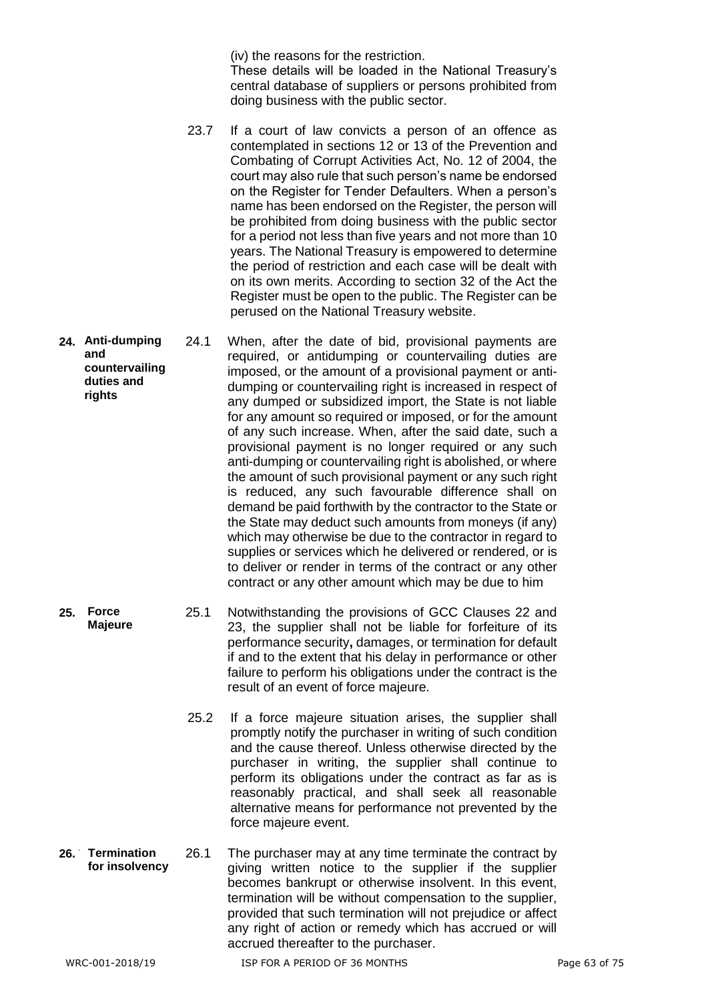(iv) the reasons for the restriction.

These details will be loaded in the National Treasury's central database of suppliers or persons prohibited from doing business with the public sector.

- 23.7 If a court of law convicts a person of an offence as contemplated in sections 12 or 13 of the Prevention and Combating of Corrupt Activities Act, No. 12 of 2004, the court may also rule that such person's name be endorsed on the Register for Tender Defaulters. When a person's name has been endorsed on the Register, the person will be prohibited from doing business with the public sector for a period not less than five years and not more than 10 years. The National Treasury is empowered to determine the period of restriction and each case will be dealt with on its own merits. According to section 32 of the Act the Register must be open to the public. The Register can be perused on the National Treasury website.
- **24.** 24.1 When, after the date of bid, provisional payments are required, or antidumping or countervailing duties are imposed, or the amount of a provisional payment or antidumping or countervailing right is increased in respect of any dumped or subsidized import, the State is not liable for any amount so required or imposed, or for the amount of any such increase. When, after the said date, such a provisional payment is no longer required or any such anti-dumping or countervailing right is abolished, or where the amount of such provisional payment or any such right is reduced, any such favourable difference shall on demand be paid forthwith by the contractor to the State or the State may deduct such amounts from moneys (if any) which may otherwise be due to the contractor in regard to supplies or services which he delivered or rendered, or is to deliver or render in terms of the contract or any other contract or any other amount which may be due to him **Anti-dumping and countervailing duties and rights**
	- **25.** 25.1 Notwithstanding the provisions of GCC Clauses 22 and 23, the supplier shall not be liable for forfeiture of its performance security**,** damages, or termination for default if and to the extent that his delay in performance or other failure to perform his obligations under the contract is the result of an event of force majeure.
		- 25.2 If a force majeure situation arises, the supplier shall promptly notify the purchaser in writing of such condition and the cause thereof. Unless otherwise directed by the purchaser in writing, the supplier shall continue to perform its obligations under the contract as far as is reasonably practical, and shall seek all reasonable alternative means for performance not prevented by the force majeure event.
- 26.1 The purchaser may at any time terminate the contract by giving written notice to the supplier if the supplier becomes bankrupt or otherwise insolvent. In this event, termination will be without compensation to the supplier, provided that such termination will not prejudice or affect any right of action or remedy which has accrued or will accrued thereafter to the purchaser. 26. Termination **for insolvency**

**Force** 

**Majeure**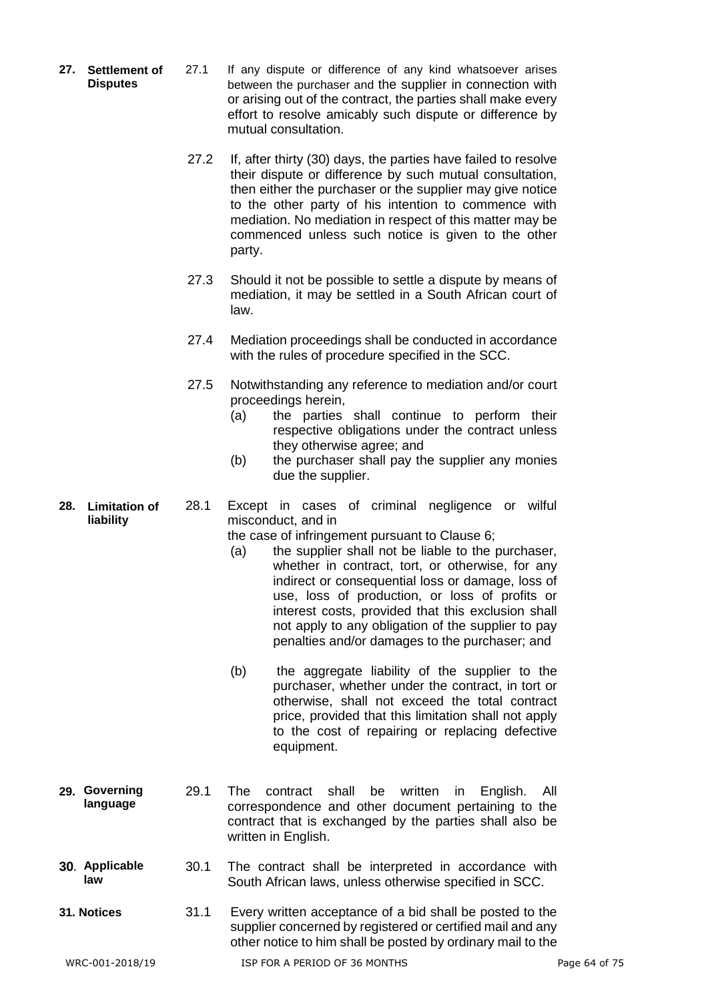- **27.** 27.1 If any dispute or difference of any kind whatsoever arises between the purchaser and the supplier in connection with or arising out of the contract, the parties shall make every effort to resolve amicably such dispute or difference by mutual consultation. 27. Settlement of **Disputes**
	- 27.2 If, after thirty (30) days, the parties have failed to resolve their dispute or difference by such mutual consultation, then either the purchaser or the supplier may give notice to the other party of his intention to commence with mediation. No mediation in respect of this matter may be commenced unless such notice is given to the other party.
	- 27.3 Should it not be possible to settle a dispute by means of mediation, it may be settled in a South African court of law.
	- 27.4 Mediation proceedings shall be conducted in accordance with the rules of procedure specified in the SCC.
	- 27.5 Notwithstanding any reference to mediation and/or court proceedings herein,
		- (a) the parties shall continue to perform their respective obligations under the contract unless they otherwise agree; and
		- (b) the purchaser shall pay the supplier any monies due the supplier.
- **28.** 28.1 Except in cases of criminal negligence or wilful misconduct, and in **Limitation of liability**

the case of infringement pursuant to Clause 6;

- (a) the supplier shall not be liable to the purchaser, whether in contract, tort, or otherwise, for any indirect or consequential loss or damage, loss of use, loss of production, or loss of profits or interest costs, provided that this exclusion shall not apply to any obligation of the supplier to pay penalties and/or damages to the purchaser; and
- (b) the aggregate liability of the supplier to the purchaser, whether under the contract, in tort or otherwise, shall not exceed the total contract price, provided that this limitation shall not apply to the cost of repairing or replacing defective equipment.
- **29.** 29.1 The contract shall be written in English. All correspondence and other document pertaining to the contract that is exchanged by the parties shall also be written in English. **Governing language**
- **30.** 30.1 The contract shall be interpreted in accordance with South African laws, unless otherwise specified in SCC. **Applicable law**
- **31. Notices** 31.1 Every written acceptance of a bid shall be posted to the supplier concerned by registered or certified mail and any other notice to him shall be posted by ordinary mail to the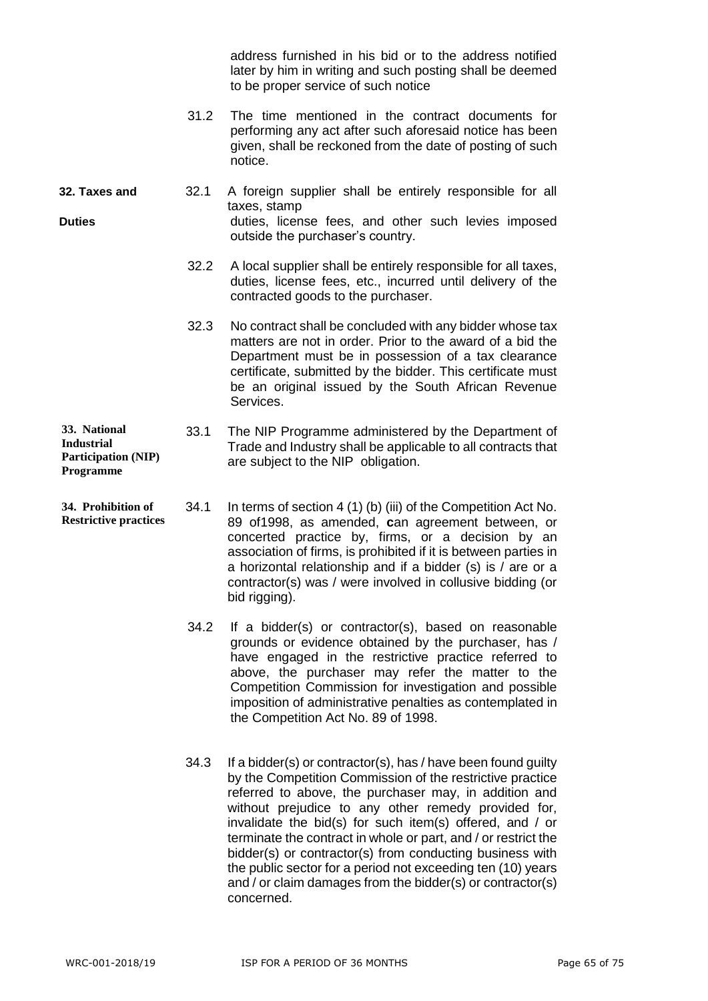address furnished in his bid or to the address notified later by him in writing and such posting shall be deemed to be proper service of such notice

- 31.2 The time mentioned in the contract documents for performing any act after such aforesaid notice has been given, shall be reckoned from the date of posting of such notice.
- **32. Taxes and** 32.1 A foreign supplier shall be entirely responsible for all taxes, stamp **Duties Duties Duties duties**, license fees, and other such levies imposed outside the purchaser's country.
	- 32.2 A local supplier shall be entirely responsible for all taxes, duties, license fees, etc., incurred until delivery of the contracted goods to the purchaser.
	- 32.3 No contract shall be concluded with any bidder whose tax matters are not in order. Prior to the award of a bid the Department must be in possession of a tax clearance certificate, submitted by the bidder. This certificate must be an original issued by the South African Revenue Services.
- 33.1 The NIP Programme administered by the Department of Trade and Industry shall be applicable to all contracts that are subject to the NIP obligation. **33. National Participation (NIP) Programme**
- 34.1 In terms of section 4 (1) (b) (iii) of the Competition Act No. 89 of1998, as amended, **c**an agreement between, or concerted practice by, firms, or a decision by an association of firms, is prohibited if it is between parties in a horizontal relationship and if a bidder (s) is / are or a contractor(s) was / were involved in collusive bidding (or bid rigging). **34. Prohibition of Restrictive practices**
	- 34.2 If a bidder(s) or contractor(s), based on reasonable grounds or evidence obtained by the purchaser, has / have engaged in the restrictive practice referred to above, the purchaser may refer the matter to the Competition Commission for investigation and possible imposition of administrative penalties as contemplated in the Competition Act No. 89 of 1998.
	- 34.3 If a bidder(s) or contractor(s), has / have been found guilty by the Competition Commission of the restrictive practice referred to above, the purchaser may, in addition and without prejudice to any other remedy provided for, invalidate the bid(s) for such item(s) offered, and / or terminate the contract in whole or part, and / or restrict the bidder(s) or contractor(s) from conducting business with the public sector for a period not exceeding ten (10) years and / or claim damages from the bidder(s) or contractor(s) concerned.

**Industrial**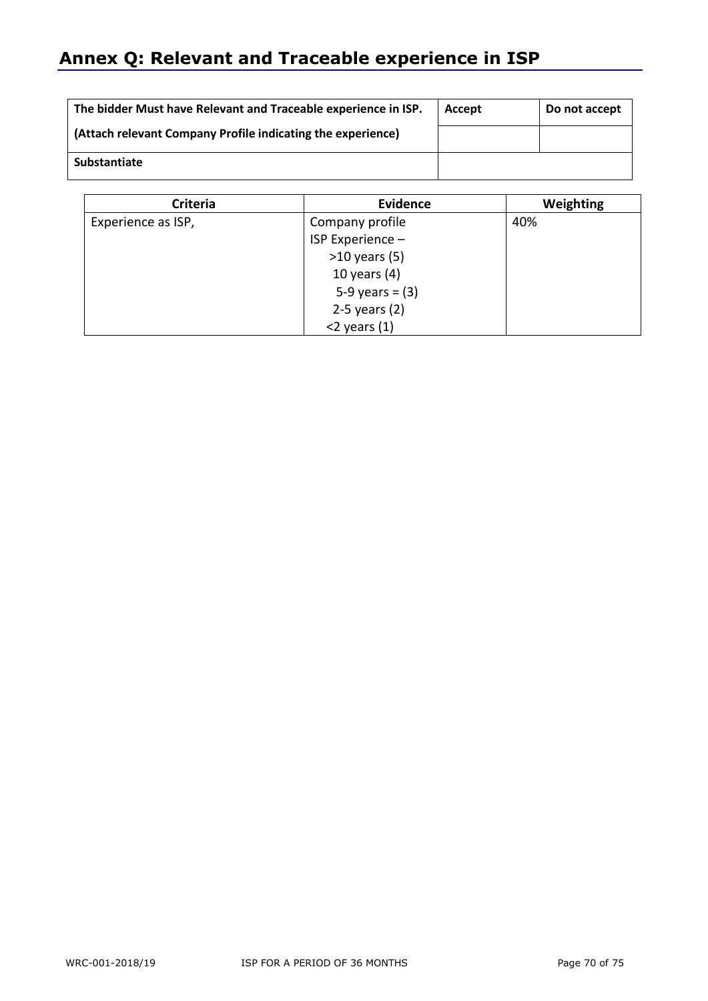# **Annex Q: Relevant and Traceable experience in ISP**

| The bidder Must have Relevant and Traceable experience in ISP. | Accept | Do not accept |  |
|----------------------------------------------------------------|--------|---------------|--|
| (Attach relevant Company Profile indicating the experience)    |        |               |  |
| Substantiate                                                   |        |               |  |

| <b>Criteria</b>    | <b>Evidence</b>   | Weighting |
|--------------------|-------------------|-----------|
| Experience as ISP, | Company profile   | 40%       |
|                    | ISP Experience -  |           |
|                    | $>10$ years (5)   |           |
|                    | 10 years $(4)$    |           |
|                    | 5-9 years = $(3)$ |           |
|                    | $2-5$ years $(2)$ |           |
|                    | $<$ 2 years (1)   |           |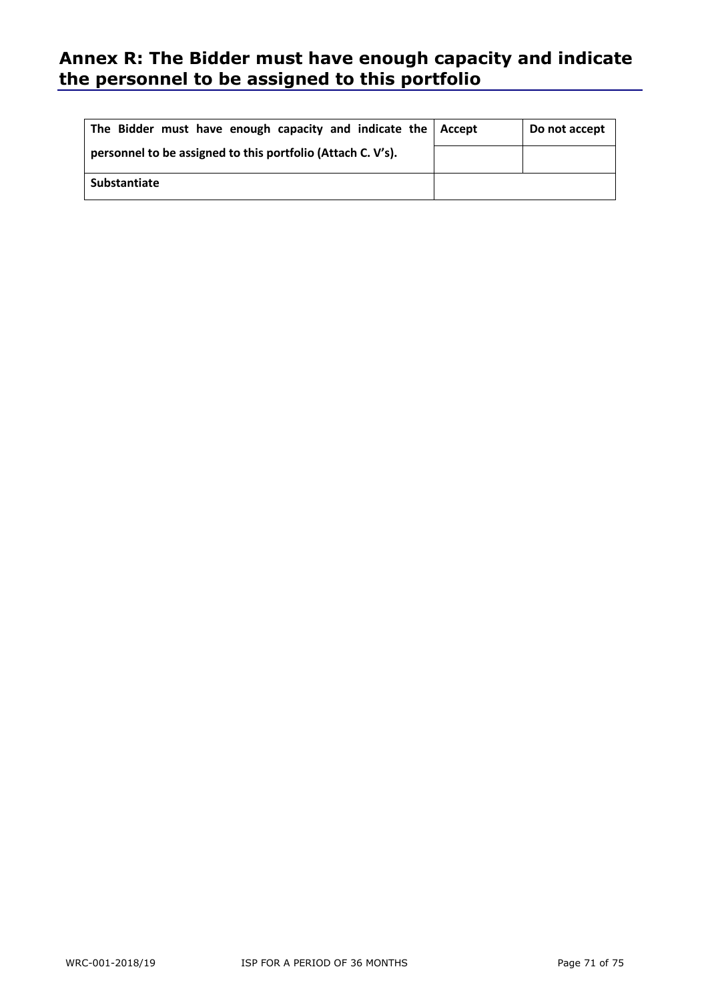## **Annex R: The Bidder must have enough capacity and indicate the personnel to be assigned to this portfolio**

| The Bidder must have enough capacity and indicate the   Accept | Do not accept |
|----------------------------------------------------------------|---------------|
| personnel to be assigned to this portfolio (Attach C. V's).    |               |
| Substantiate                                                   |               |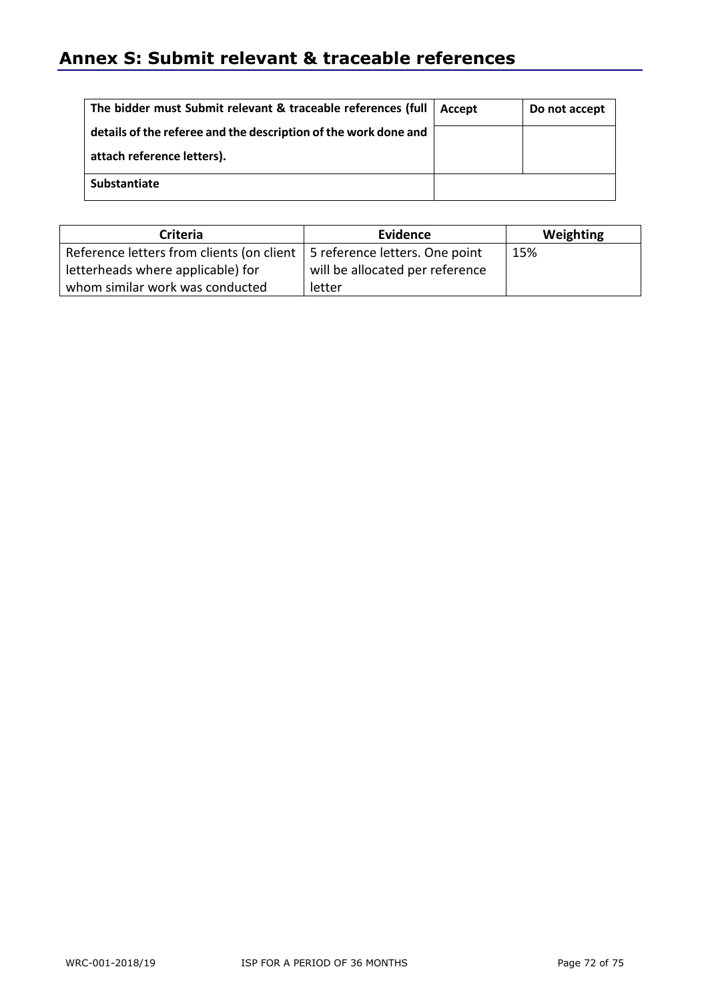## **Annex S: Submit relevant & traceable references**

| The bidder must Submit relevant & traceable references (full    | Accept | Do not accept |
|-----------------------------------------------------------------|--------|---------------|
| details of the referee and the description of the work done and |        |               |
| attach reference letters).                                      |        |               |
| Substantiate                                                    |        |               |

| Criteria                                                                   | Evidence                        | Weighting |
|----------------------------------------------------------------------------|---------------------------------|-----------|
| Reference letters from clients (on client   5 reference letters. One point |                                 | 15%       |
| letterheads where applicable) for                                          | will be allocated per reference |           |
| whom similar work was conducted                                            | letter                          |           |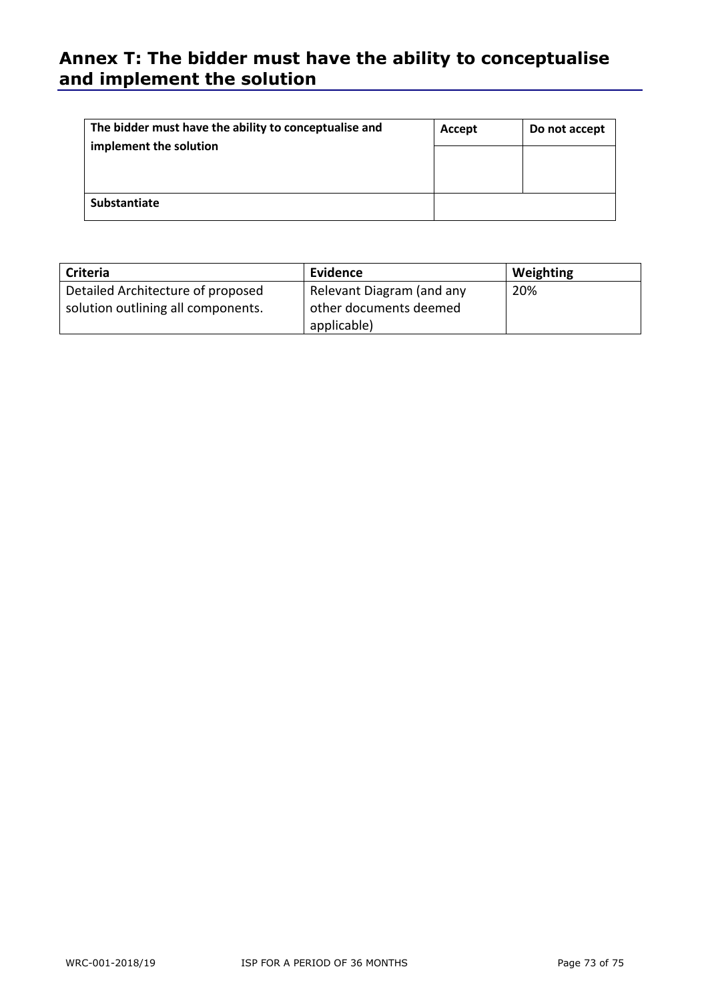## **Annex T: The bidder must have the ability to conceptualise and implement the solution**

| The bidder must have the ability to conceptualise and | Accept | Do not accept |
|-------------------------------------------------------|--------|---------------|
| implement the solution                                |        |               |
|                                                       |        |               |
| Substantiate                                          |        |               |

| Criteria                           | Evidence                  | Weighting |
|------------------------------------|---------------------------|-----------|
| Detailed Architecture of proposed  | Relevant Diagram (and any | 20%       |
| solution outlining all components. | other documents deemed    |           |
|                                    | applicable)               |           |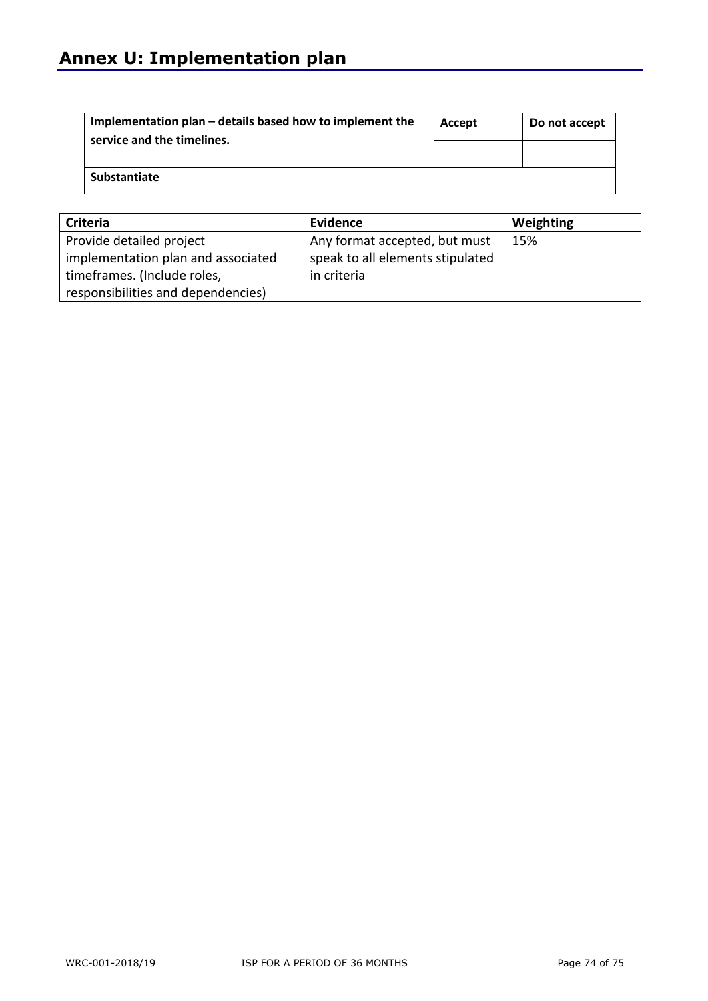| Implementation plan – details based how to implement the<br>service and the timelines. | Accept | Do not accept |
|----------------------------------------------------------------------------------------|--------|---------------|
|                                                                                        |        |               |
| Substantiate                                                                           |        |               |

| Criteria                           | Evidence                         | Weighting |
|------------------------------------|----------------------------------|-----------|
| Provide detailed project           | Any format accepted, but must    | 15%       |
| implementation plan and associated | speak to all elements stipulated |           |
| timeframes. (Include roles,        | in criteria                      |           |
| responsibilities and dependencies) |                                  |           |